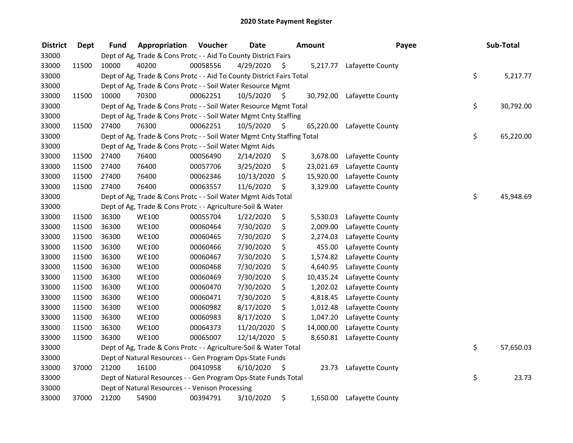| <b>District</b> | <b>Dept</b> | <b>Fund</b> | Appropriation                                                          | Voucher  | <b>Date</b>   |     | <b>Amount</b> | Payee            | Sub-Total       |
|-----------------|-------------|-------------|------------------------------------------------------------------------|----------|---------------|-----|---------------|------------------|-----------------|
| 33000           |             |             | Dept of Ag, Trade & Cons Protc - - Aid To County District Fairs        |          |               |     |               |                  |                 |
| 33000           | 11500       | 10000       | 40200                                                                  | 00058556 | 4/29/2020     | \$. | 5,217.77      | Lafayette County |                 |
| 33000           |             |             | Dept of Ag, Trade & Cons Protc - - Aid To County District Fairs Total  |          |               |     |               |                  | \$<br>5,217.77  |
| 33000           |             |             | Dept of Ag, Trade & Cons Protc - - Soil Water Resource Mgmt            |          |               |     |               |                  |                 |
| 33000           | 11500       | 10000       | 70300                                                                  | 00062251 | 10/5/2020     | \$  | 30,792.00     | Lafayette County |                 |
| 33000           |             |             | Dept of Ag, Trade & Cons Protc - - Soil Water Resource Mgmt Total      |          |               |     |               |                  | \$<br>30,792.00 |
| 33000           |             |             | Dept of Ag, Trade & Cons Protc - - Soil Water Mgmt Cnty Staffing       |          |               |     |               |                  |                 |
| 33000           | 11500       | 27400       | 76300                                                                  | 00062251 | 10/5/2020     | -\$ | 65,220.00     | Lafayette County |                 |
| 33000           |             |             | Dept of Ag, Trade & Cons Protc - - Soil Water Mgmt Cnty Staffing Total |          |               |     |               |                  | \$<br>65,220.00 |
| 33000           |             |             | Dept of Ag, Trade & Cons Protc - - Soil Water Mgmt Aids                |          |               |     |               |                  |                 |
| 33000           | 11500       | 27400       | 76400                                                                  | 00056490 | 2/14/2020     | \$  | 3,678.00      | Lafayette County |                 |
| 33000           | 11500       | 27400       | 76400                                                                  | 00057706 | 3/25/2020     | \$  | 23,021.69     | Lafayette County |                 |
| 33000           | 11500       | 27400       | 76400                                                                  | 00062346 | 10/13/2020    | \$  | 15,920.00     | Lafayette County |                 |
| 33000           | 11500       | 27400       | 76400                                                                  | 00063557 | 11/6/2020     | \$  | 3,329.00      | Lafayette County |                 |
| 33000           |             |             | Dept of Ag, Trade & Cons Protc - - Soil Water Mgmt Aids Total          |          |               |     |               |                  | \$<br>45,948.69 |
| 33000           |             |             | Dept of Ag, Trade & Cons Protc - - Agriculture-Soil & Water            |          |               |     |               |                  |                 |
| 33000           | 11500       | 36300       | <b>WE100</b>                                                           | 00055704 | 1/22/2020     | \$  | 5,530.03      | Lafayette County |                 |
| 33000           | 11500       | 36300       | <b>WE100</b>                                                           | 00060464 | 7/30/2020     | \$  | 2,009.00      | Lafayette County |                 |
| 33000           | 11500       | 36300       | <b>WE100</b>                                                           | 00060465 | 7/30/2020     | \$  | 2,274.03      | Lafayette County |                 |
| 33000           | 11500       | 36300       | <b>WE100</b>                                                           | 00060466 | 7/30/2020     | \$  | 455.00        | Lafayette County |                 |
| 33000           | 11500       | 36300       | <b>WE100</b>                                                           | 00060467 | 7/30/2020     | \$  | 1,574.82      | Lafayette County |                 |
| 33000           | 11500       | 36300       | <b>WE100</b>                                                           | 00060468 | 7/30/2020     | \$  | 4,640.95      | Lafayette County |                 |
| 33000           | 11500       | 36300       | <b>WE100</b>                                                           | 00060469 | 7/30/2020     | \$  | 10,435.24     | Lafayette County |                 |
| 33000           | 11500       | 36300       | <b>WE100</b>                                                           | 00060470 | 7/30/2020     | \$  | 1,202.02      | Lafayette County |                 |
| 33000           | 11500       | 36300       | <b>WE100</b>                                                           | 00060471 | 7/30/2020     | \$  | 4,818.45      | Lafayette County |                 |
| 33000           | 11500       | 36300       | <b>WE100</b>                                                           | 00060982 | 8/17/2020     | \$  | 1,012.48      | Lafayette County |                 |
| 33000           | 11500       | 36300       | <b>WE100</b>                                                           | 00060983 | 8/17/2020     | \$  | 1,047.20      | Lafayette County |                 |
| 33000           | 11500       | 36300       | <b>WE100</b>                                                           | 00064373 | 11/20/2020    | \$  | 14,000.00     | Lafayette County |                 |
| 33000           | 11500       | 36300       | <b>WE100</b>                                                           | 00065007 | 12/14/2020 \$ |     | 8,650.81      | Lafayette County |                 |
| 33000           |             |             | Dept of Ag, Trade & Cons Protc - - Agriculture-Soil & Water Total      |          |               |     |               |                  | \$<br>57,650.03 |
| 33000           |             |             | Dept of Natural Resources - - Gen Program Ops-State Funds              |          |               |     |               |                  |                 |
| 33000           | 37000       | 21200       | 16100                                                                  | 00410958 | 6/10/2020     | \$  | 23.73         | Lafayette County |                 |
| 33000           |             |             | Dept of Natural Resources - - Gen Program Ops-State Funds Total        |          |               |     |               |                  | \$<br>23.73     |
| 33000           |             |             | Dept of Natural Resources - - Venison Processing                       |          |               |     |               |                  |                 |
| 33000           | 37000       | 21200       | 54900                                                                  | 00394791 | 3/10/2020     | \$  | 1,650.00      | Lafayette County |                 |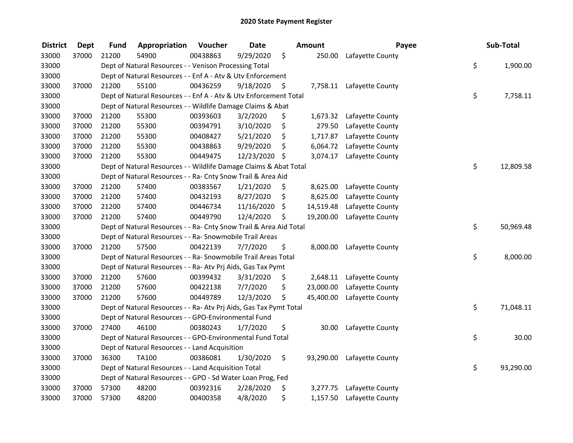| <b>District</b> | <b>Dept</b> | <b>Fund</b> | Appropriation                                                      | Voucher  | <b>Date</b> |      | Amount    | Payee                      | Sub-Total       |
|-----------------|-------------|-------------|--------------------------------------------------------------------|----------|-------------|------|-----------|----------------------------|-----------------|
| 33000           | 37000       | 21200       | 54900                                                              | 00438863 | 9/29/2020   | \$   | 250.00    | Lafayette County           |                 |
| 33000           |             |             | Dept of Natural Resources - - Venison Processing Total             |          |             |      |           |                            | \$<br>1,900.00  |
| 33000           |             |             | Dept of Natural Resources - - Enf A - Atv & Utv Enforcement        |          |             |      |           |                            |                 |
| 33000           | 37000       | 21200       | 55100                                                              | 00436259 | 9/18/2020   | \$   |           | 7,758.11 Lafayette County  |                 |
| 33000           |             |             | Dept of Natural Resources - - Enf A - Atv & Utv Enforcement Total  |          |             |      |           |                            | \$<br>7,758.11  |
| 33000           |             |             | Dept of Natural Resources - - Wildlife Damage Claims & Abat        |          |             |      |           |                            |                 |
| 33000           | 37000       | 21200       | 55300                                                              | 00393603 | 3/2/2020    | \$   | 1,673.32  | Lafayette County           |                 |
| 33000           | 37000       | 21200       | 55300                                                              | 00394791 | 3/10/2020   | \$   | 279.50    | Lafayette County           |                 |
| 33000           | 37000       | 21200       | 55300                                                              | 00408427 | 5/21/2020   | \$   | 1,717.87  | Lafayette County           |                 |
| 33000           | 37000       | 21200       | 55300                                                              | 00438863 | 9/29/2020   | \$   | 6,064.72  | Lafayette County           |                 |
| 33000           | 37000       | 21200       | 55300                                                              | 00449475 | 12/23/2020  | - \$ | 3,074.17  | Lafayette County           |                 |
| 33000           |             |             | Dept of Natural Resources - - Wildlife Damage Claims & Abat Total  |          |             |      |           |                            | \$<br>12,809.58 |
| 33000           |             |             | Dept of Natural Resources - - Ra- Cnty Snow Trail & Area Aid       |          |             |      |           |                            |                 |
| 33000           | 37000       | 21200       | 57400                                                              | 00383567 | 1/21/2020   | \$,  | 8,625.00  | Lafayette County           |                 |
| 33000           | 37000       | 21200       | 57400                                                              | 00432193 | 8/27/2020   | \$   | 8,625.00  | Lafayette County           |                 |
| 33000           | 37000       | 21200       | 57400                                                              | 00446734 | 11/16/2020  | \$   | 14,519.48 | Lafayette County           |                 |
| 33000           | 37000       | 21200       | 57400                                                              | 00449790 | 12/4/2020   | \$   | 19,200.00 | Lafayette County           |                 |
| 33000           |             |             | Dept of Natural Resources - - Ra- Cnty Snow Trail & Area Aid Total |          |             |      |           |                            | \$<br>50,969.48 |
| 33000           |             |             | Dept of Natural Resources - - Ra- Snowmobile Trail Areas           |          |             |      |           |                            |                 |
| 33000           | 37000       | 21200       | 57500                                                              | 00422139 | 7/7/2020    | \$   | 8,000.00  | Lafayette County           |                 |
| 33000           |             |             | Dept of Natural Resources - - Ra- Snowmobile Trail Areas Total     |          |             |      |           |                            | \$<br>8,000.00  |
| 33000           |             |             | Dept of Natural Resources - - Ra- Atv Prj Aids, Gas Tax Pymt       |          |             |      |           |                            |                 |
| 33000           | 37000       | 21200       | 57600                                                              | 00399432 | 3/31/2020   | \$,  | 2,648.11  | Lafayette County           |                 |
| 33000           | 37000       | 21200       | 57600                                                              | 00422138 | 7/7/2020    | \$   | 23,000.00 | Lafayette County           |                 |
| 33000           | 37000       | 21200       | 57600                                                              | 00449789 | 12/3/2020   | \$   | 45,400.00 | Lafayette County           |                 |
| 33000           |             |             | Dept of Natural Resources - - Ra- Atv Prj Aids, Gas Tax Pymt Total |          |             |      |           |                            | \$<br>71,048.11 |
| 33000           |             |             | Dept of Natural Resources - - GPO-Environmental Fund               |          |             |      |           |                            |                 |
| 33000           | 37000       | 27400       | 46100                                                              | 00380243 | 1/7/2020    | \$   | 30.00     | Lafayette County           |                 |
| 33000           |             |             | Dept of Natural Resources - - GPO-Environmental Fund Total         |          |             |      |           |                            | \$<br>30.00     |
| 33000           |             |             | Dept of Natural Resources - - Land Acquisition                     |          |             |      |           |                            |                 |
| 33000           | 37000       | 36300       | <b>TA100</b>                                                       | 00386081 | 1/30/2020   | \$   |           | 93,290.00 Lafayette County |                 |
| 33000           |             |             | Dept of Natural Resources - - Land Acquisition Total               |          |             |      |           |                            | \$<br>93,290.00 |
| 33000           |             |             | Dept of Natural Resources - - GPO - Sd Water Loan Prog, Fed        |          |             |      |           |                            |                 |
| 33000           | 37000       | 57300       | 48200                                                              | 00392316 | 2/28/2020   | \$   | 3,277.75  | Lafayette County           |                 |
| 33000           | 37000       | 57300       | 48200                                                              | 00400358 | 4/8/2020    | \$   | 1,157.50  | Lafayette County           |                 |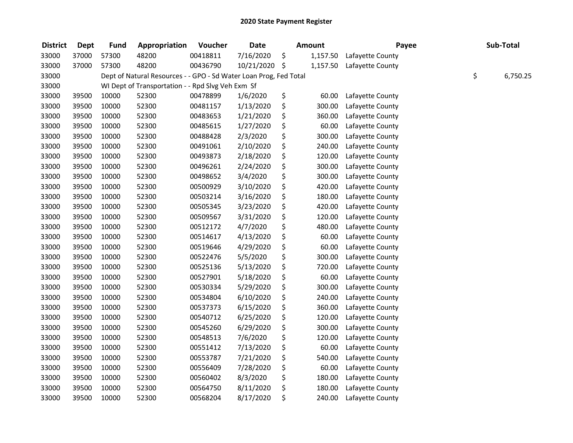| <b>District</b> | <b>Dept</b> | <b>Fund</b> | Appropriation                                                     | Voucher  | <b>Date</b>   | <b>Amount</b>  | Payee            | Sub-Total      |
|-----------------|-------------|-------------|-------------------------------------------------------------------|----------|---------------|----------------|------------------|----------------|
| 33000           | 37000       | 57300       | 48200                                                             | 00418811 | 7/16/2020     | \$<br>1,157.50 | Lafayette County |                |
| 33000           | 37000       | 57300       | 48200                                                             | 00436790 | 10/21/2020 \$ | 1,157.50       | Lafayette County |                |
| 33000           |             |             | Dept of Natural Resources - - GPO - Sd Water Loan Prog, Fed Total |          |               |                |                  | \$<br>6,750.25 |
| 33000           |             |             | WI Dept of Transportation - - Rpd Slvg Veh Exm Sf                 |          |               |                |                  |                |
| 33000           | 39500       | 10000       | 52300                                                             | 00478899 | 1/6/2020      | \$<br>60.00    | Lafayette County |                |
| 33000           | 39500       | 10000       | 52300                                                             | 00481157 | 1/13/2020     | \$<br>300.00   | Lafayette County |                |
| 33000           | 39500       | 10000       | 52300                                                             | 00483653 | 1/21/2020     | \$<br>360.00   | Lafayette County |                |
| 33000           | 39500       | 10000       | 52300                                                             | 00485615 | 1/27/2020     | \$<br>60.00    | Lafayette County |                |
| 33000           | 39500       | 10000       | 52300                                                             | 00488428 | 2/3/2020      | \$<br>300.00   | Lafayette County |                |
| 33000           | 39500       | 10000       | 52300                                                             | 00491061 | 2/10/2020     | \$<br>240.00   | Lafayette County |                |
| 33000           | 39500       | 10000       | 52300                                                             | 00493873 | 2/18/2020     | \$<br>120.00   | Lafayette County |                |
| 33000           | 39500       | 10000       | 52300                                                             | 00496261 | 2/24/2020     | \$<br>300.00   | Lafayette County |                |
| 33000           | 39500       | 10000       | 52300                                                             | 00498652 | 3/4/2020      | \$<br>300.00   | Lafayette County |                |
| 33000           | 39500       | 10000       | 52300                                                             | 00500929 | 3/10/2020     | \$<br>420.00   | Lafayette County |                |
| 33000           | 39500       | 10000       | 52300                                                             | 00503214 | 3/16/2020     | \$<br>180.00   | Lafayette County |                |
| 33000           | 39500       | 10000       | 52300                                                             | 00505345 | 3/23/2020     | \$<br>420.00   | Lafayette County |                |
| 33000           | 39500       | 10000       | 52300                                                             | 00509567 | 3/31/2020     | \$<br>120.00   | Lafayette County |                |
| 33000           | 39500       | 10000       | 52300                                                             | 00512172 | 4/7/2020      | \$<br>480.00   | Lafayette County |                |
| 33000           | 39500       | 10000       | 52300                                                             | 00514617 | 4/13/2020     | \$<br>60.00    | Lafayette County |                |
| 33000           | 39500       | 10000       | 52300                                                             | 00519646 | 4/29/2020     | \$<br>60.00    | Lafayette County |                |
| 33000           | 39500       | 10000       | 52300                                                             | 00522476 | 5/5/2020      | \$<br>300.00   | Lafayette County |                |
| 33000           | 39500       | 10000       | 52300                                                             | 00525136 | 5/13/2020     | \$<br>720.00   | Lafayette County |                |
| 33000           | 39500       | 10000       | 52300                                                             | 00527901 | 5/18/2020     | \$<br>60.00    | Lafayette County |                |
| 33000           | 39500       | 10000       | 52300                                                             | 00530334 | 5/29/2020     | \$<br>300.00   | Lafayette County |                |
| 33000           | 39500       | 10000       | 52300                                                             | 00534804 | 6/10/2020     | \$<br>240.00   | Lafayette County |                |
| 33000           | 39500       | 10000       | 52300                                                             | 00537373 | 6/15/2020     | \$<br>360.00   | Lafayette County |                |
| 33000           | 39500       | 10000       | 52300                                                             | 00540712 | 6/25/2020     | \$<br>120.00   | Lafayette County |                |
| 33000           | 39500       | 10000       | 52300                                                             | 00545260 | 6/29/2020     | \$<br>300.00   | Lafayette County |                |
| 33000           | 39500       | 10000       | 52300                                                             | 00548513 | 7/6/2020      | \$<br>120.00   | Lafayette County |                |
| 33000           | 39500       | 10000       | 52300                                                             | 00551412 | 7/13/2020     | \$<br>60.00    | Lafayette County |                |
| 33000           | 39500       | 10000       | 52300                                                             | 00553787 | 7/21/2020     | \$<br>540.00   | Lafayette County |                |
| 33000           | 39500       | 10000       | 52300                                                             | 00556409 | 7/28/2020     | \$<br>60.00    | Lafayette County |                |
| 33000           | 39500       | 10000       | 52300                                                             | 00560402 | 8/3/2020      | \$<br>180.00   | Lafayette County |                |
| 33000           | 39500       | 10000       | 52300                                                             | 00564750 | 8/11/2020     | \$<br>180.00   | Lafayette County |                |
| 33000           | 39500       | 10000       | 52300                                                             | 00568204 | 8/17/2020     | \$<br>240.00   | Lafayette County |                |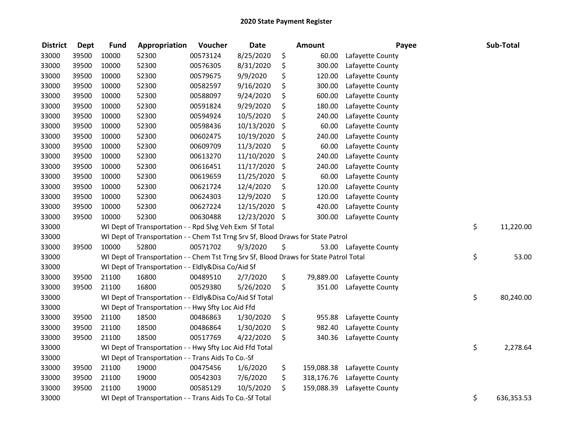| <b>District</b> | <b>Dept</b> | <b>Fund</b> | Appropriation                                                                          | Voucher  | <b>Date</b> | <b>Amount</b>    | Payee            | Sub-Total        |
|-----------------|-------------|-------------|----------------------------------------------------------------------------------------|----------|-------------|------------------|------------------|------------------|
| 33000           | 39500       | 10000       | 52300                                                                                  | 00573124 | 8/25/2020   | \$<br>60.00      | Lafayette County |                  |
| 33000           | 39500       | 10000       | 52300                                                                                  | 00576305 | 8/31/2020   | \$<br>300.00     | Lafayette County |                  |
| 33000           | 39500       | 10000       | 52300                                                                                  | 00579675 | 9/9/2020    | \$<br>120.00     | Lafayette County |                  |
| 33000           | 39500       | 10000       | 52300                                                                                  | 00582597 | 9/16/2020   | \$<br>300.00     | Lafayette County |                  |
| 33000           | 39500       | 10000       | 52300                                                                                  | 00588097 | 9/24/2020   | \$<br>600.00     | Lafayette County |                  |
| 33000           | 39500       | 10000       | 52300                                                                                  | 00591824 | 9/29/2020   | \$<br>180.00     | Lafayette County |                  |
| 33000           | 39500       | 10000       | 52300                                                                                  | 00594924 | 10/5/2020   | \$<br>240.00     | Lafayette County |                  |
| 33000           | 39500       | 10000       | 52300                                                                                  | 00598436 | 10/13/2020  | \$<br>60.00      | Lafayette County |                  |
| 33000           | 39500       | 10000       | 52300                                                                                  | 00602475 | 10/19/2020  | \$<br>240.00     | Lafayette County |                  |
| 33000           | 39500       | 10000       | 52300                                                                                  | 00609709 | 11/3/2020   | \$<br>60.00      | Lafayette County |                  |
| 33000           | 39500       | 10000       | 52300                                                                                  | 00613270 | 11/10/2020  | \$<br>240.00     | Lafayette County |                  |
| 33000           | 39500       | 10000       | 52300                                                                                  | 00616451 | 11/17/2020  | \$<br>240.00     | Lafayette County |                  |
| 33000           | 39500       | 10000       | 52300                                                                                  | 00619659 | 11/25/2020  | \$<br>60.00      | Lafayette County |                  |
| 33000           | 39500       | 10000       | 52300                                                                                  | 00621724 | 12/4/2020   | \$<br>120.00     | Lafayette County |                  |
| 33000           | 39500       | 10000       | 52300                                                                                  | 00624303 | 12/9/2020   | \$<br>120.00     | Lafayette County |                  |
| 33000           | 39500       | 10000       | 52300                                                                                  | 00627224 | 12/15/2020  | \$<br>420.00     | Lafayette County |                  |
| 33000           | 39500       | 10000       | 52300                                                                                  | 00630488 | 12/23/2020  | \$<br>300.00     | Lafayette County |                  |
| 33000           |             |             | WI Dept of Transportation - - Rpd Slvg Veh Exm Sf Total                                |          |             |                  |                  | \$<br>11,220.00  |
| 33000           |             |             | WI Dept of Transportation - - Chem Tst Trng Srv Sf, Blood Draws for State Patrol       |          |             |                  |                  |                  |
| 33000           | 39500       | 10000       | 52800                                                                                  | 00571702 | 9/3/2020    | \$<br>53.00      | Lafayette County |                  |
| 33000           |             |             | WI Dept of Transportation - - Chem Tst Trng Srv Sf, Blood Draws for State Patrol Total |          |             |                  |                  | \$<br>53.00      |
| 33000           |             |             | WI Dept of Transportation - - Eldly&Disa Co/Aid Sf                                     |          |             |                  |                  |                  |
| 33000           | 39500       | 21100       | 16800                                                                                  | 00489510 | 2/7/2020    | \$<br>79,889.00  | Lafayette County |                  |
| 33000           | 39500       | 21100       | 16800                                                                                  | 00529380 | 5/26/2020   | \$<br>351.00     | Lafayette County |                  |
| 33000           |             |             | WI Dept of Transportation - - Eldly&Disa Co/Aid Sf Total                               |          |             |                  |                  | \$<br>80,240.00  |
| 33000           |             |             | WI Dept of Transportation - - Hwy Sfty Loc Aid Ffd                                     |          |             |                  |                  |                  |
| 33000           | 39500       | 21100       | 18500                                                                                  | 00486863 | 1/30/2020   | \$<br>955.88     | Lafayette County |                  |
| 33000           | 39500       | 21100       | 18500                                                                                  | 00486864 | 1/30/2020   | \$<br>982.40     | Lafayette County |                  |
| 33000           | 39500       | 21100       | 18500                                                                                  | 00517769 | 4/22/2020   | \$<br>340.36     | Lafayette County |                  |
| 33000           |             |             | WI Dept of Transportation - - Hwy Sfty Loc Aid Ffd Total                               |          |             |                  |                  | \$<br>2,278.64   |
| 33000           |             |             | WI Dept of Transportation - - Trans Aids To Co.-Sf                                     |          |             |                  |                  |                  |
| 33000           | 39500       | 21100       | 19000                                                                                  | 00475456 | 1/6/2020    | \$<br>159,088.38 | Lafayette County |                  |
| 33000           | 39500       | 21100       | 19000                                                                                  | 00542303 | 7/6/2020    | \$<br>318,176.76 | Lafayette County |                  |
| 33000           | 39500       | 21100       | 19000                                                                                  | 00585129 | 10/5/2020   | \$<br>159,088.39 | Lafayette County |                  |
| 33000           |             |             | WI Dept of Transportation - - Trans Aids To Co.-Sf Total                               |          |             |                  |                  | \$<br>636,353.53 |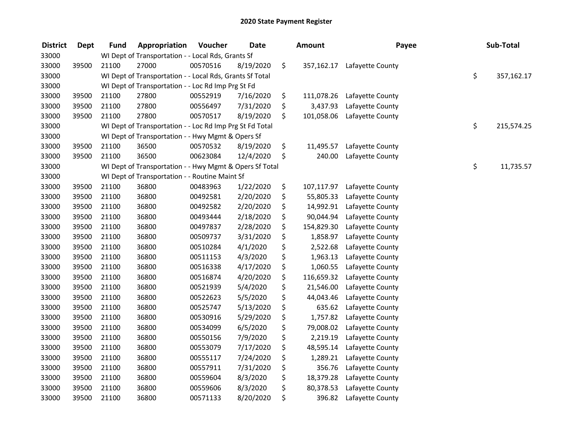| <b>District</b> | <b>Dept</b> | <b>Fund</b> | Appropriation                                            | Voucher  | <b>Date</b> | <b>Amount</b>    | Payee            | Sub-Total        |
|-----------------|-------------|-------------|----------------------------------------------------------|----------|-------------|------------------|------------------|------------------|
| 33000           |             |             | WI Dept of Transportation - - Local Rds, Grants Sf       |          |             |                  |                  |                  |
| 33000           | 39500       | 21100       | 27000                                                    | 00570516 | 8/19/2020   | \$<br>357,162.17 | Lafayette County |                  |
| 33000           |             |             | WI Dept of Transportation - - Local Rds, Grants Sf Total |          |             |                  |                  | \$<br>357,162.17 |
| 33000           |             |             | WI Dept of Transportation - - Loc Rd Imp Prg St Fd       |          |             |                  |                  |                  |
| 33000           | 39500       | 21100       | 27800                                                    | 00552919 | 7/16/2020   | \$<br>111,078.26 | Lafayette County |                  |
| 33000           | 39500       | 21100       | 27800                                                    | 00556497 | 7/31/2020   | \$<br>3,437.93   | Lafayette County |                  |
| 33000           | 39500       | 21100       | 27800                                                    | 00570517 | 8/19/2020   | \$<br>101,058.06 | Lafayette County |                  |
| 33000           |             |             | WI Dept of Transportation - - Loc Rd Imp Prg St Fd Total |          |             |                  |                  | \$<br>215,574.25 |
| 33000           |             |             | WI Dept of Transportation - - Hwy Mgmt & Opers Sf        |          |             |                  |                  |                  |
| 33000           | 39500       | 21100       | 36500                                                    | 00570532 | 8/19/2020   | \$<br>11,495.57  | Lafayette County |                  |
| 33000           | 39500       | 21100       | 36500                                                    | 00623084 | 12/4/2020   | \$<br>240.00     | Lafayette County |                  |
| 33000           |             |             | WI Dept of Transportation - - Hwy Mgmt & Opers Sf Total  |          |             |                  |                  | \$<br>11,735.57  |
| 33000           |             |             | WI Dept of Transportation - - Routine Maint Sf           |          |             |                  |                  |                  |
| 33000           | 39500       | 21100       | 36800                                                    | 00483963 | 1/22/2020   | \$<br>107,117.97 | Lafayette County |                  |
| 33000           | 39500       | 21100       | 36800                                                    | 00492581 | 2/20/2020   | \$<br>55,805.33  | Lafayette County |                  |
| 33000           | 39500       | 21100       | 36800                                                    | 00492582 | 2/20/2020   | \$<br>14,992.91  | Lafayette County |                  |
| 33000           | 39500       | 21100       | 36800                                                    | 00493444 | 2/18/2020   | \$<br>90,044.94  | Lafayette County |                  |
| 33000           | 39500       | 21100       | 36800                                                    | 00497837 | 2/28/2020   | \$<br>154,829.30 | Lafayette County |                  |
| 33000           | 39500       | 21100       | 36800                                                    | 00509737 | 3/31/2020   | \$<br>1,858.97   | Lafayette County |                  |
| 33000           | 39500       | 21100       | 36800                                                    | 00510284 | 4/1/2020    | \$<br>2,522.68   | Lafayette County |                  |
| 33000           | 39500       | 21100       | 36800                                                    | 00511153 | 4/3/2020    | \$<br>1,963.13   | Lafayette County |                  |
| 33000           | 39500       | 21100       | 36800                                                    | 00516338 | 4/17/2020   | \$<br>1,060.55   | Lafayette County |                  |
| 33000           | 39500       | 21100       | 36800                                                    | 00516874 | 4/20/2020   | \$<br>116,659.32 | Lafayette County |                  |
| 33000           | 39500       | 21100       | 36800                                                    | 00521939 | 5/4/2020    | \$<br>21,546.00  | Lafayette County |                  |
| 33000           | 39500       | 21100       | 36800                                                    | 00522623 | 5/5/2020    | \$<br>44,043.46  | Lafayette County |                  |
| 33000           | 39500       | 21100       | 36800                                                    | 00525747 | 5/13/2020   | \$<br>635.62     | Lafayette County |                  |
| 33000           | 39500       | 21100       | 36800                                                    | 00530916 | 5/29/2020   | \$<br>1,757.82   | Lafayette County |                  |
| 33000           | 39500       | 21100       | 36800                                                    | 00534099 | 6/5/2020    | \$<br>79,008.02  | Lafayette County |                  |
| 33000           | 39500       | 21100       | 36800                                                    | 00550156 | 7/9/2020    | \$<br>2,219.19   | Lafayette County |                  |
| 33000           | 39500       | 21100       | 36800                                                    | 00553079 | 7/17/2020   | \$<br>48,595.14  | Lafayette County |                  |
| 33000           | 39500       | 21100       | 36800                                                    | 00555117 | 7/24/2020   | \$<br>1,289.21   | Lafayette County |                  |
| 33000           | 39500       | 21100       | 36800                                                    | 00557911 | 7/31/2020   | \$<br>356.76     | Lafayette County |                  |
| 33000           | 39500       | 21100       | 36800                                                    | 00559604 | 8/3/2020    | \$<br>18,379.28  | Lafayette County |                  |
| 33000           | 39500       | 21100       | 36800                                                    | 00559606 | 8/3/2020    | \$<br>80,378.53  | Lafayette County |                  |
| 33000           | 39500       | 21100       | 36800                                                    | 00571133 | 8/20/2020   | \$<br>396.82     | Lafayette County |                  |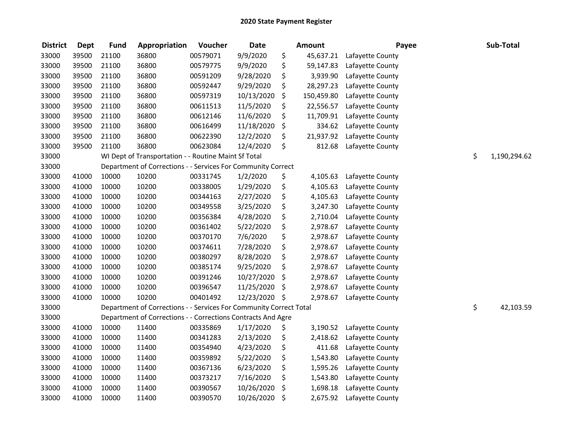| <b>District</b> | <b>Dept</b> | <b>Fund</b> | Appropriation                                                      | Voucher  | <b>Date</b> | <b>Amount</b>    | Payee            | Sub-Total          |
|-----------------|-------------|-------------|--------------------------------------------------------------------|----------|-------------|------------------|------------------|--------------------|
| 33000           | 39500       | 21100       | 36800                                                              | 00579071 | 9/9/2020    | \$<br>45,637.21  | Lafayette County |                    |
| 33000           | 39500       | 21100       | 36800                                                              | 00579775 | 9/9/2020    | \$<br>59,147.83  | Lafayette County |                    |
| 33000           | 39500       | 21100       | 36800                                                              | 00591209 | 9/28/2020   | \$<br>3,939.90   | Lafayette County |                    |
| 33000           | 39500       | 21100       | 36800                                                              | 00592447 | 9/29/2020   | \$<br>28,297.23  | Lafayette County |                    |
| 33000           | 39500       | 21100       | 36800                                                              | 00597319 | 10/13/2020  | \$<br>150,459.80 | Lafayette County |                    |
| 33000           | 39500       | 21100       | 36800                                                              | 00611513 | 11/5/2020   | \$<br>22,556.57  | Lafayette County |                    |
| 33000           | 39500       | 21100       | 36800                                                              | 00612146 | 11/6/2020   | \$<br>11,709.91  | Lafayette County |                    |
| 33000           | 39500       | 21100       | 36800                                                              | 00616499 | 11/18/2020  | \$<br>334.62     | Lafayette County |                    |
| 33000           | 39500       | 21100       | 36800                                                              | 00622390 | 12/2/2020   | \$<br>21,937.92  | Lafayette County |                    |
| 33000           | 39500       | 21100       | 36800                                                              | 00623084 | 12/4/2020   | \$<br>812.68     | Lafayette County |                    |
| 33000           |             |             | WI Dept of Transportation - - Routine Maint Sf Total               |          |             |                  |                  | \$<br>1,190,294.62 |
| 33000           |             |             | Department of Corrections - - Services For Community Correct       |          |             |                  |                  |                    |
| 33000           | 41000       | 10000       | 10200                                                              | 00331745 | 1/2/2020    | \$<br>4,105.63   | Lafayette County |                    |
| 33000           | 41000       | 10000       | 10200                                                              | 00338005 | 1/29/2020   | \$<br>4,105.63   | Lafayette County |                    |
| 33000           | 41000       | 10000       | 10200                                                              | 00344163 | 2/27/2020   | \$<br>4,105.63   | Lafayette County |                    |
| 33000           | 41000       | 10000       | 10200                                                              | 00349558 | 3/25/2020   | \$<br>3,247.30   | Lafayette County |                    |
| 33000           | 41000       | 10000       | 10200                                                              | 00356384 | 4/28/2020   | \$<br>2,710.04   | Lafayette County |                    |
| 33000           | 41000       | 10000       | 10200                                                              | 00361402 | 5/22/2020   | \$<br>2,978.67   | Lafayette County |                    |
| 33000           | 41000       | 10000       | 10200                                                              | 00370170 | 7/6/2020    | \$<br>2,978.67   | Lafayette County |                    |
| 33000           | 41000       | 10000       | 10200                                                              | 00374611 | 7/28/2020   | \$<br>2,978.67   | Lafayette County |                    |
| 33000           | 41000       | 10000       | 10200                                                              | 00380297 | 8/28/2020   | \$<br>2,978.67   | Lafayette County |                    |
| 33000           | 41000       | 10000       | 10200                                                              | 00385174 | 9/25/2020   | \$<br>2,978.67   | Lafayette County |                    |
| 33000           | 41000       | 10000       | 10200                                                              | 00391246 | 10/27/2020  | \$<br>2,978.67   | Lafayette County |                    |
| 33000           | 41000       | 10000       | 10200                                                              | 00396547 | 11/25/2020  | \$<br>2,978.67   | Lafayette County |                    |
| 33000           | 41000       | 10000       | 10200                                                              | 00401492 | 12/23/2020  | \$<br>2,978.67   | Lafayette County |                    |
| 33000           |             |             | Department of Corrections - - Services For Community Correct Total |          |             |                  |                  | \$<br>42,103.59    |
| 33000           |             |             | Department of Corrections - - Corrections Contracts And Agre       |          |             |                  |                  |                    |
| 33000           | 41000       | 10000       | 11400                                                              | 00335869 | 1/17/2020   | \$<br>3,190.52   | Lafayette County |                    |
| 33000           | 41000       | 10000       | 11400                                                              | 00341283 | 2/13/2020   | \$<br>2,418.62   | Lafayette County |                    |
| 33000           | 41000       | 10000       | 11400                                                              | 00354940 | 4/23/2020   | \$<br>411.68     | Lafayette County |                    |
| 33000           | 41000       | 10000       | 11400                                                              | 00359892 | 5/22/2020   | \$<br>1,543.80   | Lafayette County |                    |
| 33000           | 41000       | 10000       | 11400                                                              | 00367136 | 6/23/2020   | \$<br>1,595.26   | Lafayette County |                    |
| 33000           | 41000       | 10000       | 11400                                                              | 00373217 | 7/16/2020   | \$<br>1,543.80   | Lafayette County |                    |
| 33000           | 41000       | 10000       | 11400                                                              | 00390567 | 10/26/2020  | \$<br>1,698.18   | Lafayette County |                    |
| 33000           | 41000       | 10000       | 11400                                                              | 00390570 | 10/26/2020  | \$<br>2,675.92   | Lafayette County |                    |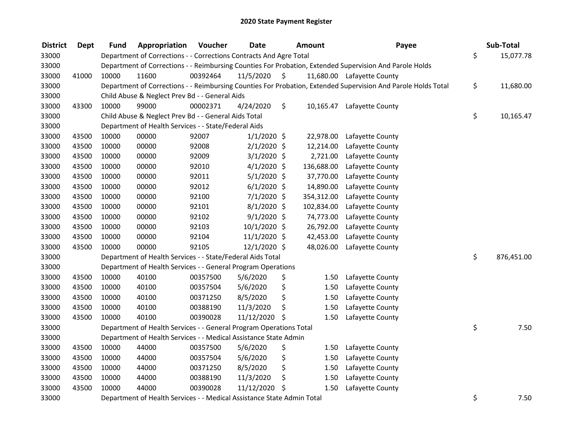| <b>District</b> | <b>Dept</b> | Fund  | Appropriation                                                          | Voucher  | <b>Date</b>    | <b>Amount</b>   | Payee                                                                                                         | Sub-Total        |
|-----------------|-------------|-------|------------------------------------------------------------------------|----------|----------------|-----------------|---------------------------------------------------------------------------------------------------------------|------------------|
| 33000           |             |       | Department of Corrections - - Corrections Contracts And Agre Total     |          |                |                 |                                                                                                               | \$<br>15,077.78  |
| 33000           |             |       |                                                                        |          |                |                 | Department of Corrections - - Reimbursing Counties For Probation, Extended Supervision And Parole Holds       |                  |
| 33000           | 41000       | 10000 | 11600                                                                  | 00392464 | 11/5/2020      | \$              | 11,680.00 Lafayette County                                                                                    |                  |
| 33000           |             |       |                                                                        |          |                |                 | Department of Corrections - - Reimbursing Counties For Probation, Extended Supervision And Parole Holds Total | \$<br>11,680.00  |
| 33000           |             |       | Child Abuse & Neglect Prev Bd - - General Aids                         |          |                |                 |                                                                                                               |                  |
| 33000           | 43300       | 10000 | 99000                                                                  | 00002371 | 4/24/2020      | \$<br>10,165.47 | Lafayette County                                                                                              |                  |
| 33000           |             |       | Child Abuse & Neglect Prev Bd - - General Aids Total                   |          |                |                 |                                                                                                               | \$<br>10,165.47  |
| 33000           |             |       | Department of Health Services - - State/Federal Aids                   |          |                |                 |                                                                                                               |                  |
| 33000           | 43500       | 10000 | 00000                                                                  | 92007    | $1/1/2020$ \$  | 22,978.00       | Lafayette County                                                                                              |                  |
| 33000           | 43500       | 10000 | 00000                                                                  | 92008    | $2/1/2020$ \$  | 12,214.00       | Lafayette County                                                                                              |                  |
| 33000           | 43500       | 10000 | 00000                                                                  | 92009    | $3/1/2020$ \$  | 2,721.00        | Lafayette County                                                                                              |                  |
| 33000           | 43500       | 10000 | 00000                                                                  | 92010    | $4/1/2020$ \$  | 136,688.00      | Lafayette County                                                                                              |                  |
| 33000           | 43500       | 10000 | 00000                                                                  | 92011    | $5/1/2020$ \$  | 37,770.00       | Lafayette County                                                                                              |                  |
| 33000           | 43500       | 10000 | 00000                                                                  | 92012    | $6/1/2020$ \$  | 14,890.00       | Lafayette County                                                                                              |                  |
| 33000           | 43500       | 10000 | 00000                                                                  | 92100    | 7/1/2020 \$    | 354,312.00      | Lafayette County                                                                                              |                  |
| 33000           | 43500       | 10000 | 00000                                                                  | 92101    | $8/1/2020$ \$  | 102,834.00      | Lafayette County                                                                                              |                  |
| 33000           | 43500       | 10000 | 00000                                                                  | 92102    | $9/1/2020$ \$  | 74,773.00       | Lafayette County                                                                                              |                  |
| 33000           | 43500       | 10000 | 00000                                                                  | 92103    | $10/1/2020$ \$ | 26,792.00       | Lafayette County                                                                                              |                  |
| 33000           | 43500       | 10000 | 00000                                                                  | 92104    | $11/1/2020$ \$ | 42,453.00       | Lafayette County                                                                                              |                  |
| 33000           | 43500       | 10000 | 00000                                                                  | 92105    | 12/1/2020 \$   | 48,026.00       | Lafayette County                                                                                              |                  |
| 33000           |             |       | Department of Health Services - - State/Federal Aids Total             |          |                |                 |                                                                                                               | \$<br>876,451.00 |
| 33000           |             |       | Department of Health Services - - General Program Operations           |          |                |                 |                                                                                                               |                  |
| 33000           | 43500       | 10000 | 40100                                                                  | 00357500 | 5/6/2020       | \$<br>1.50      | Lafayette County                                                                                              |                  |
| 33000           | 43500       | 10000 | 40100                                                                  | 00357504 | 5/6/2020       | \$<br>1.50      | Lafayette County                                                                                              |                  |
| 33000           | 43500       | 10000 | 40100                                                                  | 00371250 | 8/5/2020       | \$<br>1.50      | Lafayette County                                                                                              |                  |
| 33000           | 43500       | 10000 | 40100                                                                  | 00388190 | 11/3/2020      | \$<br>1.50      | Lafayette County                                                                                              |                  |
| 33000           | 43500       | 10000 | 40100                                                                  | 00390028 | 11/12/2020     | -\$<br>1.50     | Lafayette County                                                                                              |                  |
| 33000           |             |       | Department of Health Services - - General Program Operations Total     |          |                |                 |                                                                                                               | \$<br>7.50       |
| 33000           |             |       | Department of Health Services - - Medical Assistance State Admin       |          |                |                 |                                                                                                               |                  |
| 33000           | 43500       | 10000 | 44000                                                                  | 00357500 | 5/6/2020       | \$<br>1.50      | Lafayette County                                                                                              |                  |
| 33000           | 43500       | 10000 | 44000                                                                  | 00357504 | 5/6/2020       | \$<br>1.50      | Lafayette County                                                                                              |                  |
| 33000           | 43500       | 10000 | 44000                                                                  | 00371250 | 8/5/2020       | \$<br>1.50      | Lafayette County                                                                                              |                  |
| 33000           | 43500       | 10000 | 44000                                                                  | 00388190 | 11/3/2020      | \$<br>1.50      | Lafayette County                                                                                              |                  |
| 33000           | 43500       | 10000 | 44000                                                                  | 00390028 | 11/12/2020     | \$<br>1.50      | Lafayette County                                                                                              |                  |
| 33000           |             |       | Department of Health Services - - Medical Assistance State Admin Total |          |                |                 |                                                                                                               | \$<br>7.50       |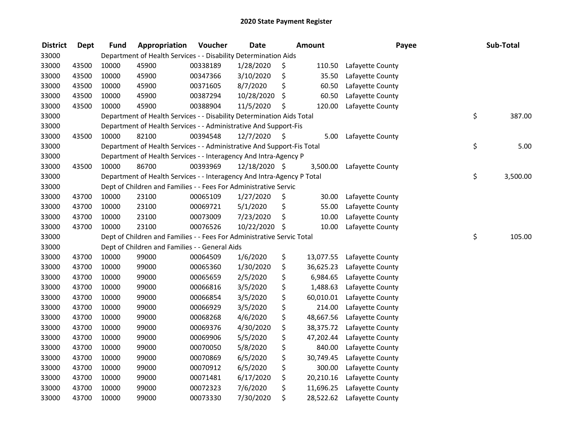| <b>District</b> | <b>Dept</b> | <b>Fund</b> | Appropriation                                                          | Voucher  | <b>Date</b>   |      | <b>Amount</b> | Payee            | Sub-Total      |
|-----------------|-------------|-------------|------------------------------------------------------------------------|----------|---------------|------|---------------|------------------|----------------|
| 33000           |             |             | Department of Health Services - - Disability Determination Aids        |          |               |      |               |                  |                |
| 33000           | 43500       | 10000       | 45900                                                                  | 00338189 | 1/28/2020     | \$   | 110.50        | Lafayette County |                |
| 33000           | 43500       | 10000       | 45900                                                                  | 00347366 | 3/10/2020     | \$   | 35.50         | Lafayette County |                |
| 33000           | 43500       | 10000       | 45900                                                                  | 00371605 | 8/7/2020      | \$   | 60.50         | Lafayette County |                |
| 33000           | 43500       | 10000       | 45900                                                                  | 00387294 | 10/28/2020    | \$   | 60.50         | Lafayette County |                |
| 33000           | 43500       | 10000       | 45900                                                                  | 00388904 | 11/5/2020     | \$   | 120.00        | Lafayette County |                |
| 33000           |             |             | Department of Health Services - - Disability Determination Aids Total  |          |               |      |               |                  | \$<br>387.00   |
| 33000           |             |             | Department of Health Services - - Administrative And Support-Fis       |          |               |      |               |                  |                |
| 33000           | 43500       | 10000       | 82100                                                                  | 00394548 | 12/7/2020     | - \$ | 5.00          | Lafayette County |                |
| 33000           |             |             | Department of Health Services - - Administrative And Support-Fis Total |          |               |      |               |                  | \$<br>5.00     |
| 33000           |             |             | Department of Health Services - - Interagency And Intra-Agency P       |          |               |      |               |                  |                |
| 33000           | 43500       | 10000       | 86700                                                                  | 00393969 | 12/18/2020 \$ |      | 3,500.00      | Lafayette County |                |
| 33000           |             |             | Department of Health Services - - Interagency And Intra-Agency P Total |          |               |      |               |                  | \$<br>3,500.00 |
| 33000           |             |             | Dept of Children and Families - - Fees For Administrative Servic       |          |               |      |               |                  |                |
| 33000           | 43700       | 10000       | 23100                                                                  | 00065109 | 1/27/2020     | \$   | 30.00         | Lafayette County |                |
| 33000           | 43700       | 10000       | 23100                                                                  | 00069721 | 5/1/2020      | \$   | 55.00         | Lafayette County |                |
| 33000           | 43700       | 10000       | 23100                                                                  | 00073009 | 7/23/2020     | \$   | 10.00         | Lafayette County |                |
| 33000           | 43700       | 10000       | 23100                                                                  | 00076526 | 10/22/2020    | -\$  | 10.00         | Lafayette County |                |
| 33000           |             |             | Dept of Children and Families - - Fees For Administrative Servic Total |          |               |      |               |                  | \$<br>105.00   |
| 33000           |             |             | Dept of Children and Families - - General Aids                         |          |               |      |               |                  |                |
| 33000           | 43700       | 10000       | 99000                                                                  | 00064509 | 1/6/2020      | \$   | 13,077.55     | Lafayette County |                |
| 33000           | 43700       | 10000       | 99000                                                                  | 00065360 | 1/30/2020     | \$   | 36,625.23     | Lafayette County |                |
| 33000           | 43700       | 10000       | 99000                                                                  | 00065659 | 2/5/2020      | \$   | 6,984.65      | Lafayette County |                |
| 33000           | 43700       | 10000       | 99000                                                                  | 00066816 | 3/5/2020      | \$   | 1,488.63      | Lafayette County |                |
| 33000           | 43700       | 10000       | 99000                                                                  | 00066854 | 3/5/2020      | \$   | 60,010.01     | Lafayette County |                |
| 33000           | 43700       | 10000       | 99000                                                                  | 00066929 | 3/5/2020      | \$   | 214.00        | Lafayette County |                |
| 33000           | 43700       | 10000       | 99000                                                                  | 00068268 | 4/6/2020      | \$   | 48,667.56     | Lafayette County |                |
| 33000           | 43700       | 10000       | 99000                                                                  | 00069376 | 4/30/2020     | \$   | 38,375.72     | Lafayette County |                |
| 33000           | 43700       | 10000       | 99000                                                                  | 00069906 | 5/5/2020      | \$   | 47,202.44     | Lafayette County |                |
| 33000           | 43700       | 10000       | 99000                                                                  | 00070050 | 5/8/2020      | \$   | 840.00        | Lafayette County |                |
| 33000           | 43700       | 10000       | 99000                                                                  | 00070869 | 6/5/2020      | \$   | 30,749.45     | Lafayette County |                |
| 33000           | 43700       | 10000       | 99000                                                                  | 00070912 | 6/5/2020      | \$   | 300.00        | Lafayette County |                |
| 33000           | 43700       | 10000       | 99000                                                                  | 00071481 | 6/17/2020     | \$   | 20,210.16     | Lafayette County |                |
| 33000           | 43700       | 10000       | 99000                                                                  | 00072323 | 7/6/2020      | \$   | 11,696.25     | Lafayette County |                |
| 33000           | 43700       | 10000       | 99000                                                                  | 00073330 | 7/30/2020     | \$   | 28,522.62     | Lafayette County |                |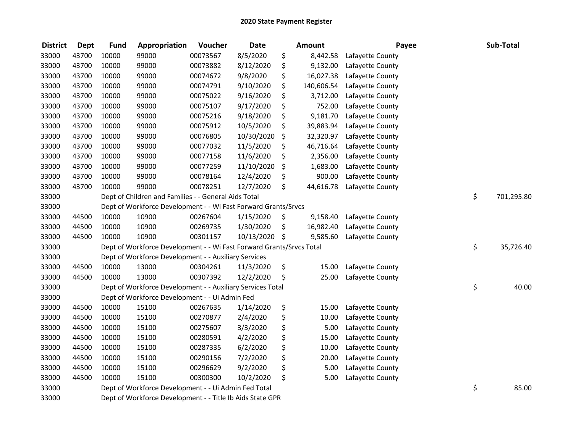| <b>District</b> | <b>Dept</b> | <b>Fund</b> | Appropriation                                                        | Voucher  | <b>Date</b> | Amount           | Payee            | Sub-Total        |
|-----------------|-------------|-------------|----------------------------------------------------------------------|----------|-------------|------------------|------------------|------------------|
| 33000           | 43700       | 10000       | 99000                                                                | 00073567 | 8/5/2020    | \$<br>8,442.58   | Lafayette County |                  |
| 33000           | 43700       | 10000       | 99000                                                                | 00073882 | 8/12/2020   | \$<br>9,132.00   | Lafayette County |                  |
| 33000           | 43700       | 10000       | 99000                                                                | 00074672 | 9/8/2020    | \$<br>16,027.38  | Lafayette County |                  |
| 33000           | 43700       | 10000       | 99000                                                                | 00074791 | 9/10/2020   | \$<br>140,606.54 | Lafayette County |                  |
| 33000           | 43700       | 10000       | 99000                                                                | 00075022 | 9/16/2020   | \$<br>3,712.00   | Lafayette County |                  |
| 33000           | 43700       | 10000       | 99000                                                                | 00075107 | 9/17/2020   | \$<br>752.00     | Lafayette County |                  |
| 33000           | 43700       | 10000       | 99000                                                                | 00075216 | 9/18/2020   | \$<br>9,181.70   | Lafayette County |                  |
| 33000           | 43700       | 10000       | 99000                                                                | 00075912 | 10/5/2020   | \$<br>39,883.94  | Lafayette County |                  |
| 33000           | 43700       | 10000       | 99000                                                                | 00076805 | 10/30/2020  | \$<br>32,320.97  | Lafayette County |                  |
| 33000           | 43700       | 10000       | 99000                                                                | 00077032 | 11/5/2020   | \$<br>46,716.64  | Lafayette County |                  |
| 33000           | 43700       | 10000       | 99000                                                                | 00077158 | 11/6/2020   | \$<br>2,356.00   | Lafayette County |                  |
| 33000           | 43700       | 10000       | 99000                                                                | 00077259 | 11/10/2020  | \$<br>1,683.00   | Lafayette County |                  |
| 33000           | 43700       | 10000       | 99000                                                                | 00078164 | 12/4/2020   | \$<br>900.00     | Lafayette County |                  |
| 33000           | 43700       | 10000       | 99000                                                                | 00078251 | 12/7/2020   | \$<br>44,616.78  | Lafayette County |                  |
| 33000           |             |             | Dept of Children and Families - - General Aids Total                 |          |             |                  |                  | \$<br>701,295.80 |
| 33000           |             |             | Dept of Workforce Development - - Wi Fast Forward Grants/Srvcs       |          |             |                  |                  |                  |
| 33000           | 44500       | 10000       | 10900                                                                | 00267604 | 1/15/2020   | \$<br>9,158.40   | Lafayette County |                  |
| 33000           | 44500       | 10000       | 10900                                                                | 00269735 | 1/30/2020   | \$<br>16,982.40  | Lafayette County |                  |
| 33000           | 44500       | 10000       | 10900                                                                | 00301157 | 10/13/2020  | \$<br>9,585.60   | Lafayette County |                  |
| 33000           |             |             | Dept of Workforce Development - - Wi Fast Forward Grants/Srvcs Total |          |             |                  |                  | \$<br>35,726.40  |
| 33000           |             |             | Dept of Workforce Development - - Auxiliary Services                 |          |             |                  |                  |                  |
| 33000           | 44500       | 10000       | 13000                                                                | 00304261 | 11/3/2020   | \$<br>15.00      | Lafayette County |                  |
| 33000           | 44500       | 10000       | 13000                                                                | 00307392 | 12/2/2020   | \$<br>25.00      | Lafayette County |                  |
| 33000           |             |             | Dept of Workforce Development - - Auxiliary Services Total           |          |             |                  |                  | \$<br>40.00      |
| 33000           |             |             | Dept of Workforce Development - - Ui Admin Fed                       |          |             |                  |                  |                  |
| 33000           | 44500       | 10000       | 15100                                                                | 00267635 | 1/14/2020   | \$<br>15.00      | Lafayette County |                  |
| 33000           | 44500       | 10000       | 15100                                                                | 00270877 | 2/4/2020    | \$<br>10.00      | Lafayette County |                  |
| 33000           | 44500       | 10000       | 15100                                                                | 00275607 | 3/3/2020    | \$<br>5.00       | Lafayette County |                  |
| 33000           | 44500       | 10000       | 15100                                                                | 00280591 | 4/2/2020    | \$<br>15.00      | Lafayette County |                  |
| 33000           | 44500       | 10000       | 15100                                                                | 00287335 | 6/2/2020    | \$<br>10.00      | Lafayette County |                  |
| 33000           | 44500       | 10000       | 15100                                                                | 00290156 | 7/2/2020    | \$<br>20.00      | Lafayette County |                  |
| 33000           | 44500       | 10000       | 15100                                                                | 00296629 | 9/2/2020    | \$<br>5.00       | Lafayette County |                  |
| 33000           | 44500       | 10000       | 15100                                                                | 00300300 | 10/2/2020   | \$<br>5.00       | Lafayette County |                  |
| 33000           |             |             | Dept of Workforce Development - - Ui Admin Fed Total                 |          |             |                  |                  | \$<br>85.00      |
| 33000           |             |             | Dept of Workforce Development - - Title Ib Aids State GPR            |          |             |                  |                  |                  |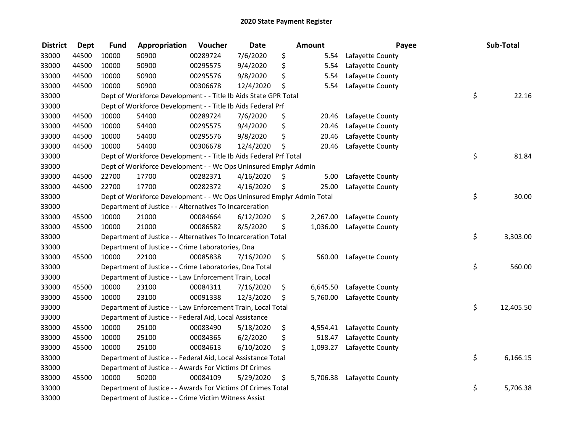| <b>District</b> | <b>Dept</b> | <b>Fund</b> | Appropriation                                                         | Voucher  | <b>Date</b> |     | Amount   | Payee                     | Sub-Total       |
|-----------------|-------------|-------------|-----------------------------------------------------------------------|----------|-------------|-----|----------|---------------------------|-----------------|
| 33000           | 44500       | 10000       | 50900                                                                 | 00289724 | 7/6/2020    | \$  | 5.54     | Lafayette County          |                 |
| 33000           | 44500       | 10000       | 50900                                                                 | 00295575 | 9/4/2020    | \$  | 5.54     | Lafayette County          |                 |
| 33000           | 44500       | 10000       | 50900                                                                 | 00295576 | 9/8/2020    | \$  | 5.54     | Lafayette County          |                 |
| 33000           | 44500       | 10000       | 50900                                                                 | 00306678 | 12/4/2020   | \$  | 5.54     | Lafayette County          |                 |
| 33000           |             |             | Dept of Workforce Development - - Title Ib Aids State GPR Total       |          |             |     |          |                           | \$<br>22.16     |
| 33000           |             |             | Dept of Workforce Development - - Title Ib Aids Federal Prf           |          |             |     |          |                           |                 |
| 33000           | 44500       | 10000       | 54400                                                                 | 00289724 | 7/6/2020    | \$  | 20.46    | Lafayette County          |                 |
| 33000           | 44500       | 10000       | 54400                                                                 | 00295575 | 9/4/2020    | \$  | 20.46    | Lafayette County          |                 |
| 33000           | 44500       | 10000       | 54400                                                                 | 00295576 | 9/8/2020    | \$  | 20.46    | Lafayette County          |                 |
| 33000           | 44500       | 10000       | 54400                                                                 | 00306678 | 12/4/2020   | \$  | 20.46    | Lafayette County          |                 |
| 33000           |             |             | Dept of Workforce Development - - Title Ib Aids Federal Prf Total     |          |             |     |          |                           | \$<br>81.84     |
| 33000           |             |             | Dept of Workforce Development - - Wc Ops Uninsured Emplyr Admin       |          |             |     |          |                           |                 |
| 33000           | 44500       | 22700       | 17700                                                                 | 00282371 | 4/16/2020   | \$, | 5.00     | Lafayette County          |                 |
| 33000           | 44500       | 22700       | 17700                                                                 | 00282372 | 4/16/2020   | \$  | 25.00    | Lafayette County          |                 |
| 33000           |             |             | Dept of Workforce Development - - Wc Ops Uninsured Emplyr Admin Total |          |             |     |          |                           | \$<br>30.00     |
| 33000           |             |             | Department of Justice - - Alternatives To Incarceration               |          |             |     |          |                           |                 |
| 33000           | 45500       | 10000       | 21000                                                                 | 00084664 | 6/12/2020   | \$  | 2,267.00 | Lafayette County          |                 |
| 33000           | 45500       | 10000       | 21000                                                                 | 00086582 | 8/5/2020    | \$  | 1,036.00 | Lafayette County          |                 |
| 33000           |             |             | Department of Justice - - Alternatives To Incarceration Total         |          |             |     |          |                           | \$<br>3,303.00  |
| 33000           |             |             | Department of Justice - - Crime Laboratories, Dna                     |          |             |     |          |                           |                 |
| 33000           | 45500       | 10000       | 22100                                                                 | 00085838 | 7/16/2020   | \$  | 560.00   | Lafayette County          |                 |
| 33000           |             |             | Department of Justice - - Crime Laboratories, Dna Total               |          |             |     |          |                           | \$<br>560.00    |
| 33000           |             |             | Department of Justice - - Law Enforcement Train, Local                |          |             |     |          |                           |                 |
| 33000           | 45500       | 10000       | 23100                                                                 | 00084311 | 7/16/2020   | \$  | 6,645.50 | Lafayette County          |                 |
| 33000           | 45500       | 10000       | 23100                                                                 | 00091338 | 12/3/2020   | \$  | 5,760.00 | Lafayette County          |                 |
| 33000           |             |             | Department of Justice - - Law Enforcement Train, Local Total          |          |             |     |          |                           | \$<br>12,405.50 |
| 33000           |             |             | Department of Justice - - Federal Aid, Local Assistance               |          |             |     |          |                           |                 |
| 33000           | 45500       | 10000       | 25100                                                                 | 00083490 | 5/18/2020   | \$  | 4,554.41 | Lafayette County          |                 |
| 33000           | 45500       | 10000       | 25100                                                                 | 00084365 | 6/2/2020    | \$  | 518.47   | Lafayette County          |                 |
| 33000           | 45500       | 10000       | 25100                                                                 | 00084613 | 6/10/2020   | \$  | 1,093.27 | Lafayette County          |                 |
| 33000           |             |             | Department of Justice - - Federal Aid, Local Assistance Total         |          |             |     |          |                           | \$<br>6,166.15  |
| 33000           |             |             | Department of Justice - - Awards For Victims Of Crimes                |          |             |     |          |                           |                 |
| 33000           | 45500       | 10000       | 50200                                                                 | 00084109 | 5/29/2020   | \$  |          | 5,706.38 Lafayette County |                 |
| 33000           |             |             | Department of Justice - - Awards For Victims Of Crimes Total          |          |             |     |          |                           | \$<br>5,706.38  |
| 33000           |             |             | Department of Justice - - Crime Victim Witness Assist                 |          |             |     |          |                           |                 |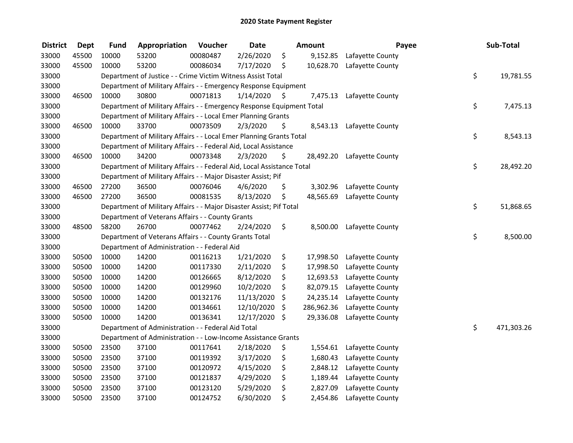| <b>District</b> | <b>Dept</b> | <b>Fund</b> | Appropriation                                                          | Voucher  | <b>Date</b> |    | <b>Amount</b> | Payee                     | Sub-Total        |
|-----------------|-------------|-------------|------------------------------------------------------------------------|----------|-------------|----|---------------|---------------------------|------------------|
| 33000           | 45500       | 10000       | 53200                                                                  | 00080487 | 2/26/2020   | \$ | 9,152.85      | Lafayette County          |                  |
| 33000           | 45500       | 10000       | 53200                                                                  | 00086034 | 7/17/2020   | \$ | 10,628.70     | Lafayette County          |                  |
| 33000           |             |             | Department of Justice - - Crime Victim Witness Assist Total            |          |             |    |               |                           | \$<br>19,781.55  |
| 33000           |             |             | Department of Military Affairs - - Emergency Response Equipment        |          |             |    |               |                           |                  |
| 33000           | 46500       | 10000       | 30800                                                                  | 00071813 | 1/14/2020   | S  | 7,475.13      | Lafayette County          |                  |
| 33000           |             |             | Department of Military Affairs - - Emergency Response Equipment Total  |          |             |    |               |                           | \$<br>7,475.13   |
| 33000           |             |             | Department of Military Affairs - - Local Emer Planning Grants          |          |             |    |               |                           |                  |
| 33000           | 46500       | 10000       | 33700                                                                  | 00073509 | 2/3/2020    | \$ |               | 8,543.13 Lafayette County |                  |
| 33000           |             |             | Department of Military Affairs - - Local Emer Planning Grants Total    |          |             |    |               |                           | \$<br>8,543.13   |
| 33000           |             |             | Department of Military Affairs - - Federal Aid, Local Assistance       |          |             |    |               |                           |                  |
| 33000           | 46500       | 10000       | 34200                                                                  | 00073348 | 2/3/2020    | \$ | 28,492.20     | Lafayette County          |                  |
| 33000           |             |             | Department of Military Affairs - - Federal Aid, Local Assistance Total |          |             |    |               |                           | \$<br>28,492.20  |
| 33000           |             |             | Department of Military Affairs - - Major Disaster Assist; Pif          |          |             |    |               |                           |                  |
| 33000           | 46500       | 27200       | 36500                                                                  | 00076046 | 4/6/2020    | \$ | 3,302.96      | Lafayette County          |                  |
| 33000           | 46500       | 27200       | 36500                                                                  | 00081535 | 8/13/2020   | \$ | 48,565.69     | Lafayette County          |                  |
| 33000           |             |             | Department of Military Affairs - - Major Disaster Assist; Pif Total    |          |             |    |               |                           | \$<br>51,868.65  |
| 33000           |             |             | Department of Veterans Affairs - - County Grants                       |          |             |    |               |                           |                  |
| 33000           | 48500       | 58200       | 26700                                                                  | 00077462 | 2/24/2020   | \$ | 8,500.00      | Lafayette County          |                  |
| 33000           |             |             | Department of Veterans Affairs - - County Grants Total                 |          |             |    |               |                           | \$<br>8,500.00   |
| 33000           |             |             | Department of Administration - - Federal Aid                           |          |             |    |               |                           |                  |
| 33000           | 50500       | 10000       | 14200                                                                  | 00116213 | 1/21/2020   | \$ | 17,998.50     | Lafayette County          |                  |
| 33000           | 50500       | 10000       | 14200                                                                  | 00117330 | 2/11/2020   | \$ | 17,998.50     | Lafayette County          |                  |
| 33000           | 50500       | 10000       | 14200                                                                  | 00126665 | 8/12/2020   | \$ | 12,693.53     | Lafayette County          |                  |
| 33000           | 50500       | 10000       | 14200                                                                  | 00129960 | 10/2/2020   | \$ | 82,079.15     | Lafayette County          |                  |
| 33000           | 50500       | 10000       | 14200                                                                  | 00132176 | 11/13/2020  | \$ | 24,235.14     | Lafayette County          |                  |
| 33000           | 50500       | 10000       | 14200                                                                  | 00134661 | 12/10/2020  | \$ | 286,962.36    | Lafayette County          |                  |
| 33000           | 50500       | 10000       | 14200                                                                  | 00136341 | 12/17/2020  | \$ | 29,336.08     | Lafayette County          |                  |
| 33000           |             |             | Department of Administration - - Federal Aid Total                     |          |             |    |               |                           | \$<br>471,303.26 |
| 33000           |             |             | Department of Administration - - Low-Income Assistance Grants          |          |             |    |               |                           |                  |
| 33000           | 50500       | 23500       | 37100                                                                  | 00117641 | 2/18/2020   | \$ | 1,554.61      | Lafayette County          |                  |
| 33000           | 50500       | 23500       | 37100                                                                  | 00119392 | 3/17/2020   | \$ | 1,680.43      | Lafayette County          |                  |
| 33000           | 50500       | 23500       | 37100                                                                  | 00120972 | 4/15/2020   | \$ | 2,848.12      | Lafayette County          |                  |
| 33000           | 50500       | 23500       | 37100                                                                  | 00121837 | 4/29/2020   | \$ | 1,189.44      | Lafayette County          |                  |
| 33000           | 50500       | 23500       | 37100                                                                  | 00123120 | 5/29/2020   | \$ | 2,827.09      | Lafayette County          |                  |
| 33000           | 50500       | 23500       | 37100                                                                  | 00124752 | 6/30/2020   | \$ | 2,454.86      | Lafayette County          |                  |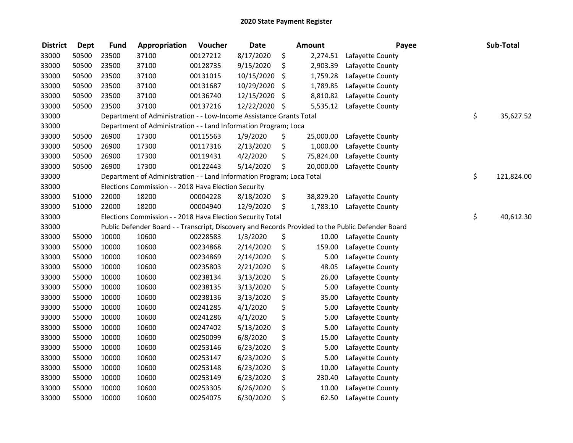| <b>District</b> | <b>Dept</b> | <b>Fund</b> | Appropriation                                                         | Voucher  | <b>Date</b> | Amount          | Payee                                                                                             | Sub-Total        |
|-----------------|-------------|-------------|-----------------------------------------------------------------------|----------|-------------|-----------------|---------------------------------------------------------------------------------------------------|------------------|
| 33000           | 50500       | 23500       | 37100                                                                 | 00127212 | 8/17/2020   | \$<br>2,274.51  | Lafayette County                                                                                  |                  |
| 33000           | 50500       | 23500       | 37100                                                                 | 00128735 | 9/15/2020   | \$<br>2,903.39  | Lafayette County                                                                                  |                  |
| 33000           | 50500       | 23500       | 37100                                                                 | 00131015 | 10/15/2020  | \$<br>1,759.28  | Lafayette County                                                                                  |                  |
| 33000           | 50500       | 23500       | 37100                                                                 | 00131687 | 10/29/2020  | \$<br>1,789.85  | Lafayette County                                                                                  |                  |
| 33000           | 50500       | 23500       | 37100                                                                 | 00136740 | 12/15/2020  | \$<br>8,810.82  | Lafayette County                                                                                  |                  |
| 33000           | 50500       | 23500       | 37100                                                                 | 00137216 | 12/22/2020  | \$<br>5,535.12  | Lafayette County                                                                                  |                  |
| 33000           |             |             | Department of Administration - - Low-Income Assistance Grants Total   |          |             |                 |                                                                                                   | \$<br>35,627.52  |
| 33000           |             |             | Department of Administration - - Land Information Program; Loca       |          |             |                 |                                                                                                   |                  |
| 33000           | 50500       | 26900       | 17300                                                                 | 00115563 | 1/9/2020    | \$<br>25,000.00 | Lafayette County                                                                                  |                  |
| 33000           | 50500       | 26900       | 17300                                                                 | 00117316 | 2/13/2020   | \$<br>1,000.00  | Lafayette County                                                                                  |                  |
| 33000           | 50500       | 26900       | 17300                                                                 | 00119431 | 4/2/2020    | \$<br>75,824.00 | Lafayette County                                                                                  |                  |
| 33000           | 50500       | 26900       | 17300                                                                 | 00122443 | 5/14/2020   | \$<br>20,000.00 | Lafayette County                                                                                  |                  |
| 33000           |             |             | Department of Administration - - Land Information Program; Loca Total |          |             |                 |                                                                                                   | \$<br>121,824.00 |
| 33000           |             |             | Elections Commission - - 2018 Hava Election Security                  |          |             |                 |                                                                                                   |                  |
| 33000           | 51000       | 22000       | 18200                                                                 | 00004228 | 8/18/2020   | \$<br>38,829.20 | Lafayette County                                                                                  |                  |
| 33000           | 51000       | 22000       | 18200                                                                 | 00004940 | 12/9/2020   | \$<br>1,783.10  | Lafayette County                                                                                  |                  |
| 33000           |             |             | Elections Commission - - 2018 Hava Election Security Total            |          |             |                 |                                                                                                   | \$<br>40,612.30  |
| 33000           |             |             |                                                                       |          |             |                 | Public Defender Board - - Transcript, Discovery and Records Provided to the Public Defender Board |                  |
| 33000           | 55000       | 10000       | 10600                                                                 | 00228583 | 1/3/2020    | \$<br>10.00     | Lafayette County                                                                                  |                  |
| 33000           | 55000       | 10000       | 10600                                                                 | 00234868 | 2/14/2020   | \$<br>159.00    | Lafayette County                                                                                  |                  |
| 33000           | 55000       | 10000       | 10600                                                                 | 00234869 | 2/14/2020   | \$<br>5.00      | Lafayette County                                                                                  |                  |
| 33000           | 55000       | 10000       | 10600                                                                 | 00235803 | 2/21/2020   | \$<br>48.05     | Lafayette County                                                                                  |                  |
| 33000           | 55000       | 10000       | 10600                                                                 | 00238134 | 3/13/2020   | \$<br>26.00     | Lafayette County                                                                                  |                  |
| 33000           | 55000       | 10000       | 10600                                                                 | 00238135 | 3/13/2020   | \$<br>5.00      | Lafayette County                                                                                  |                  |
| 33000           | 55000       | 10000       | 10600                                                                 | 00238136 | 3/13/2020   | \$<br>35.00     | Lafayette County                                                                                  |                  |
| 33000           | 55000       | 10000       | 10600                                                                 | 00241285 | 4/1/2020    | \$<br>5.00      | Lafayette County                                                                                  |                  |
| 33000           | 55000       | 10000       | 10600                                                                 | 00241286 | 4/1/2020    | \$<br>5.00      | Lafayette County                                                                                  |                  |
| 33000           | 55000       | 10000       | 10600                                                                 | 00247402 | 5/13/2020   | \$<br>5.00      | Lafayette County                                                                                  |                  |
| 33000           | 55000       | 10000       | 10600                                                                 | 00250099 | 6/8/2020    | \$<br>15.00     | Lafayette County                                                                                  |                  |
| 33000           | 55000       | 10000       | 10600                                                                 | 00253146 | 6/23/2020   | \$<br>5.00      | Lafayette County                                                                                  |                  |
| 33000           | 55000       | 10000       | 10600                                                                 | 00253147 | 6/23/2020   | \$<br>5.00      | Lafayette County                                                                                  |                  |
| 33000           | 55000       | 10000       | 10600                                                                 | 00253148 | 6/23/2020   | \$<br>10.00     | Lafayette County                                                                                  |                  |
| 33000           | 55000       | 10000       | 10600                                                                 | 00253149 | 6/23/2020   | \$<br>230.40    | Lafayette County                                                                                  |                  |
| 33000           | 55000       | 10000       | 10600                                                                 | 00253305 | 6/26/2020   | \$<br>10.00     | Lafayette County                                                                                  |                  |
| 33000           | 55000       | 10000       | 10600                                                                 | 00254075 | 6/30/2020   | \$<br>62.50     | Lafayette County                                                                                  |                  |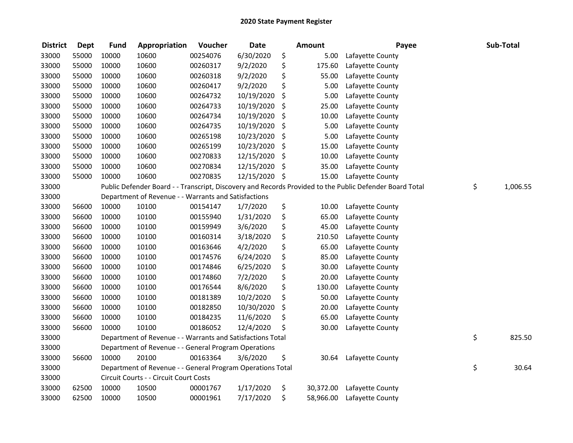| <b>District</b> | Dept  | <b>Fund</b> | Appropriation                                              | Voucher  | <b>Date</b> | Amount          | Payee                                                                                                   | Sub-Total      |
|-----------------|-------|-------------|------------------------------------------------------------|----------|-------------|-----------------|---------------------------------------------------------------------------------------------------------|----------------|
| 33000           | 55000 | 10000       | 10600                                                      | 00254076 | 6/30/2020   | \$<br>5.00      | Lafayette County                                                                                        |                |
| 33000           | 55000 | 10000       | 10600                                                      | 00260317 | 9/2/2020    | \$<br>175.60    | Lafayette County                                                                                        |                |
| 33000           | 55000 | 10000       | 10600                                                      | 00260318 | 9/2/2020    | \$<br>55.00     | Lafayette County                                                                                        |                |
| 33000           | 55000 | 10000       | 10600                                                      | 00260417 | 9/2/2020    | \$<br>5.00      | Lafayette County                                                                                        |                |
| 33000           | 55000 | 10000       | 10600                                                      | 00264732 | 10/19/2020  | \$<br>5.00      | Lafayette County                                                                                        |                |
| 33000           | 55000 | 10000       | 10600                                                      | 00264733 | 10/19/2020  | \$<br>25.00     | Lafayette County                                                                                        |                |
| 33000           | 55000 | 10000       | 10600                                                      | 00264734 | 10/19/2020  | \$<br>10.00     | Lafayette County                                                                                        |                |
| 33000           | 55000 | 10000       | 10600                                                      | 00264735 | 10/19/2020  | \$<br>5.00      | Lafayette County                                                                                        |                |
| 33000           | 55000 | 10000       | 10600                                                      | 00265198 | 10/23/2020  | \$<br>5.00      | Lafayette County                                                                                        |                |
| 33000           | 55000 | 10000       | 10600                                                      | 00265199 | 10/23/2020  | \$<br>15.00     | Lafayette County                                                                                        |                |
| 33000           | 55000 | 10000       | 10600                                                      | 00270833 | 12/15/2020  | \$<br>10.00     | Lafayette County                                                                                        |                |
| 33000           | 55000 | 10000       | 10600                                                      | 00270834 | 12/15/2020  | \$<br>35.00     | Lafayette County                                                                                        |                |
| 33000           | 55000 | 10000       | 10600                                                      | 00270835 | 12/15/2020  | \$<br>15.00     | Lafayette County                                                                                        |                |
| 33000           |       |             |                                                            |          |             |                 | Public Defender Board - - Transcript, Discovery and Records Provided to the Public Defender Board Total | \$<br>1,006.55 |
| 33000           |       |             | Department of Revenue - - Warrants and Satisfactions       |          |             |                 |                                                                                                         |                |
| 33000           | 56600 | 10000       | 10100                                                      | 00154147 | 1/7/2020    | \$<br>10.00     | Lafayette County                                                                                        |                |
| 33000           | 56600 | 10000       | 10100                                                      | 00155940 | 1/31/2020   | \$<br>65.00     | Lafayette County                                                                                        |                |
| 33000           | 56600 | 10000       | 10100                                                      | 00159949 | 3/6/2020    | \$<br>45.00     | Lafayette County                                                                                        |                |
| 33000           | 56600 | 10000       | 10100                                                      | 00160314 | 3/18/2020   | \$<br>210.50    | Lafayette County                                                                                        |                |
| 33000           | 56600 | 10000       | 10100                                                      | 00163646 | 4/2/2020    | \$<br>65.00     | Lafayette County                                                                                        |                |
| 33000           | 56600 | 10000       | 10100                                                      | 00174576 | 6/24/2020   | \$<br>85.00     | Lafayette County                                                                                        |                |
| 33000           | 56600 | 10000       | 10100                                                      | 00174846 | 6/25/2020   | \$<br>30.00     | Lafayette County                                                                                        |                |
| 33000           | 56600 | 10000       | 10100                                                      | 00174860 | 7/2/2020    | \$<br>20.00     | Lafayette County                                                                                        |                |
| 33000           | 56600 | 10000       | 10100                                                      | 00176544 | 8/6/2020    | \$<br>130.00    | Lafayette County                                                                                        |                |
| 33000           | 56600 | 10000       | 10100                                                      | 00181389 | 10/2/2020   | \$<br>50.00     | Lafayette County                                                                                        |                |
| 33000           | 56600 | 10000       | 10100                                                      | 00182850 | 10/30/2020  | \$<br>20.00     | Lafayette County                                                                                        |                |
| 33000           | 56600 | 10000       | 10100                                                      | 00184235 | 11/6/2020   | \$<br>65.00     | Lafayette County                                                                                        |                |
| 33000           | 56600 | 10000       | 10100                                                      | 00186052 | 12/4/2020   | \$<br>30.00     | Lafayette County                                                                                        |                |
| 33000           |       |             | Department of Revenue - - Warrants and Satisfactions Total |          |             |                 |                                                                                                         | \$<br>825.50   |
| 33000           |       |             | Department of Revenue - - General Program Operations       |          |             |                 |                                                                                                         |                |
| 33000           | 56600 | 10000       | 20100                                                      | 00163364 | 3/6/2020    | \$<br>30.64     | Lafayette County                                                                                        |                |
| 33000           |       |             | Department of Revenue - - General Program Operations Total |          |             |                 |                                                                                                         | \$<br>30.64    |
| 33000           |       |             | Circuit Courts - - Circuit Court Costs                     |          |             |                 |                                                                                                         |                |
| 33000           | 62500 | 10000       | 10500                                                      | 00001767 | 1/17/2020   | \$<br>30,372.00 | Lafayette County                                                                                        |                |
| 33000           | 62500 | 10000       | 10500                                                      | 00001961 | 7/17/2020   | \$<br>58,966.00 | Lafayette County                                                                                        |                |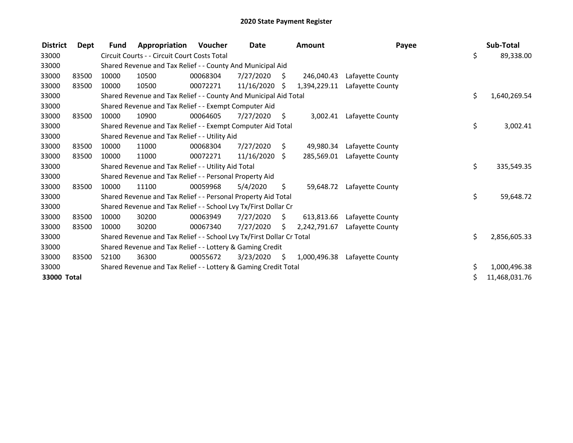| <b>District</b> | Dept  | Fund  | Appropriation                                                         | Voucher  | <b>Date</b> |     | <b>Amount</b> | Payee            | Sub-Total          |
|-----------------|-------|-------|-----------------------------------------------------------------------|----------|-------------|-----|---------------|------------------|--------------------|
| 33000           |       |       | Circuit Courts - - Circuit Court Costs Total                          |          |             |     |               |                  | \$<br>89,338.00    |
| 33000           |       |       | Shared Revenue and Tax Relief - - County And Municipal Aid            |          |             |     |               |                  |                    |
| 33000           | 83500 | 10000 | 10500                                                                 | 00068304 | 7/27/2020   | \$  | 246,040.43    | Lafayette County |                    |
| 33000           | 83500 | 10000 | 10500                                                                 | 00072271 | 11/16/2020  | Ŝ.  | 1,394,229.11  | Lafayette County |                    |
| 33000           |       |       | Shared Revenue and Tax Relief - - County And Municipal Aid Total      |          |             |     |               |                  | \$<br>1,640,269.54 |
| 33000           |       |       | Shared Revenue and Tax Relief - - Exempt Computer Aid                 |          |             |     |               |                  |                    |
| 33000           | 83500 | 10000 | 10900                                                                 | 00064605 | 7/27/2020   | \$  | 3,002.41      | Lafayette County |                    |
| 33000           |       |       | Shared Revenue and Tax Relief - - Exempt Computer Aid Total           |          |             |     |               |                  | \$<br>3,002.41     |
| 33000           |       |       | Shared Revenue and Tax Relief - - Utility Aid                         |          |             |     |               |                  |                    |
| 33000           | 83500 | 10000 | 11000                                                                 | 00068304 | 7/27/2020   | S.  | 49,980.34     | Lafayette County |                    |
| 33000           | 83500 | 10000 | 11000                                                                 | 00072271 | 11/16/2020  | Ŝ.  | 285,569.01    | Lafayette County |                    |
| 33000           |       |       | Shared Revenue and Tax Relief - - Utility Aid Total                   |          |             |     |               |                  | \$<br>335,549.35   |
| 33000           |       |       | Shared Revenue and Tax Relief - - Personal Property Aid               |          |             |     |               |                  |                    |
| 33000           | 83500 | 10000 | 11100                                                                 | 00059968 | 5/4/2020    | \$. | 59,648.72     | Lafayette County |                    |
| 33000           |       |       | Shared Revenue and Tax Relief - - Personal Property Aid Total         |          |             |     |               |                  | \$<br>59,648.72    |
| 33000           |       |       | Shared Revenue and Tax Relief - - School Lvy Tx/First Dollar Cr       |          |             |     |               |                  |                    |
| 33000           | 83500 | 10000 | 30200                                                                 | 00063949 | 7/27/2020   | Ŝ.  | 613,813.66    | Lafayette County |                    |
| 33000           | 83500 | 10000 | 30200                                                                 | 00067340 | 7/27/2020   | S.  | 2,242,791.67  | Lafayette County |                    |
| 33000           |       |       | Shared Revenue and Tax Relief - - School Lvy Tx/First Dollar Cr Total |          |             |     |               |                  | \$<br>2,856,605.33 |
| 33000           |       |       | Shared Revenue and Tax Relief - - Lottery & Gaming Credit             |          |             |     |               |                  |                    |
| 33000           | 83500 | 52100 | 36300                                                                 | 00055672 | 3/23/2020   | S.  | 1,000,496.38  | Lafayette County |                    |
| 33000           |       |       | Shared Revenue and Tax Relief - - Lottery & Gaming Credit Total       |          |             |     |               |                  | \$<br>1,000,496.38 |
| 33000 Total     |       |       |                                                                       |          |             |     |               |                  | 11,468,031.76      |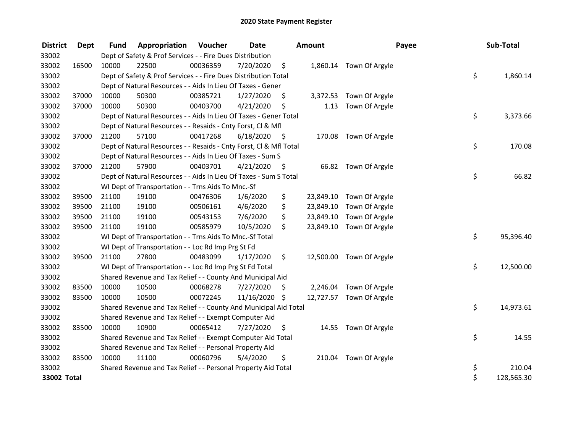| <b>District</b> | Dept  | <b>Fund</b> | Appropriation                                                      | Voucher  | Date       |      | Amount    |                          | Payee | Sub-Total  |
|-----------------|-------|-------------|--------------------------------------------------------------------|----------|------------|------|-----------|--------------------------|-------|------------|
| 33002           |       |             | Dept of Safety & Prof Services - - Fire Dues Distribution          |          |            |      |           |                          |       |            |
| 33002           | 16500 | 10000       | 22500                                                              | 00036359 | 7/20/2020  | \$   |           | 1,860.14 Town Of Argyle  |       |            |
| 33002           |       |             | Dept of Safety & Prof Services - - Fire Dues Distribution Total    |          |            |      |           |                          | \$    | 1,860.14   |
| 33002           |       |             | Dept of Natural Resources - - Aids In Lieu Of Taxes - Gener        |          |            |      |           |                          |       |            |
| 33002           | 37000 | 10000       | 50300                                                              | 00385721 | 1/27/2020  | \$.  |           | 3,372.53 Town Of Argyle  |       |            |
| 33002           | 37000 | 10000       | 50300                                                              | 00403700 | 4/21/2020  | \$   | 1.13      | Town Of Argyle           |       |            |
| 33002           |       |             | Dept of Natural Resources - - Aids In Lieu Of Taxes - Gener Total  |          |            |      |           |                          | \$    | 3,373.66   |
| 33002           |       |             | Dept of Natural Resources - - Resaids - Cnty Forst, Cl & Mfl       |          |            |      |           |                          |       |            |
| 33002           | 37000 | 21200       | 57100                                                              | 00417268 | 6/18/2020  | - \$ |           | 170.08 Town Of Argyle    |       |            |
| 33002           |       |             | Dept of Natural Resources - - Resaids - Cnty Forst, Cl & Mfl Total |          |            |      |           |                          | \$    | 170.08     |
| 33002           |       |             | Dept of Natural Resources - - Aids In Lieu Of Taxes - Sum S        |          |            |      |           |                          |       |            |
| 33002           | 37000 | 21200       | 57900                                                              | 00403701 | 4/21/2020  | - \$ |           | 66.82 Town Of Argyle     |       |            |
| 33002           |       |             | Dept of Natural Resources - - Aids In Lieu Of Taxes - Sum S Total  |          |            |      |           |                          | \$    | 66.82      |
| 33002           |       |             | WI Dept of Transportation - - Trns Aids To Mnc.-Sf                 |          |            |      |           |                          |       |            |
| 33002           | 39500 | 21100       | 19100                                                              | 00476306 | 1/6/2020   | \$   | 23,849.10 | Town Of Argyle           |       |            |
| 33002           | 39500 | 21100       | 19100                                                              | 00506161 | 4/6/2020   | \$   | 23,849.10 | Town Of Argyle           |       |            |
| 33002           | 39500 | 21100       | 19100                                                              | 00543153 | 7/6/2020   | \$   | 23,849.10 | Town Of Argyle           |       |            |
| 33002           | 39500 | 21100       | 19100                                                              | 00585979 | 10/5/2020  | \$   |           | 23,849.10 Town Of Argyle |       |            |
| 33002           |       |             | WI Dept of Transportation - - Trns Aids To Mnc.-Sf Total           |          |            |      |           |                          | \$    | 95,396.40  |
| 33002           |       |             | WI Dept of Transportation - - Loc Rd Imp Prg St Fd                 |          |            |      |           |                          |       |            |
| 33002           | 39500 | 21100       | 27800                                                              | 00483099 | 1/17/2020  | \$   |           | 12,500.00 Town Of Argyle |       |            |
| 33002           |       |             | WI Dept of Transportation - - Loc Rd Imp Prg St Fd Total           |          |            |      |           |                          | \$    | 12,500.00  |
| 33002           |       |             | Shared Revenue and Tax Relief - - County And Municipal Aid         |          |            |      |           |                          |       |            |
| 33002           | 83500 | 10000       | 10500                                                              | 00068278 | 7/27/2020  | \$   |           | 2,246.04 Town Of Argyle  |       |            |
| 33002           | 83500 | 10000       | 10500                                                              | 00072245 | 11/16/2020 | \$   |           | 12,727.57 Town Of Argyle |       |            |
| 33002           |       |             | Shared Revenue and Tax Relief - - County And Municipal Aid Total   |          |            |      |           |                          | \$    | 14,973.61  |
| 33002           |       |             | Shared Revenue and Tax Relief - - Exempt Computer Aid              |          |            |      |           |                          |       |            |
| 33002           | 83500 | 10000       | 10900                                                              | 00065412 | 7/27/2020  | \$   |           | 14.55 Town Of Argyle     |       |            |
| 33002           |       |             | Shared Revenue and Tax Relief - - Exempt Computer Aid Total        |          |            |      |           |                          | \$    | 14.55      |
| 33002           |       |             | Shared Revenue and Tax Relief - - Personal Property Aid            |          |            |      |           |                          |       |            |
| 33002           | 83500 | 10000       | 11100                                                              | 00060796 | 5/4/2020   | \$   |           | 210.04 Town Of Argyle    |       |            |
| 33002           |       |             | Shared Revenue and Tax Relief - - Personal Property Aid Total      |          |            |      |           |                          | \$    | 210.04     |
| 33002 Total     |       |             |                                                                    |          |            |      |           |                          | \$    | 128,565.30 |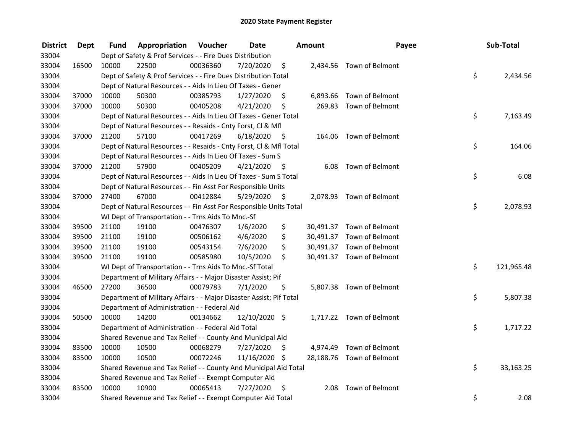| <b>District</b> | Dept  | Fund  | Appropriation                                                       | Voucher  | <b>Date</b>   |      | Amount | Payee                     | Sub-Total        |
|-----------------|-------|-------|---------------------------------------------------------------------|----------|---------------|------|--------|---------------------------|------------------|
| 33004           |       |       | Dept of Safety & Prof Services - - Fire Dues Distribution           |          |               |      |        |                           |                  |
| 33004           | 16500 | 10000 | 22500                                                               | 00036360 | 7/20/2020     | \$   |        | 2,434.56 Town of Belmont  |                  |
| 33004           |       |       | Dept of Safety & Prof Services - - Fire Dues Distribution Total     |          |               |      |        |                           | \$<br>2,434.56   |
| 33004           |       |       | Dept of Natural Resources - - Aids In Lieu Of Taxes - Gener         |          |               |      |        |                           |                  |
| 33004           | 37000 | 10000 | 50300                                                               | 00385793 | 1/27/2020     | \$   |        | 6,893.66 Town of Belmont  |                  |
| 33004           | 37000 | 10000 | 50300                                                               | 00405208 | 4/21/2020     | \$   |        | 269.83 Town of Belmont    |                  |
| 33004           |       |       | Dept of Natural Resources - - Aids In Lieu Of Taxes - Gener Total   |          |               |      |        |                           | \$<br>7,163.49   |
| 33004           |       |       | Dept of Natural Resources - - Resaids - Cnty Forst, Cl & Mfl        |          |               |      |        |                           |                  |
| 33004           | 37000 | 21200 | 57100                                                               | 00417269 | 6/18/2020     | - \$ |        | 164.06 Town of Belmont    |                  |
| 33004           |       |       | Dept of Natural Resources - - Resaids - Cnty Forst, CI & Mfl Total  |          |               |      |        |                           | \$<br>164.06     |
| 33004           |       |       | Dept of Natural Resources - - Aids In Lieu Of Taxes - Sum S         |          |               |      |        |                           |                  |
| 33004           | 37000 | 21200 | 57900                                                               | 00405209 | 4/21/2020     | -\$  |        | 6.08 Town of Belmont      |                  |
| 33004           |       |       | Dept of Natural Resources - - Aids In Lieu Of Taxes - Sum S Total   |          |               |      |        |                           | \$<br>6.08       |
| 33004           |       |       | Dept of Natural Resources - - Fin Asst For Responsible Units        |          |               |      |        |                           |                  |
| 33004           | 37000 | 27400 | 67000                                                               | 00412884 | 5/29/2020     | \$   |        | 2,078.93 Town of Belmont  |                  |
| 33004           |       |       | Dept of Natural Resources - - Fin Asst For Responsible Units Total  |          |               |      |        |                           | \$<br>2,078.93   |
| 33004           |       |       | WI Dept of Transportation - - Trns Aids To Mnc.-Sf                  |          |               |      |        |                           |                  |
| 33004           | 39500 | 21100 | 19100                                                               | 00476307 | 1/6/2020      | \$   |        | 30,491.37 Town of Belmont |                  |
| 33004           | 39500 | 21100 | 19100                                                               | 00506162 | 4/6/2020      | \$   |        | 30,491.37 Town of Belmont |                  |
| 33004           | 39500 | 21100 | 19100                                                               | 00543154 | 7/6/2020      | \$   |        | 30,491.37 Town of Belmont |                  |
| 33004           | 39500 | 21100 | 19100                                                               | 00585980 | 10/5/2020     | \$   |        | 30,491.37 Town of Belmont |                  |
| 33004           |       |       | WI Dept of Transportation - - Trns Aids To Mnc.-Sf Total            |          |               |      |        |                           | \$<br>121,965.48 |
| 33004           |       |       | Department of Military Affairs - - Major Disaster Assist; Pif       |          |               |      |        |                           |                  |
| 33004           | 46500 | 27200 | 36500                                                               | 00079783 | 7/1/2020      | \$   |        | 5,807.38 Town of Belmont  |                  |
| 33004           |       |       | Department of Military Affairs - - Major Disaster Assist; Pif Total |          |               |      |        |                           | \$<br>5,807.38   |
| 33004           |       |       | Department of Administration - - Federal Aid                        |          |               |      |        |                           |                  |
| 33004           | 50500 | 10000 | 14200                                                               | 00134662 | 12/10/2020 \$ |      |        | 1,717.22 Town of Belmont  |                  |
| 33004           |       |       | Department of Administration - - Federal Aid Total                  |          |               |      |        |                           | \$<br>1,717.22   |
| 33004           |       |       | Shared Revenue and Tax Relief - - County And Municipal Aid          |          |               |      |        |                           |                  |
| 33004           | 83500 | 10000 | 10500                                                               | 00068279 | 7/27/2020     | \$   |        | 4,974.49 Town of Belmont  |                  |
| 33004           | 83500 | 10000 | 10500                                                               | 00072246 | 11/16/2020 \$ |      |        | 28,188.76 Town of Belmont |                  |
| 33004           |       |       | Shared Revenue and Tax Relief - - County And Municipal Aid Total    |          |               |      |        |                           | \$<br>33,163.25  |
| 33004           |       |       | Shared Revenue and Tax Relief - - Exempt Computer Aid               |          |               |      |        |                           |                  |
| 33004           | 83500 | 10000 | 10900                                                               | 00065413 | 7/27/2020     | \$   | 2.08   | Town of Belmont           |                  |
| 33004           |       |       | Shared Revenue and Tax Relief - - Exempt Computer Aid Total         |          |               |      |        |                           | \$<br>2.08       |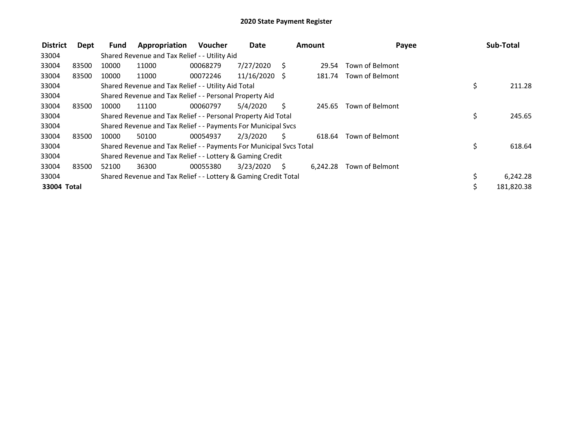| <b>District</b> | Dept  | Fund  | Appropriation                                                       | <b>Voucher</b> | <b>Date</b><br><b>Amount</b> |    | Payee    | Sub-Total       |                  |
|-----------------|-------|-------|---------------------------------------------------------------------|----------------|------------------------------|----|----------|-----------------|------------------|
| 33004           |       |       | Shared Revenue and Tax Relief - - Utility Aid                       |                |                              |    |          |                 |                  |
| 33004           | 83500 | 10000 | 11000                                                               | 00068279       | 7/27/2020                    | S. | 29.54    | Town of Belmont |                  |
| 33004           | 83500 | 10000 | 11000                                                               | 00072246       | 11/16/2020 \$                |    | 181.74   | Town of Belmont |                  |
| 33004           |       |       | Shared Revenue and Tax Relief - - Utility Aid Total                 |                |                              |    |          |                 | \$<br>211.28     |
| 33004           |       |       | Shared Revenue and Tax Relief - - Personal Property Aid             |                |                              |    |          |                 |                  |
| 33004           | 83500 | 10000 | 11100                                                               | 00060797       | 5/4/2020                     | S  | 245.65   | Town of Belmont |                  |
| 33004           |       |       | Shared Revenue and Tax Relief - - Personal Property Aid Total       |                |                              |    |          |                 | \$<br>245.65     |
| 33004           |       |       | Shared Revenue and Tax Relief - - Payments For Municipal Svcs       |                |                              |    |          |                 |                  |
| 33004           | 83500 | 10000 | 50100                                                               | 00054937       | 2/3/2020                     | Ś. | 618.64   | Town of Belmont |                  |
| 33004           |       |       | Shared Revenue and Tax Relief - - Payments For Municipal Svcs Total |                |                              |    |          |                 | \$<br>618.64     |
| 33004           |       |       | Shared Revenue and Tax Relief - - Lottery & Gaming Credit           |                |                              |    |          |                 |                  |
| 33004           | 83500 | 52100 | 36300                                                               | 00055380       | 3/23/2020                    | S  | 6,242.28 | Town of Belmont |                  |
| 33004           |       |       | Shared Revenue and Tax Relief - - Lottery & Gaming Credit Total     |                |                              |    |          |                 | \$<br>6,242.28   |
| 33004 Total     |       |       |                                                                     |                |                              |    |          |                 | \$<br>181,820.38 |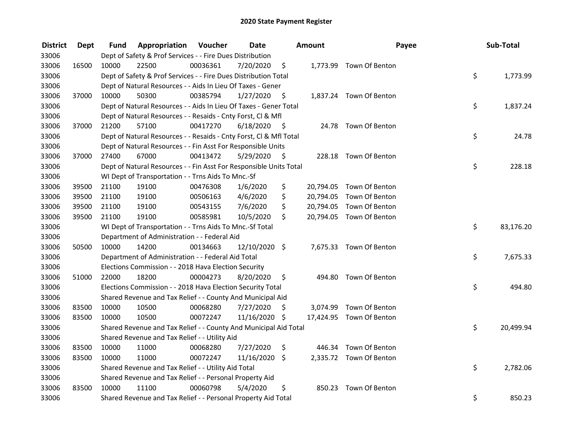| <b>District</b> | Dept  | Fund  | Appropriation                                                      | Voucher  | <b>Date</b>   |      | Amount | Payee                    | Sub-Total       |
|-----------------|-------|-------|--------------------------------------------------------------------|----------|---------------|------|--------|--------------------------|-----------------|
| 33006           |       |       | Dept of Safety & Prof Services - - Fire Dues Distribution          |          |               |      |        |                          |                 |
| 33006           | 16500 | 10000 | 22500                                                              | 00036361 | 7/20/2020     | \$   |        | 1,773.99 Town Of Benton  |                 |
| 33006           |       |       | Dept of Safety & Prof Services - - Fire Dues Distribution Total    |          |               |      |        |                          | \$<br>1,773.99  |
| 33006           |       |       | Dept of Natural Resources - - Aids In Lieu Of Taxes - Gener        |          |               |      |        |                          |                 |
| 33006           | 37000 | 10000 | 50300                                                              | 00385794 | 1/27/2020     | \$   |        | 1,837.24 Town Of Benton  |                 |
| 33006           |       |       | Dept of Natural Resources - - Aids In Lieu Of Taxes - Gener Total  |          |               |      |        |                          | \$<br>1,837.24  |
| 33006           |       |       | Dept of Natural Resources - - Resaids - Cnty Forst, CI & Mfl       |          |               |      |        |                          |                 |
| 33006           | 37000 | 21200 | 57100                                                              | 00417270 | 6/18/2020     | - \$ |        | 24.78 Town Of Benton     |                 |
| 33006           |       |       | Dept of Natural Resources - - Resaids - Cnty Forst, Cl & Mfl Total |          |               |      |        |                          | \$<br>24.78     |
| 33006           |       |       | Dept of Natural Resources - - Fin Asst For Responsible Units       |          |               |      |        |                          |                 |
| 33006           | 37000 | 27400 | 67000                                                              | 00413472 | 5/29/2020     | - \$ |        | 228.18 Town Of Benton    |                 |
| 33006           |       |       | Dept of Natural Resources - - Fin Asst For Responsible Units Total |          |               |      |        |                          | \$<br>228.18    |
| 33006           |       |       | WI Dept of Transportation - - Trns Aids To Mnc.-Sf                 |          |               |      |        |                          |                 |
| 33006           | 39500 | 21100 | 19100                                                              | 00476308 | 1/6/2020      | \$   |        | 20,794.05 Town Of Benton |                 |
| 33006           | 39500 | 21100 | 19100                                                              | 00506163 | 4/6/2020      | \$   |        | 20,794.05 Town Of Benton |                 |
| 33006           | 39500 | 21100 | 19100                                                              | 00543155 | 7/6/2020      | \$   |        | 20,794.05 Town Of Benton |                 |
| 33006           | 39500 | 21100 | 19100                                                              | 00585981 | 10/5/2020     | \$   |        | 20,794.05 Town Of Benton |                 |
| 33006           |       |       | WI Dept of Transportation - - Trns Aids To Mnc.-Sf Total           |          |               |      |        |                          | \$<br>83,176.20 |
| 33006           |       |       | Department of Administration - - Federal Aid                       |          |               |      |        |                          |                 |
| 33006           | 50500 | 10000 | 14200                                                              | 00134663 | 12/10/2020 \$ |      |        | 7,675.33 Town Of Benton  |                 |
| 33006           |       |       | Department of Administration - - Federal Aid Total                 |          |               |      |        |                          | \$<br>7,675.33  |
| 33006           |       |       | Elections Commission - - 2018 Hava Election Security               |          |               |      |        |                          |                 |
| 33006           | 51000 | 22000 | 18200                                                              | 00004273 | 8/20/2020     | \$   |        | 494.80 Town Of Benton    |                 |
| 33006           |       |       | Elections Commission - - 2018 Hava Election Security Total         |          |               |      |        |                          | \$<br>494.80    |
| 33006           |       |       | Shared Revenue and Tax Relief - - County And Municipal Aid         |          |               |      |        |                          |                 |
| 33006           | 83500 | 10000 | 10500                                                              | 00068280 | 7/27/2020     | S    |        | 3,074.99 Town Of Benton  |                 |
| 33006           | 83500 | 10000 | 10500                                                              | 00072247 | 11/16/2020 \$ |      |        | 17,424.95 Town Of Benton |                 |
| 33006           |       |       | Shared Revenue and Tax Relief - - County And Municipal Aid Total   |          |               |      |        |                          | \$<br>20,499.94 |
| 33006           |       |       | Shared Revenue and Tax Relief - - Utility Aid                      |          |               |      |        |                          |                 |
| 33006           | 83500 | 10000 | 11000                                                              | 00068280 | 7/27/2020     | \$   |        | 446.34 Town Of Benton    |                 |
| 33006           | 83500 | 10000 | 11000                                                              | 00072247 | 11/16/2020    | \$   |        | 2,335.72 Town Of Benton  |                 |
| 33006           |       |       | Shared Revenue and Tax Relief - - Utility Aid Total                |          |               |      |        |                          | \$<br>2,782.06  |
| 33006           |       |       | Shared Revenue and Tax Relief - - Personal Property Aid            |          |               |      |        |                          |                 |
| 33006           | 83500 | 10000 | 11100                                                              | 00060798 | 5/4/2020      | \$   | 850.23 | Town Of Benton           |                 |
| 33006           |       |       | Shared Revenue and Tax Relief - - Personal Property Aid Total      |          |               |      |        |                          | \$<br>850.23    |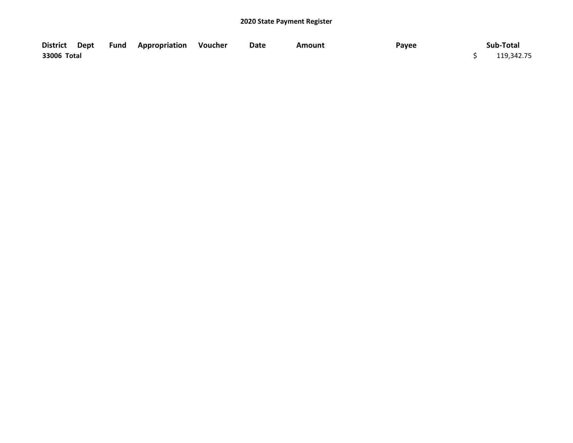|             |  | District Dept Fund Appropriation Voucher | Date | Amount | Payee | Sub-Total  |
|-------------|--|------------------------------------------|------|--------|-------|------------|
| 33006 Total |  |                                          |      |        |       | 119,342.75 |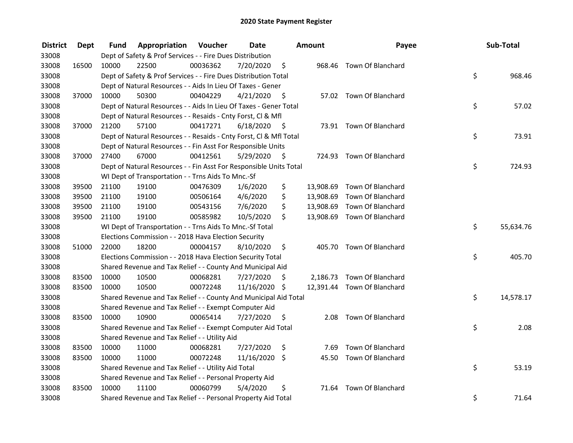| <b>District</b> | <b>Dept</b> | Fund  | Appropriation                                                      | Voucher  | <b>Date</b>   |      | Amount    | Payee                       | Sub-Total       |
|-----------------|-------------|-------|--------------------------------------------------------------------|----------|---------------|------|-----------|-----------------------------|-----------------|
| 33008           |             |       | Dept of Safety & Prof Services - - Fire Dues Distribution          |          |               |      |           |                             |                 |
| 33008           | 16500       | 10000 | 22500                                                              | 00036362 | 7/20/2020     | \$   |           | 968.46 Town Of Blanchard    |                 |
| 33008           |             |       | Dept of Safety & Prof Services - - Fire Dues Distribution Total    |          |               |      |           |                             | \$<br>968.46    |
| 33008           |             |       | Dept of Natural Resources - - Aids In Lieu Of Taxes - Gener        |          |               |      |           |                             |                 |
| 33008           | 37000       | 10000 | 50300                                                              | 00404229 | 4/21/2020     | \$   |           | 57.02 Town Of Blanchard     |                 |
| 33008           |             |       | Dept of Natural Resources - - Aids In Lieu Of Taxes - Gener Total  |          |               |      |           |                             | \$<br>57.02     |
| 33008           |             |       | Dept of Natural Resources - - Resaids - Cnty Forst, Cl & Mfl       |          |               |      |           |                             |                 |
| 33008           | 37000       | 21200 | 57100                                                              | 00417271 | 6/18/2020     | - \$ |           | 73.91 Town Of Blanchard     |                 |
| 33008           |             |       | Dept of Natural Resources - - Resaids - Cnty Forst, Cl & Mfl Total |          |               |      |           |                             | \$<br>73.91     |
| 33008           |             |       | Dept of Natural Resources - - Fin Asst For Responsible Units       |          |               |      |           |                             |                 |
| 33008           | 37000       | 27400 | 67000                                                              | 00412561 | 5/29/2020     | - \$ |           | 724.93 Town Of Blanchard    |                 |
| 33008           |             |       | Dept of Natural Resources - - Fin Asst For Responsible Units Total |          |               |      |           |                             | \$<br>724.93    |
| 33008           |             |       | WI Dept of Transportation - - Trns Aids To Mnc.-Sf                 |          |               |      |           |                             |                 |
| 33008           | 39500       | 21100 | 19100                                                              | 00476309 | 1/6/2020      | \$   | 13,908.69 | Town Of Blanchard           |                 |
| 33008           | 39500       | 21100 | 19100                                                              | 00506164 | 4/6/2020      | \$   | 13,908.69 | Town Of Blanchard           |                 |
| 33008           | 39500       | 21100 | 19100                                                              | 00543156 | 7/6/2020      | \$   | 13,908.69 | Town Of Blanchard           |                 |
| 33008           | 39500       | 21100 | 19100                                                              | 00585982 | 10/5/2020     | \$   |           | 13,908.69 Town Of Blanchard |                 |
| 33008           |             |       | WI Dept of Transportation - - Trns Aids To Mnc.-Sf Total           |          |               |      |           |                             | \$<br>55,634.76 |
| 33008           |             |       | Elections Commission - - 2018 Hava Election Security               |          |               |      |           |                             |                 |
| 33008           | 51000       | 22000 | 18200                                                              | 00004157 | 8/10/2020     | \$   |           | 405.70 Town Of Blanchard    |                 |
| 33008           |             |       | Elections Commission - - 2018 Hava Election Security Total         |          |               |      |           |                             | \$<br>405.70    |
| 33008           |             |       | Shared Revenue and Tax Relief - - County And Municipal Aid         |          |               |      |           |                             |                 |
| 33008           | 83500       | 10000 | 10500                                                              | 00068281 | 7/27/2020     | S    |           | 2,186.73 Town Of Blanchard  |                 |
| 33008           | 83500       | 10000 | 10500                                                              | 00072248 | 11/16/2020 \$ |      |           | 12,391.44 Town Of Blanchard |                 |
| 33008           |             |       | Shared Revenue and Tax Relief - - County And Municipal Aid Total   |          |               |      |           |                             | \$<br>14,578.17 |
| 33008           |             |       | Shared Revenue and Tax Relief - - Exempt Computer Aid              |          |               |      |           |                             |                 |
| 33008           | 83500       | 10000 | 10900                                                              | 00065414 | 7/27/2020     | \$   | 2.08      | <b>Town Of Blanchard</b>    |                 |
| 33008           |             |       | Shared Revenue and Tax Relief - - Exempt Computer Aid Total        |          |               |      |           |                             | \$<br>2.08      |
| 33008           |             |       | Shared Revenue and Tax Relief - - Utility Aid                      |          |               |      |           |                             |                 |
| 33008           | 83500       | 10000 | 11000                                                              | 00068281 | 7/27/2020     | \$   | 7.69      | Town Of Blanchard           |                 |
| 33008           | 83500       | 10000 | 11000                                                              | 00072248 | 11/16/2020    | \$   | 45.50     | Town Of Blanchard           |                 |
| 33008           |             |       | Shared Revenue and Tax Relief - - Utility Aid Total                |          |               |      |           |                             | \$<br>53.19     |
| 33008           |             |       | Shared Revenue and Tax Relief - - Personal Property Aid            |          |               |      |           |                             |                 |
| 33008           | 83500       | 10000 | 11100                                                              | 00060799 | 5/4/2020      | \$   | 71.64     | Town Of Blanchard           |                 |
| 33008           |             |       | Shared Revenue and Tax Relief - - Personal Property Aid Total      |          |               |      |           |                             | \$<br>71.64     |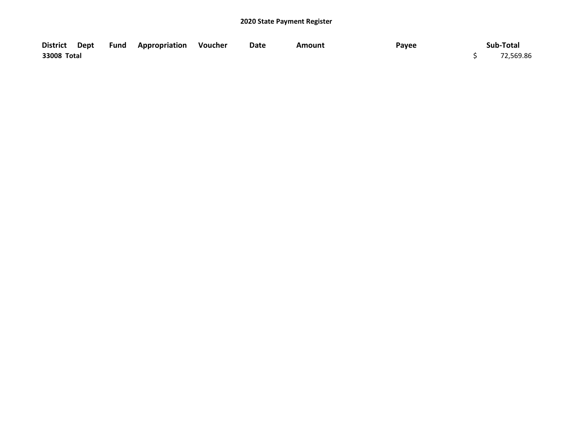|             |  | District Dept Fund Appropriation Voucher | Date | Amount | Payee | Sub-Total |
|-------------|--|------------------------------------------|------|--------|-------|-----------|
| 33008 Total |  |                                          |      |        |       | 72,569.86 |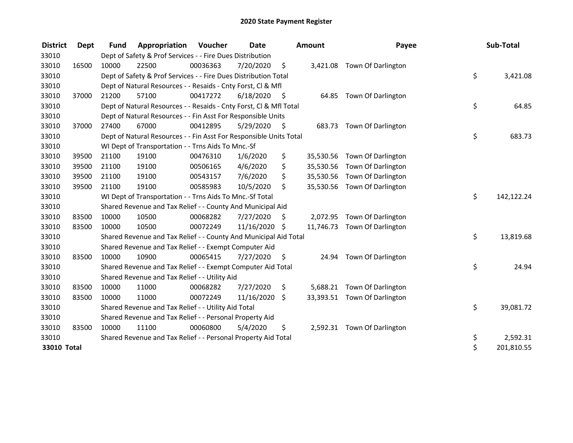| <b>District</b> | <b>Dept</b> | <b>Fund</b> | Appropriation                                                      | <b>Voucher</b> | <b>Date</b>   |      | <b>Amount</b> | Payee                        | Sub-Total        |
|-----------------|-------------|-------------|--------------------------------------------------------------------|----------------|---------------|------|---------------|------------------------------|------------------|
| 33010           |             |             | Dept of Safety & Prof Services - - Fire Dues Distribution          |                |               |      |               |                              |                  |
| 33010           | 16500       | 10000       | 22500                                                              | 00036363       | 7/20/2020     | \$   | 3,421.08      | <b>Town Of Darlington</b>    |                  |
| 33010           |             |             | Dept of Safety & Prof Services - - Fire Dues Distribution Total    |                |               |      |               |                              | \$<br>3,421.08   |
| 33010           |             |             | Dept of Natural Resources - - Resaids - Cnty Forst, CI & Mfl       |                |               |      |               |                              |                  |
| 33010           | 37000       | 21200       | 57100                                                              | 00417272       | 6/18/2020     | - \$ | 64.85         | <b>Town Of Darlington</b>    |                  |
| 33010           |             |             | Dept of Natural Resources - - Resaids - Cnty Forst, Cl & Mfl Total |                |               |      |               |                              | \$<br>64.85      |
| 33010           |             |             | Dept of Natural Resources - - Fin Asst For Responsible Units       |                |               |      |               |                              |                  |
| 33010           | 37000       | 27400       | 67000                                                              | 00412895       | 5/29/2020     | - \$ | 683.73        | Town Of Darlington           |                  |
| 33010           |             |             | Dept of Natural Resources - - Fin Asst For Responsible Units Total |                |               |      |               |                              | \$<br>683.73     |
| 33010           |             |             | WI Dept of Transportation - - Trns Aids To Mnc.-Sf                 |                |               |      |               |                              |                  |
| 33010           | 39500       | 21100       | 19100                                                              | 00476310       | 1/6/2020      | \$   | 35,530.56     | Town Of Darlington           |                  |
| 33010           | 39500       | 21100       | 19100                                                              | 00506165       | 4/6/2020      | \$   | 35,530.56     | Town Of Darlington           |                  |
| 33010           | 39500       | 21100       | 19100                                                              | 00543157       | 7/6/2020      | \$   |               | 35,530.56 Town Of Darlington |                  |
| 33010           | 39500       | 21100       | 19100                                                              | 00585983       | 10/5/2020     | \$   | 35,530.56     | <b>Town Of Darlington</b>    |                  |
| 33010           |             |             | WI Dept of Transportation - - Trns Aids To Mnc.-Sf Total           |                |               |      |               |                              | \$<br>142,122.24 |
| 33010           |             |             | Shared Revenue and Tax Relief - - County And Municipal Aid         |                |               |      |               |                              |                  |
| 33010           | 83500       | 10000       | 10500                                                              | 00068282       | 7/27/2020     | \$   | 2,072.95      | Town Of Darlington           |                  |
| 33010           | 83500       | 10000       | 10500                                                              | 00072249       | 11/16/2020 \$ |      |               | 11,746.73 Town Of Darlington |                  |
| 33010           |             |             | Shared Revenue and Tax Relief - - County And Municipal Aid Total   |                |               |      |               |                              | \$<br>13,819.68  |
| 33010           |             |             | Shared Revenue and Tax Relief - - Exempt Computer Aid              |                |               |      |               |                              |                  |
| 33010           | 83500       | 10000       | 10900                                                              | 00065415       | 7/27/2020     | \$.  | 24.94         | Town Of Darlington           |                  |
| 33010           |             |             | Shared Revenue and Tax Relief - - Exempt Computer Aid Total        |                |               |      |               |                              | \$<br>24.94      |
| 33010           |             |             | Shared Revenue and Tax Relief - - Utility Aid                      |                |               |      |               |                              |                  |
| 33010           | 83500       | 10000       | 11000                                                              | 00068282       | 7/27/2020     | \$   | 5,688.21      | Town Of Darlington           |                  |
| 33010           | 83500       | 10000       | 11000                                                              | 00072249       | 11/16/2020    | \$   |               | 33,393.51 Town Of Darlington |                  |
| 33010           |             |             | Shared Revenue and Tax Relief - - Utility Aid Total                |                |               |      |               |                              | \$<br>39,081.72  |
| 33010           |             |             | Shared Revenue and Tax Relief - - Personal Property Aid            |                |               |      |               |                              |                  |
| 33010           | 83500       | 10000       | 11100                                                              | 00060800       | 5/4/2020      | \$   |               | 2,592.31 Town Of Darlington  |                  |
| 33010           |             |             | Shared Revenue and Tax Relief - - Personal Property Aid Total      |                |               |      |               |                              | \$<br>2,592.31   |
| 33010 Total     |             |             |                                                                    |                |               |      |               |                              | \$<br>201,810.55 |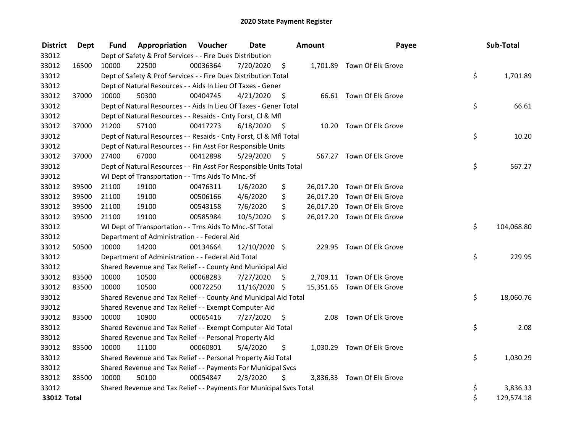| <b>District</b> | Dept  | Fund  | Appropriation                                                       | Voucher  | <b>Date</b>   |      | Amount | Payee                       | Sub-Total        |
|-----------------|-------|-------|---------------------------------------------------------------------|----------|---------------|------|--------|-----------------------------|------------------|
| 33012           |       |       | Dept of Safety & Prof Services - - Fire Dues Distribution           |          |               |      |        |                             |                  |
| 33012           | 16500 | 10000 | 22500                                                               | 00036364 | 7/20/2020     | \$   |        | 1,701.89 Town Of Elk Grove  |                  |
| 33012           |       |       | Dept of Safety & Prof Services - - Fire Dues Distribution Total     |          |               |      |        |                             | \$<br>1,701.89   |
| 33012           |       |       | Dept of Natural Resources - - Aids In Lieu Of Taxes - Gener         |          |               |      |        |                             |                  |
| 33012           | 37000 | 10000 | 50300                                                               | 00404745 | 4/21/2020     | -\$  |        | 66.61 Town Of Elk Grove     |                  |
| 33012           |       |       | Dept of Natural Resources - - Aids In Lieu Of Taxes - Gener Total   |          |               |      |        |                             | \$<br>66.61      |
| 33012           |       |       | Dept of Natural Resources - - Resaids - Cnty Forst, Cl & Mfl        |          |               |      |        |                             |                  |
| 33012           | 37000 | 21200 | 57100                                                               | 00417273 | 6/18/2020     | - \$ |        | 10.20 Town Of Elk Grove     |                  |
| 33012           |       |       | Dept of Natural Resources - - Resaids - Cnty Forst, Cl & Mfl Total  |          |               |      |        |                             | \$<br>10.20      |
| 33012           |       |       | Dept of Natural Resources - - Fin Asst For Responsible Units        |          |               |      |        |                             |                  |
| 33012           | 37000 | 27400 | 67000                                                               | 00412898 | 5/29/2020     | - \$ |        | 567.27 Town Of Elk Grove    |                  |
| 33012           |       |       | Dept of Natural Resources - - Fin Asst For Responsible Units Total  |          |               |      |        |                             | \$<br>567.27     |
| 33012           |       |       | WI Dept of Transportation - - Trns Aids To Mnc.-Sf                  |          |               |      |        |                             |                  |
| 33012           | 39500 | 21100 | 19100                                                               | 00476311 | 1/6/2020      | \$   |        | 26,017.20 Town Of Elk Grove |                  |
| 33012           | 39500 | 21100 | 19100                                                               | 00506166 | 4/6/2020      | \$   |        | 26,017.20 Town Of Elk Grove |                  |
| 33012           | 39500 | 21100 | 19100                                                               | 00543158 | 7/6/2020      | \$   |        | 26,017.20 Town Of Elk Grove |                  |
| 33012           | 39500 | 21100 | 19100                                                               | 00585984 | 10/5/2020     | \$   |        | 26,017.20 Town Of Elk Grove |                  |
| 33012           |       |       | WI Dept of Transportation - - Trns Aids To Mnc.-Sf Total            |          |               |      |        |                             | \$<br>104,068.80 |
| 33012           |       |       | Department of Administration - - Federal Aid                        |          |               |      |        |                             |                  |
| 33012           | 50500 | 10000 | 14200                                                               | 00134664 | 12/10/2020 \$ |      |        | 229.95 Town Of Elk Grove    |                  |
| 33012           |       |       | Department of Administration - - Federal Aid Total                  |          |               |      |        |                             | \$<br>229.95     |
| 33012           |       |       | Shared Revenue and Tax Relief - - County And Municipal Aid          |          |               |      |        |                             |                  |
| 33012           | 83500 | 10000 | 10500                                                               | 00068283 | 7/27/2020     | \$   |        | 2,709.11 Town Of Elk Grove  |                  |
| 33012           | 83500 | 10000 | 10500                                                               | 00072250 | 11/16/2020 \$ |      |        | 15,351.65 Town Of Elk Grove |                  |
| 33012           |       |       | Shared Revenue and Tax Relief - - County And Municipal Aid Total    |          |               |      |        |                             | \$<br>18,060.76  |
| 33012           |       |       | Shared Revenue and Tax Relief - - Exempt Computer Aid               |          |               |      |        |                             |                  |
| 33012           | 83500 | 10000 | 10900                                                               | 00065416 | 7/27/2020     | \$   |        | 2.08 Town Of Elk Grove      |                  |
| 33012           |       |       | Shared Revenue and Tax Relief - - Exempt Computer Aid Total         |          |               |      |        |                             | \$<br>2.08       |
| 33012           |       |       | Shared Revenue and Tax Relief - - Personal Property Aid             |          |               |      |        |                             |                  |
| 33012           | 83500 | 10000 | 11100                                                               | 00060801 | 5/4/2020      | \$   |        | 1,030.29 Town Of Elk Grove  |                  |
| 33012           |       |       | Shared Revenue and Tax Relief - - Personal Property Aid Total       |          |               |      |        |                             | \$<br>1,030.29   |
| 33012           |       |       | Shared Revenue and Tax Relief - - Payments For Municipal Svcs       |          |               |      |        |                             |                  |
| 33012           | 83500 | 10000 | 50100                                                               | 00054847 | 2/3/2020      | \$   |        | 3,836.33 Town Of Elk Grove  |                  |
| 33012           |       |       | Shared Revenue and Tax Relief - - Payments For Municipal Svcs Total |          |               |      |        |                             | \$<br>3,836.33   |
| 33012 Total     |       |       |                                                                     |          |               |      |        |                             | \$<br>129,574.18 |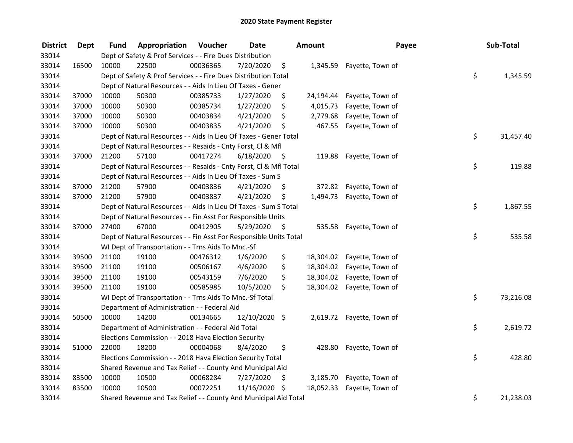| <b>District</b> | <b>Dept</b> | Fund  | Appropriation                                                      | Voucher  | <b>Date</b>   |      | <b>Amount</b> | Payee                      | Sub-Total       |
|-----------------|-------------|-------|--------------------------------------------------------------------|----------|---------------|------|---------------|----------------------------|-----------------|
| 33014           |             |       | Dept of Safety & Prof Services - - Fire Dues Distribution          |          |               |      |               |                            |                 |
| 33014           | 16500       | 10000 | 22500                                                              | 00036365 | 7/20/2020     | \$   | 1,345.59      | Fayette, Town of           |                 |
| 33014           |             |       | Dept of Safety & Prof Services - - Fire Dues Distribution Total    |          |               |      |               |                            | \$<br>1,345.59  |
| 33014           |             |       | Dept of Natural Resources - - Aids In Lieu Of Taxes - Gener        |          |               |      |               |                            |                 |
| 33014           | 37000       | 10000 | 50300                                                              | 00385733 | 1/27/2020     | \$   | 24,194.44     | Fayette, Town of           |                 |
| 33014           | 37000       | 10000 | 50300                                                              | 00385734 | 1/27/2020     | \$   | 4,015.73      | Fayette, Town of           |                 |
| 33014           | 37000       | 10000 | 50300                                                              | 00403834 | 4/21/2020     | \$   | 2,779.68      | Fayette, Town of           |                 |
| 33014           | 37000       | 10000 | 50300                                                              | 00403835 | 4/21/2020     | \$   | 467.55        | Fayette, Town of           |                 |
| 33014           |             |       | Dept of Natural Resources - - Aids In Lieu Of Taxes - Gener Total  |          |               |      |               |                            | \$<br>31,457.40 |
| 33014           |             |       | Dept of Natural Resources - - Resaids - Cnty Forst, CI & Mfl       |          |               |      |               |                            |                 |
| 33014           | 37000       | 21200 | 57100                                                              | 00417274 | 6/18/2020     | - \$ | 119.88        | Fayette, Town of           |                 |
| 33014           |             |       | Dept of Natural Resources - - Resaids - Cnty Forst, Cl & Mfl Total |          |               |      |               |                            | \$<br>119.88    |
| 33014           |             |       | Dept of Natural Resources - - Aids In Lieu Of Taxes - Sum S        |          |               |      |               |                            |                 |
| 33014           | 37000       | 21200 | 57900                                                              | 00403836 | 4/21/2020     | \$.  | 372.82        | Fayette, Town of           |                 |
| 33014           | 37000       | 21200 | 57900                                                              | 00403837 | 4/21/2020     | \$   | 1,494.73      | Fayette, Town of           |                 |
| 33014           |             |       | Dept of Natural Resources - - Aids In Lieu Of Taxes - Sum S Total  |          |               |      |               |                            | \$<br>1,867.55  |
| 33014           |             |       | Dept of Natural Resources - - Fin Asst For Responsible Units       |          |               |      |               |                            |                 |
| 33014           | 37000       | 27400 | 67000                                                              | 00412905 | 5/29/2020     | \$   | 535.58        | Fayette, Town of           |                 |
| 33014           |             |       | Dept of Natural Resources - - Fin Asst For Responsible Units Total |          |               |      |               |                            | \$<br>535.58    |
| 33014           |             |       | WI Dept of Transportation - - Trns Aids To Mnc.-Sf                 |          |               |      |               |                            |                 |
| 33014           | 39500       | 21100 | 19100                                                              | 00476312 | 1/6/2020      | \$   | 18,304.02     | Fayette, Town of           |                 |
| 33014           | 39500       | 21100 | 19100                                                              | 00506167 | 4/6/2020      | \$   |               | 18,304.02 Fayette, Town of |                 |
| 33014           | 39500       | 21100 | 19100                                                              | 00543159 | 7/6/2020      | \$   |               | 18,304.02 Fayette, Town of |                 |
| 33014           | 39500       | 21100 | 19100                                                              | 00585985 | 10/5/2020     | \$   | 18,304.02     | Fayette, Town of           |                 |
| 33014           |             |       | WI Dept of Transportation - - Trns Aids To Mnc.-Sf Total           |          |               |      |               |                            | \$<br>73,216.08 |
| 33014           |             |       | Department of Administration - - Federal Aid                       |          |               |      |               |                            |                 |
| 33014           | 50500       | 10000 | 14200                                                              | 00134665 | 12/10/2020 \$ |      |               | 2,619.72 Fayette, Town of  |                 |
| 33014           |             |       | Department of Administration - - Federal Aid Total                 |          |               |      |               |                            | \$<br>2,619.72  |
| 33014           |             |       | Elections Commission - - 2018 Hava Election Security               |          |               |      |               |                            |                 |
| 33014           | 51000       | 22000 | 18200                                                              | 00004068 | 8/4/2020      | \$   | 428.80        | Fayette, Town of           |                 |
| 33014           |             |       | Elections Commission - - 2018 Hava Election Security Total         |          |               |      |               |                            | \$<br>428.80    |
| 33014           |             |       | Shared Revenue and Tax Relief - - County And Municipal Aid         |          |               |      |               |                            |                 |
| 33014           | 83500       | 10000 | 10500                                                              | 00068284 | 7/27/2020     | \$   | 3,185.70      | Fayette, Town of           |                 |
| 33014           | 83500       | 10000 | 10500                                                              | 00072251 | 11/16/2020    | \$   | 18,052.33     | Fayette, Town of           |                 |
| 33014           |             |       | Shared Revenue and Tax Relief - - County And Municipal Aid Total   |          |               |      |               |                            | \$<br>21,238.03 |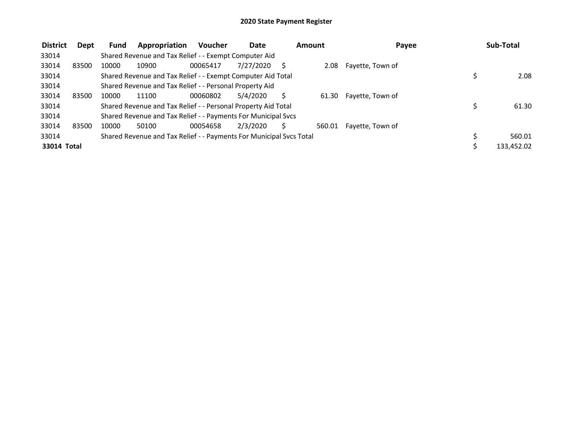| <b>District</b> | Dept  | Fund  | Appropriation                                                       | <b>Voucher</b> | Date      | Amount | Payee            |   | Sub-Total  |
|-----------------|-------|-------|---------------------------------------------------------------------|----------------|-----------|--------|------------------|---|------------|
| 33014           |       |       | Shared Revenue and Tax Relief - - Exempt Computer Aid               |                |           |        |                  |   |            |
| 33014           | 83500 | 10000 | 10900                                                               | 00065417       | 7/27/2020 | 2.08   | Fayette, Town of |   |            |
| 33014           |       |       | Shared Revenue and Tax Relief - - Exempt Computer Aid Total         |                |           |        |                  |   | 2.08       |
| 33014           |       |       | Shared Revenue and Tax Relief - - Personal Property Aid             |                |           |        |                  |   |            |
| 33014           | 83500 | 10000 | 11100                                                               | 00060802       | 5/4/2020  | 61.30  | Fayette, Town of |   |            |
| 33014           |       |       | Shared Revenue and Tax Relief - - Personal Property Aid Total       |                |           |        |                  | Ś | 61.30      |
| 33014           |       |       | Shared Revenue and Tax Relief - - Payments For Municipal Svcs       |                |           |        |                  |   |            |
| 33014           | 83500 | 10000 | 50100                                                               | 00054658       | 2/3/2020  | 560.01 | Fayette, Town of |   |            |
| 33014           |       |       | Shared Revenue and Tax Relief - - Payments For Municipal Svcs Total |                |           |        |                  |   | 560.01     |
| 33014 Total     |       |       |                                                                     |                |           |        |                  |   | 133,452.02 |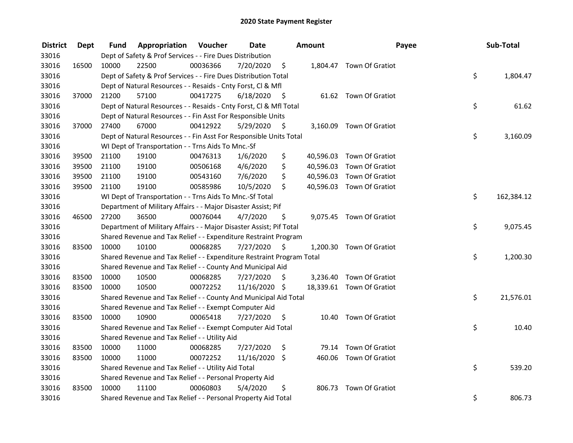| <b>District</b> | Dept  | Fund  | Appropriation                                                         | Voucher  | <b>Date</b>   |      | Amount | Payee                     | Sub-Total        |
|-----------------|-------|-------|-----------------------------------------------------------------------|----------|---------------|------|--------|---------------------------|------------------|
| 33016           |       |       | Dept of Safety & Prof Services - - Fire Dues Distribution             |          |               |      |        |                           |                  |
| 33016           | 16500 | 10000 | 22500                                                                 | 00036366 | 7/20/2020     | \$   |        | 1,804.47 Town Of Gratiot  |                  |
| 33016           |       |       | Dept of Safety & Prof Services - - Fire Dues Distribution Total       |          |               |      |        |                           | \$<br>1,804.47   |
| 33016           |       |       | Dept of Natural Resources - - Resaids - Cnty Forst, Cl & Mfl          |          |               |      |        |                           |                  |
| 33016           | 37000 | 21200 | 57100                                                                 | 00417275 | 6/18/2020     | - \$ |        | 61.62 Town Of Gratiot     |                  |
| 33016           |       |       | Dept of Natural Resources - - Resaids - Cnty Forst, Cl & Mfl Total    |          |               |      |        |                           | \$<br>61.62      |
| 33016           |       |       | Dept of Natural Resources - - Fin Asst For Responsible Units          |          |               |      |        |                           |                  |
| 33016           | 37000 | 27400 | 67000                                                                 | 00412922 | 5/29/2020     | - \$ |        | 3,160.09 Town Of Gratiot  |                  |
| 33016           |       |       | Dept of Natural Resources - - Fin Asst For Responsible Units Total    |          |               |      |        |                           | \$<br>3,160.09   |
| 33016           |       |       | WI Dept of Transportation - - Trns Aids To Mnc.-Sf                    |          |               |      |        |                           |                  |
| 33016           | 39500 | 21100 | 19100                                                                 | 00476313 | 1/6/2020      | \$   |        | 40,596.03 Town Of Gratiot |                  |
| 33016           | 39500 | 21100 | 19100                                                                 | 00506168 | 4/6/2020      | \$   |        | 40,596.03 Town Of Gratiot |                  |
| 33016           | 39500 | 21100 | 19100                                                                 | 00543160 | 7/6/2020      | \$   |        | 40,596.03 Town Of Gratiot |                  |
| 33016           | 39500 | 21100 | 19100                                                                 | 00585986 | 10/5/2020     | \$   |        | 40,596.03 Town Of Gratiot |                  |
| 33016           |       |       | WI Dept of Transportation - - Trns Aids To Mnc.-Sf Total              |          |               |      |        |                           | \$<br>162,384.12 |
| 33016           |       |       | Department of Military Affairs - - Major Disaster Assist; Pif         |          |               |      |        |                           |                  |
| 33016           | 46500 | 27200 | 36500                                                                 | 00076044 | 4/7/2020      | \$   |        | 9,075.45 Town Of Gratiot  |                  |
| 33016           |       |       | Department of Military Affairs - - Major Disaster Assist; Pif Total   |          |               |      |        |                           | \$<br>9,075.45   |
| 33016           |       |       | Shared Revenue and Tax Relief - - Expenditure Restraint Program       |          |               |      |        |                           |                  |
| 33016           | 83500 | 10000 | 10100                                                                 | 00068285 | 7/27/2020     | - \$ |        | 1,200.30 Town Of Gratiot  |                  |
| 33016           |       |       | Shared Revenue and Tax Relief - - Expenditure Restraint Program Total |          |               |      |        |                           | \$<br>1,200.30   |
| 33016           |       |       | Shared Revenue and Tax Relief - - County And Municipal Aid            |          |               |      |        |                           |                  |
| 33016           | 83500 | 10000 | 10500                                                                 | 00068285 | 7/27/2020     | S    |        | 3,236.40 Town Of Gratiot  |                  |
| 33016           | 83500 | 10000 | 10500                                                                 | 00072252 | 11/16/2020 \$ |      |        | 18,339.61 Town Of Gratiot |                  |
| 33016           |       |       | Shared Revenue and Tax Relief - - County And Municipal Aid Total      |          |               |      |        |                           | \$<br>21,576.01  |
| 33016           |       |       | Shared Revenue and Tax Relief - - Exempt Computer Aid                 |          |               |      |        |                           |                  |
| 33016           | 83500 | 10000 | 10900                                                                 | 00065418 | 7/27/2020     | \$   | 10.40  | Town Of Gratiot           |                  |
| 33016           |       |       | Shared Revenue and Tax Relief - - Exempt Computer Aid Total           |          |               |      |        |                           | \$<br>10.40      |
| 33016           |       |       | Shared Revenue and Tax Relief - - Utility Aid                         |          |               |      |        |                           |                  |
| 33016           | 83500 | 10000 | 11000                                                                 | 00068285 | 7/27/2020     | \$   | 79.14  | Town Of Gratiot           |                  |
| 33016           | 83500 | 10000 | 11000                                                                 | 00072252 | 11/16/2020    | \$   |        | 460.06 Town Of Gratiot    |                  |
| 33016           |       |       | Shared Revenue and Tax Relief - - Utility Aid Total                   |          |               |      |        |                           | \$<br>539.20     |
| 33016           |       |       | Shared Revenue and Tax Relief - - Personal Property Aid               |          |               |      |        |                           |                  |
| 33016           | 83500 | 10000 | 11100                                                                 | 00060803 | 5/4/2020      | \$   | 806.73 | Town Of Gratiot           |                  |
| 33016           |       |       | Shared Revenue and Tax Relief - - Personal Property Aid Total         |          |               |      |        |                           | \$<br>806.73     |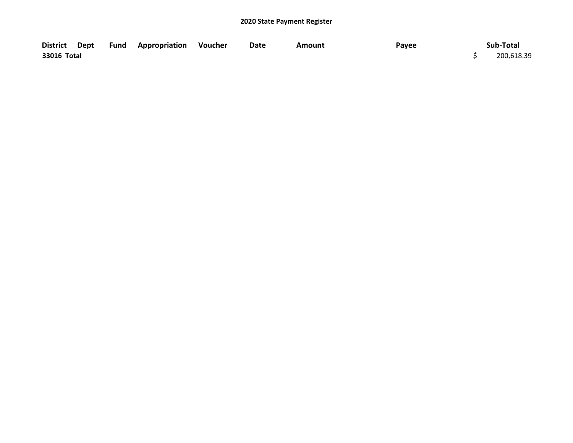|             |  | District Dept Fund Appropriation Voucher | Date | Amount | Payee | Sub-Total  |
|-------------|--|------------------------------------------|------|--------|-------|------------|
| 33016 Total |  |                                          |      |        |       | 200,618.39 |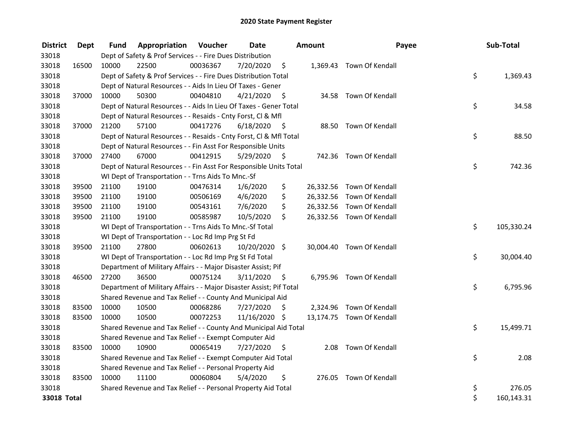| <b>District</b> | Dept  | Fund  | Appropriation                                                       | Voucher  | <b>Date</b>   |      | <b>Amount</b> | Payee                     | Sub-Total        |
|-----------------|-------|-------|---------------------------------------------------------------------|----------|---------------|------|---------------|---------------------------|------------------|
| 33018           |       |       | Dept of Safety & Prof Services - - Fire Dues Distribution           |          |               |      |               |                           |                  |
| 33018           | 16500 | 10000 | 22500                                                               | 00036367 | 7/20/2020     | \$   |               | 1,369.43 Town Of Kendall  |                  |
| 33018           |       |       | Dept of Safety & Prof Services - - Fire Dues Distribution Total     |          |               |      |               |                           | \$<br>1,369.43   |
| 33018           |       |       | Dept of Natural Resources - - Aids In Lieu Of Taxes - Gener         |          |               |      |               |                           |                  |
| 33018           | 37000 | 10000 | 50300                                                               | 00404810 | 4/21/2020     | \$   |               | 34.58 Town Of Kendall     |                  |
| 33018           |       |       | Dept of Natural Resources - - Aids In Lieu Of Taxes - Gener Total   |          |               |      |               |                           | \$<br>34.58      |
| 33018           |       |       | Dept of Natural Resources - - Resaids - Cnty Forst, Cl & Mfl        |          |               |      |               |                           |                  |
| 33018           | 37000 | 21200 | 57100                                                               | 00417276 | 6/18/2020     | - \$ |               | 88.50 Town Of Kendall     |                  |
| 33018           |       |       | Dept of Natural Resources - - Resaids - Cnty Forst, Cl & Mfl Total  |          |               |      |               |                           | \$<br>88.50      |
| 33018           |       |       | Dept of Natural Resources - - Fin Asst For Responsible Units        |          |               |      |               |                           |                  |
| 33018           | 37000 | 27400 | 67000                                                               | 00412915 | 5/29/2020     | - \$ |               | 742.36 Town Of Kendall    |                  |
| 33018           |       |       | Dept of Natural Resources - - Fin Asst For Responsible Units Total  |          |               |      |               |                           | \$<br>742.36     |
| 33018           |       |       | WI Dept of Transportation - - Trns Aids To Mnc.-Sf                  |          |               |      |               |                           |                  |
| 33018           | 39500 | 21100 | 19100                                                               | 00476314 | 1/6/2020      | \$   |               | 26,332.56 Town Of Kendall |                  |
| 33018           | 39500 | 21100 | 19100                                                               | 00506169 | 4/6/2020      | \$   |               | 26,332.56 Town Of Kendall |                  |
| 33018           | 39500 | 21100 | 19100                                                               | 00543161 | 7/6/2020      | \$   |               | 26,332.56 Town Of Kendall |                  |
| 33018           | 39500 | 21100 | 19100                                                               | 00585987 | 10/5/2020     | \$   |               | 26,332.56 Town Of Kendall |                  |
| 33018           |       |       | WI Dept of Transportation - - Trns Aids To Mnc.-Sf Total            |          |               |      |               |                           | \$<br>105,330.24 |
| 33018           |       |       | WI Dept of Transportation - - Loc Rd Imp Prg St Fd                  |          |               |      |               |                           |                  |
| 33018           | 39500 | 21100 | 27800                                                               | 00602613 | 10/20/2020 \$ |      |               | 30,004.40 Town Of Kendall |                  |
| 33018           |       |       | WI Dept of Transportation - - Loc Rd Imp Prg St Fd Total            |          |               |      |               |                           | \$<br>30,004.40  |
| 33018           |       |       | Department of Military Affairs - - Major Disaster Assist; Pif       |          |               |      |               |                           |                  |
| 33018           | 46500 | 27200 | 36500                                                               | 00075124 | 3/11/2020     | - \$ |               | 6,795.96 Town Of Kendall  |                  |
| 33018           |       |       | Department of Military Affairs - - Major Disaster Assist; Pif Total |          |               |      |               |                           | \$<br>6,795.96   |
| 33018           |       |       | Shared Revenue and Tax Relief - - County And Municipal Aid          |          |               |      |               |                           |                  |
| 33018           | 83500 | 10000 | 10500                                                               | 00068286 | 7/27/2020     | \$   |               | 2,324.96 Town Of Kendall  |                  |
| 33018           | 83500 | 10000 | 10500                                                               | 00072253 | 11/16/2020 \$ |      |               | 13,174.75 Town Of Kendall |                  |
| 33018           |       |       | Shared Revenue and Tax Relief - - County And Municipal Aid Total    |          |               |      |               |                           | \$<br>15,499.71  |
| 33018           |       |       | Shared Revenue and Tax Relief - - Exempt Computer Aid               |          |               |      |               |                           |                  |
| 33018           | 83500 | 10000 | 10900                                                               | 00065419 | 7/27/2020     | \$   | 2.08          | Town Of Kendall           |                  |
| 33018           |       |       | Shared Revenue and Tax Relief - - Exempt Computer Aid Total         |          |               |      |               |                           | \$<br>2.08       |
| 33018           |       |       | Shared Revenue and Tax Relief - - Personal Property Aid             |          |               |      |               |                           |                  |
| 33018           | 83500 | 10000 | 11100                                                               | 00060804 | 5/4/2020      | \$   | 276.05        | Town Of Kendall           |                  |
| 33018           |       |       | Shared Revenue and Tax Relief - - Personal Property Aid Total       |          |               |      |               |                           | \$<br>276.05     |
| 33018 Total     |       |       |                                                                     |          |               |      |               |                           | \$<br>160,143.31 |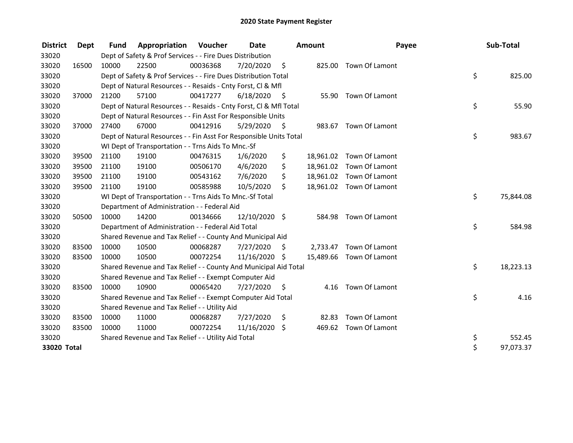| <b>District</b> | Dept  | <b>Fund</b> | Appropriation                                                      | Voucher  | <b>Date</b>   |      | <b>Amount</b> | Payee                    | Sub-Total       |
|-----------------|-------|-------------|--------------------------------------------------------------------|----------|---------------|------|---------------|--------------------------|-----------------|
| 33020           |       |             | Dept of Safety & Prof Services - - Fire Dues Distribution          |          |               |      |               |                          |                 |
| 33020           | 16500 | 10000       | 22500                                                              | 00036368 | 7/20/2020     | \$   | 825.00        | Town Of Lamont           |                 |
| 33020           |       |             | Dept of Safety & Prof Services - - Fire Dues Distribution Total    |          |               |      |               |                          | \$<br>825.00    |
| 33020           |       |             | Dept of Natural Resources - - Resaids - Cnty Forst, Cl & Mfl       |          |               |      |               |                          |                 |
| 33020           | 37000 | 21200       | 57100                                                              | 00417277 | 6/18/2020     | - \$ |               | 55.90 Town Of Lamont     |                 |
| 33020           |       |             | Dept of Natural Resources - - Resaids - Cnty Forst, CI & Mfl Total |          |               |      |               |                          | \$<br>55.90     |
| 33020           |       |             | Dept of Natural Resources - - Fin Asst For Responsible Units       |          |               |      |               |                          |                 |
| 33020           | 37000 | 27400       | 67000                                                              | 00412916 | 5/29/2020     | - \$ | 983.67        | Town Of Lamont           |                 |
| 33020           |       |             | Dept of Natural Resources - - Fin Asst For Responsible Units Total |          |               |      |               |                          | \$<br>983.67    |
| 33020           |       |             | WI Dept of Transportation - - Trns Aids To Mnc.-Sf                 |          |               |      |               |                          |                 |
| 33020           | 39500 | 21100       | 19100                                                              | 00476315 | 1/6/2020      | \$   |               | 18,961.02 Town Of Lamont |                 |
| 33020           | 39500 | 21100       | 19100                                                              | 00506170 | 4/6/2020      | \$   | 18,961.02     | Town Of Lamont           |                 |
| 33020           | 39500 | 21100       | 19100                                                              | 00543162 | 7/6/2020      | \$   |               | 18,961.02 Town Of Lamont |                 |
| 33020           | 39500 | 21100       | 19100                                                              | 00585988 | 10/5/2020     | \$   |               | 18,961.02 Town Of Lamont |                 |
| 33020           |       |             | WI Dept of Transportation - - Trns Aids To Mnc.-Sf Total           |          |               |      |               |                          | \$<br>75,844.08 |
| 33020           |       |             | Department of Administration - - Federal Aid                       |          |               |      |               |                          |                 |
| 33020           | 50500 | 10000       | 14200                                                              | 00134666 | 12/10/2020 \$ |      | 584.98        | Town Of Lamont           |                 |
| 33020           |       |             | Department of Administration - - Federal Aid Total                 |          |               |      |               |                          | \$<br>584.98    |
| 33020           |       |             | Shared Revenue and Tax Relief - - County And Municipal Aid         |          |               |      |               |                          |                 |
| 33020           | 83500 | 10000       | 10500                                                              | 00068287 | 7/27/2020     | \$   | 2,733.47      | Town Of Lamont           |                 |
| 33020           | 83500 | 10000       | 10500                                                              | 00072254 | 11/16/2020    | -S   |               | 15,489.66 Town Of Lamont |                 |
| 33020           |       |             | Shared Revenue and Tax Relief - - County And Municipal Aid Total   |          |               |      |               |                          | \$<br>18,223.13 |
| 33020           |       |             | Shared Revenue and Tax Relief - - Exempt Computer Aid              |          |               |      |               |                          |                 |
| 33020           | 83500 | 10000       | 10900                                                              | 00065420 | 7/27/2020     | \$   |               | 4.16 Town Of Lamont      |                 |
| 33020           |       |             | Shared Revenue and Tax Relief - - Exempt Computer Aid Total        |          |               |      |               |                          | \$<br>4.16      |
| 33020           |       |             | Shared Revenue and Tax Relief - - Utility Aid                      |          |               |      |               |                          |                 |
| 33020           | 83500 | 10000       | 11000                                                              | 00068287 | 7/27/2020     | \$   | 82.83         | Town Of Lamont           |                 |
| 33020           | 83500 | 10000       | 11000                                                              | 00072254 | 11/16/2020 \$ |      |               | 469.62 Town Of Lamont    |                 |
| 33020           |       |             | Shared Revenue and Tax Relief - - Utility Aid Total                |          |               |      |               |                          | \$<br>552.45    |
| 33020 Total     |       |             |                                                                    |          |               |      |               |                          | \$<br>97,073.37 |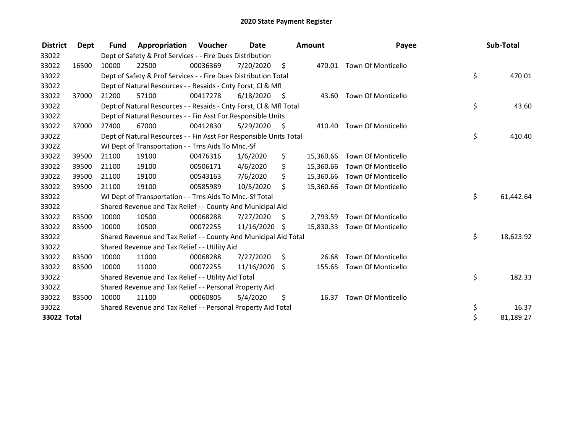| <b>District</b> | Dept  | <b>Fund</b> | Appropriation                                                      | Voucher  | Date          |      | <b>Amount</b> | Payee                        | Sub-Total       |
|-----------------|-------|-------------|--------------------------------------------------------------------|----------|---------------|------|---------------|------------------------------|-----------------|
| 33022           |       |             | Dept of Safety & Prof Services - - Fire Dues Distribution          |          |               |      |               |                              |                 |
| 33022           | 16500 | 10000       | 22500                                                              | 00036369 | 7/20/2020     | - \$ | 470.01        | <b>Town Of Monticello</b>    |                 |
| 33022           |       |             | Dept of Safety & Prof Services - - Fire Dues Distribution Total    |          |               |      |               |                              | \$<br>470.01    |
| 33022           |       |             | Dept of Natural Resources - - Resaids - Cnty Forst, CI & Mfl       |          |               |      |               |                              |                 |
| 33022           | 37000 | 21200       | 57100                                                              | 00417278 | 6/18/2020     | - \$ | 43.60         | <b>Town Of Monticello</b>    |                 |
| 33022           |       |             | Dept of Natural Resources - - Resaids - Cnty Forst, Cl & Mfl Total |          |               |      |               |                              | \$<br>43.60     |
| 33022           |       |             | Dept of Natural Resources - - Fin Asst For Responsible Units       |          |               |      |               |                              |                 |
| 33022           | 37000 | 27400       | 67000                                                              | 00412830 | 5/29/2020     | - \$ | 410.40        | <b>Town Of Monticello</b>    |                 |
| 33022           |       |             | Dept of Natural Resources - - Fin Asst For Responsible Units Total |          |               |      |               |                              | \$<br>410.40    |
| 33022           |       |             | WI Dept of Transportation - - Trns Aids To Mnc.-Sf                 |          |               |      |               |                              |                 |
| 33022           | 39500 | 21100       | 19100                                                              | 00476316 | 1/6/2020      | \$   | 15,360.66     | <b>Town Of Monticello</b>    |                 |
| 33022           | 39500 | 21100       | 19100                                                              | 00506171 | 4/6/2020      | \$   | 15,360.66     | Town Of Monticello           |                 |
| 33022           | 39500 | 21100       | 19100                                                              | 00543163 | 7/6/2020      | \$   | 15,360.66     | <b>Town Of Monticello</b>    |                 |
| 33022           | 39500 | 21100       | 19100                                                              | 00585989 | 10/5/2020     | \$   |               | 15,360.66 Town Of Monticello |                 |
| 33022           |       |             | WI Dept of Transportation - - Trns Aids To Mnc.-Sf Total           |          |               |      |               |                              | \$<br>61,442.64 |
| 33022           |       |             | Shared Revenue and Tax Relief - - County And Municipal Aid         |          |               |      |               |                              |                 |
| 33022           | 83500 | 10000       | 10500                                                              | 00068288 | 7/27/2020     | \$   | 2,793.59      | <b>Town Of Monticello</b>    |                 |
| 33022           | 83500 | 10000       | 10500                                                              | 00072255 | 11/16/2020 \$ |      | 15,830.33     | <b>Town Of Monticello</b>    |                 |
| 33022           |       |             | Shared Revenue and Tax Relief - - County And Municipal Aid Total   |          |               |      |               |                              | \$<br>18,623.92 |
| 33022           |       |             | Shared Revenue and Tax Relief - - Utility Aid                      |          |               |      |               |                              |                 |
| 33022           | 83500 | 10000       | 11000                                                              | 00068288 | 7/27/2020     | \$.  | 26.68         | Town Of Monticello           |                 |
| 33022           | 83500 | 10000       | 11000                                                              | 00072255 | 11/16/2020    | \$   | 155.65        | <b>Town Of Monticello</b>    |                 |
| 33022           |       |             | Shared Revenue and Tax Relief - - Utility Aid Total                |          |               |      |               |                              | \$<br>182.33    |
| 33022           |       |             | Shared Revenue and Tax Relief - - Personal Property Aid            |          |               |      |               |                              |                 |
| 33022           | 83500 | 10000       | 11100                                                              | 00060805 | 5/4/2020      | \$   | 16.37         | Town Of Monticello           |                 |
| 33022           |       |             | Shared Revenue and Tax Relief - - Personal Property Aid Total      |          |               |      |               |                              | \$<br>16.37     |
| 33022 Total     |       |             |                                                                    |          |               |      |               |                              | \$<br>81,189.27 |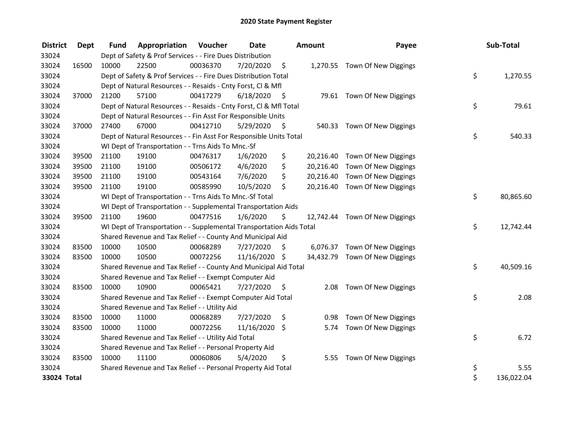| <b>District</b> | Dept  | <b>Fund</b> | Appropriation                                                        | Voucher  | <b>Date</b>   |      | <b>Amount</b> | Payee                          | Sub-Total        |
|-----------------|-------|-------------|----------------------------------------------------------------------|----------|---------------|------|---------------|--------------------------------|------------------|
| 33024           |       |             | Dept of Safety & Prof Services - - Fire Dues Distribution            |          |               |      |               |                                |                  |
| 33024           | 16500 | 10000       | 22500                                                                | 00036370 | 7/20/2020     | \$   |               | 1,270.55 Town Of New Diggings  |                  |
| 33024           |       |             | Dept of Safety & Prof Services - - Fire Dues Distribution Total      |          |               |      |               |                                | \$<br>1,270.55   |
| 33024           |       |             | Dept of Natural Resources - - Resaids - Cnty Forst, Cl & Mfl         |          |               |      |               |                                |                  |
| 33024           | 37000 | 21200       | 57100                                                                | 00417279 | 6/18/2020     | - \$ |               | 79.61 Town Of New Diggings     |                  |
| 33024           |       |             | Dept of Natural Resources - - Resaids - Cnty Forst, Cl & Mfl Total   |          |               |      |               |                                | \$<br>79.61      |
| 33024           |       |             | Dept of Natural Resources - - Fin Asst For Responsible Units         |          |               |      |               |                                |                  |
| 33024           | 37000 | 27400       | 67000                                                                | 00412710 | 5/29/2020     | - \$ |               | 540.33 Town Of New Diggings    |                  |
| 33024           |       |             | Dept of Natural Resources - - Fin Asst For Responsible Units Total   |          |               |      |               |                                | \$<br>540.33     |
| 33024           |       |             | WI Dept of Transportation - - Trns Aids To Mnc.-Sf                   |          |               |      |               |                                |                  |
| 33024           | 39500 | 21100       | 19100                                                                | 00476317 | 1/6/2020      | \$   |               | 20,216.40 Town Of New Diggings |                  |
| 33024           | 39500 | 21100       | 19100                                                                | 00506172 | 4/6/2020      | \$   | 20,216.40     | Town Of New Diggings           |                  |
| 33024           | 39500 | 21100       | 19100                                                                | 00543164 | 7/6/2020      | \$   | 20,216.40     | Town Of New Diggings           |                  |
| 33024           | 39500 | 21100       | 19100                                                                | 00585990 | 10/5/2020     | \$   |               | 20,216.40 Town Of New Diggings |                  |
| 33024           |       |             | WI Dept of Transportation - - Trns Aids To Mnc.-Sf Total             |          |               |      |               |                                | \$<br>80,865.60  |
| 33024           |       |             | WI Dept of Transportation - - Supplemental Transportation Aids       |          |               |      |               |                                |                  |
| 33024           | 39500 | 21100       | 19600                                                                | 00477516 | 1/6/2020      | \$   |               | 12,742.44 Town Of New Diggings |                  |
| 33024           |       |             | WI Dept of Transportation - - Supplemental Transportation Aids Total |          |               |      |               |                                | \$<br>12,742.44  |
| 33024           |       |             | Shared Revenue and Tax Relief - - County And Municipal Aid           |          |               |      |               |                                |                  |
| 33024           | 83500 | 10000       | 10500                                                                | 00068289 | 7/27/2020     | \$   |               | 6,076.37 Town Of New Diggings  |                  |
| 33024           | 83500 | 10000       | 10500                                                                | 00072256 | 11/16/2020 \$ |      |               | 34,432.79 Town Of New Diggings |                  |
| 33024           |       |             | Shared Revenue and Tax Relief - - County And Municipal Aid Total     |          |               |      |               |                                | \$<br>40,509.16  |
| 33024           |       |             | Shared Revenue and Tax Relief - - Exempt Computer Aid                |          |               |      |               |                                |                  |
| 33024           | 83500 | 10000       | 10900                                                                | 00065421 | 7/27/2020     | \$   |               | 2.08 Town Of New Diggings      |                  |
| 33024           |       |             | Shared Revenue and Tax Relief - - Exempt Computer Aid Total          |          |               |      |               |                                | \$<br>2.08       |
| 33024           |       |             | Shared Revenue and Tax Relief - - Utility Aid                        |          |               |      |               |                                |                  |
| 33024           | 83500 | 10000       | 11000                                                                | 00068289 | 7/27/2020     | \$   | 0.98          | Town Of New Diggings           |                  |
| 33024           | 83500 | 10000       | 11000                                                                | 00072256 | 11/16/2020    | \$   | 5.74          | Town Of New Diggings           |                  |
| 33024           |       |             | Shared Revenue and Tax Relief - - Utility Aid Total                  |          |               |      |               |                                | \$<br>6.72       |
| 33024           |       |             | Shared Revenue and Tax Relief - - Personal Property Aid              |          |               |      |               |                                |                  |
| 33024           | 83500 | 10000       | 11100                                                                | 00060806 | 5/4/2020      | \$   | 5.55          | Town Of New Diggings           |                  |
| 33024           |       |             | Shared Revenue and Tax Relief - - Personal Property Aid Total        |          |               |      |               |                                | \$<br>5.55       |
| 33024 Total     |       |             |                                                                      |          |               |      |               |                                | \$<br>136,022.04 |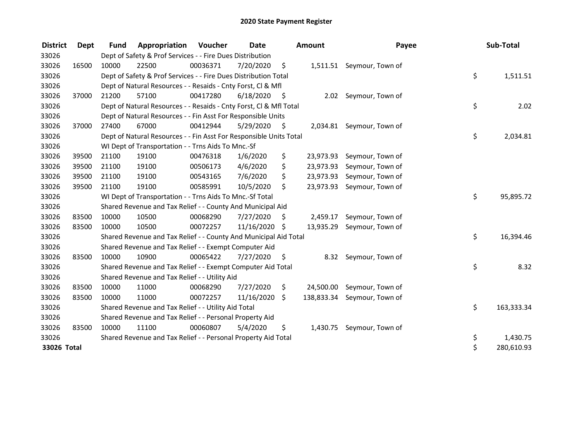| <b>District</b> | Dept  | <b>Fund</b> | Appropriation                                                      | <b>Voucher</b> | <b>Date</b>   |      | <b>Amount</b> | Payee                       | Sub-Total        |
|-----------------|-------|-------------|--------------------------------------------------------------------|----------------|---------------|------|---------------|-----------------------------|------------------|
| 33026           |       |             | Dept of Safety & Prof Services - - Fire Dues Distribution          |                |               |      |               |                             |                  |
| 33026           | 16500 | 10000       | 22500                                                              | 00036371       | 7/20/2020     | \$   |               | 1,511.51 Seymour, Town of   |                  |
| 33026           |       |             | Dept of Safety & Prof Services - - Fire Dues Distribution Total    |                |               |      |               |                             | \$<br>1,511.51   |
| 33026           |       |             | Dept of Natural Resources - - Resaids - Cnty Forst, Cl & Mfl       |                |               |      |               |                             |                  |
| 33026           | 37000 | 21200       | 57100                                                              | 00417280       | 6/18/2020     | - \$ |               | 2.02 Seymour, Town of       |                  |
| 33026           |       |             | Dept of Natural Resources - - Resaids - Cnty Forst, Cl & Mfl Total |                |               |      |               |                             | \$<br>2.02       |
| 33026           |       |             | Dept of Natural Resources - - Fin Asst For Responsible Units       |                |               |      |               |                             |                  |
| 33026           | 37000 | 27400       | 67000                                                              | 00412944       | 5/29/2020     | - \$ |               | 2,034.81 Seymour, Town of   |                  |
| 33026           |       |             | Dept of Natural Resources - - Fin Asst For Responsible Units Total |                |               |      |               |                             | \$<br>2,034.81   |
| 33026           |       |             | WI Dept of Transportation - - Trns Aids To Mnc.-Sf                 |                |               |      |               |                             |                  |
| 33026           | 39500 | 21100       | 19100                                                              | 00476318       | 1/6/2020      | \$   | 23,973.93     | Seymour, Town of            |                  |
| 33026           | 39500 | 21100       | 19100                                                              | 00506173       | 4/6/2020      | \$   | 23,973.93     | Seymour, Town of            |                  |
| 33026           | 39500 | 21100       | 19100                                                              | 00543165       | 7/6/2020      | \$   | 23,973.93     | Seymour, Town of            |                  |
| 33026           | 39500 | 21100       | 19100                                                              | 00585991       | 10/5/2020     | \$   | 23,973.93     | Seymour, Town of            |                  |
| 33026           |       |             | WI Dept of Transportation - - Trns Aids To Mnc.-Sf Total           |                |               |      |               |                             | \$<br>95,895.72  |
| 33026           |       |             | Shared Revenue and Tax Relief - - County And Municipal Aid         |                |               |      |               |                             |                  |
| 33026           | 83500 | 10000       | 10500                                                              | 00068290       | 7/27/2020     | S    | 2,459.17      | Seymour, Town of            |                  |
| 33026           | 83500 | 10000       | 10500                                                              | 00072257       | 11/16/2020 \$ |      | 13,935.29     | Seymour, Town of            |                  |
| 33026           |       |             | Shared Revenue and Tax Relief - - County And Municipal Aid Total   |                |               |      |               |                             | \$<br>16,394.46  |
| 33026           |       |             | Shared Revenue and Tax Relief - - Exempt Computer Aid              |                |               |      |               |                             |                  |
| 33026           | 83500 | 10000       | 10900                                                              | 00065422       | 7/27/2020     | \$   | 8.32          | Seymour, Town of            |                  |
| 33026           |       |             | Shared Revenue and Tax Relief - - Exempt Computer Aid Total        |                |               |      |               |                             | \$<br>8.32       |
| 33026           |       |             | Shared Revenue and Tax Relief - - Utility Aid                      |                |               |      |               |                             |                  |
| 33026           | 83500 | 10000       | 11000                                                              | 00068290       | 7/27/2020     | \$   | 24,500.00     | Seymour, Town of            |                  |
| 33026           | 83500 | 10000       | 11000                                                              | 00072257       | 11/16/2020    | \$   |               | 138,833.34 Seymour, Town of |                  |
| 33026           |       |             | Shared Revenue and Tax Relief - - Utility Aid Total                |                |               |      |               |                             | \$<br>163,333.34 |
| 33026           |       |             | Shared Revenue and Tax Relief - - Personal Property Aid            |                |               |      |               |                             |                  |
| 33026           | 83500 | 10000       | 11100                                                              | 00060807       | 5/4/2020      | \$   | 1,430.75      | Seymour, Town of            |                  |
| 33026           |       |             | Shared Revenue and Tax Relief - - Personal Property Aid Total      |                |               |      |               |                             | \$<br>1,430.75   |
| 33026 Total     |       |             |                                                                    |                |               |      |               |                             | \$<br>280,610.93 |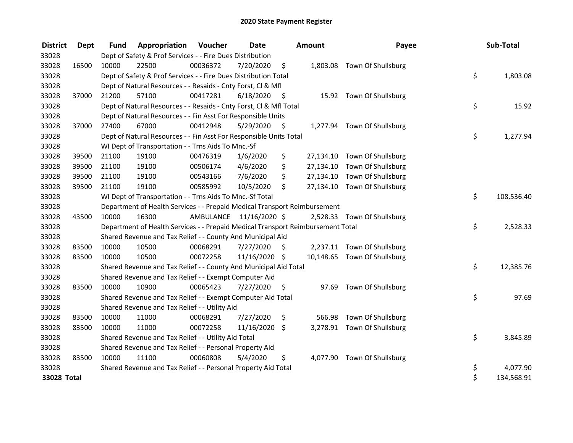| <b>District</b> | Dept  | <b>Fund</b> | <b>Appropriation Voucher</b>                                                    |                         | <b>Date</b>   |      | Amount | Payee                        | Sub-Total        |
|-----------------|-------|-------------|---------------------------------------------------------------------------------|-------------------------|---------------|------|--------|------------------------------|------------------|
| 33028           |       |             | Dept of Safety & Prof Services - - Fire Dues Distribution                       |                         |               |      |        |                              |                  |
| 33028           | 16500 | 10000       | 22500                                                                           | 00036372                | 7/20/2020     | \$   |        | 1,803.08 Town Of Shullsburg  |                  |
| 33028           |       |             | Dept of Safety & Prof Services - - Fire Dues Distribution Total                 |                         |               |      |        |                              | \$<br>1,803.08   |
| 33028           |       |             | Dept of Natural Resources - - Resaids - Cnty Forst, CI & Mfl                    |                         |               |      |        |                              |                  |
| 33028           | 37000 | 21200       | 57100                                                                           | 00417281                | 6/18/2020     | - \$ |        | 15.92 Town Of Shullsburg     |                  |
| 33028           |       |             | Dept of Natural Resources - - Resaids - Cnty Forst, CI & Mfl Total              |                         |               |      |        |                              | \$<br>15.92      |
| 33028           |       |             | Dept of Natural Resources - - Fin Asst For Responsible Units                    |                         |               |      |        |                              |                  |
| 33028           | 37000 | 27400       | 67000                                                                           | 00412948                | 5/29/2020     | - \$ |        | 1,277.94 Town Of Shullsburg  |                  |
| 33028           |       |             | Dept of Natural Resources - - Fin Asst For Responsible Units Total              |                         |               |      |        |                              | \$<br>1,277.94   |
| 33028           |       |             | WI Dept of Transportation - - Trns Aids To Mnc.-Sf                              |                         |               |      |        |                              |                  |
| 33028           | 39500 | 21100       | 19100                                                                           | 00476319                | 1/6/2020      | \$   |        | 27,134.10 Town Of Shullsburg |                  |
| 33028           | 39500 | 21100       | 19100                                                                           | 00506174                | 4/6/2020      | \$   |        | 27,134.10 Town Of Shullsburg |                  |
| 33028           | 39500 | 21100       | 19100                                                                           | 00543166                | 7/6/2020      | \$   |        | 27,134.10 Town Of Shullsburg |                  |
| 33028           | 39500 | 21100       | 19100                                                                           | 00585992                | 10/5/2020     | \$   |        | 27,134.10 Town Of Shullsburg |                  |
| 33028           |       |             | WI Dept of Transportation - - Trns Aids To Mnc.-Sf Total                        |                         |               |      |        |                              | \$<br>108,536.40 |
| 33028           |       |             | Department of Health Services - - Prepaid Medical Transport Reimbursement       |                         |               |      |        |                              |                  |
| 33028           | 43500 | 10000       | 16300                                                                           | AMBULANCE 11/16/2020 \$ |               |      |        | 2,528.33 Town Of Shullsburg  |                  |
| 33028           |       |             | Department of Health Services - - Prepaid Medical Transport Reimbursement Total |                         |               |      |        |                              | \$<br>2,528.33   |
| 33028           |       |             | Shared Revenue and Tax Relief - - County And Municipal Aid                      |                         |               |      |        |                              |                  |
| 33028           | 83500 | 10000       | 10500                                                                           | 00068291                | 7/27/2020     | S.   |        | 2,237.11 Town Of Shullsburg  |                  |
| 33028           | 83500 | 10000       | 10500                                                                           | 00072258                | 11/16/2020 \$ |      |        | 10,148.65 Town Of Shullsburg |                  |
| 33028           |       |             | Shared Revenue and Tax Relief - - County And Municipal Aid Total                |                         |               |      |        |                              | \$<br>12,385.76  |
| 33028           |       |             | Shared Revenue and Tax Relief - - Exempt Computer Aid                           |                         |               |      |        |                              |                  |
| 33028           | 83500 | 10000       | 10900                                                                           | 00065423                | 7/27/2020     | \$.  |        | 97.69 Town Of Shullsburg     |                  |
| 33028           |       |             | Shared Revenue and Tax Relief - - Exempt Computer Aid Total                     |                         |               |      |        |                              | \$<br>97.69      |
| 33028           |       |             | Shared Revenue and Tax Relief - - Utility Aid                                   |                         |               |      |        |                              |                  |
| 33028           | 83500 | 10000       | 11000                                                                           | 00068291                | 7/27/2020     | \$   | 566.98 | Town Of Shullsburg           |                  |
| 33028           | 83500 | 10000       | 11000                                                                           | 00072258                | 11/16/2020    | \$   |        | 3,278.91 Town Of Shullsburg  |                  |
| 33028           |       |             | Shared Revenue and Tax Relief - - Utility Aid Total                             |                         |               |      |        |                              | \$<br>3,845.89   |
| 33028           |       |             | Shared Revenue and Tax Relief - - Personal Property Aid                         |                         |               |      |        |                              |                  |
| 33028           | 83500 | 10000       | 11100                                                                           | 00060808                | 5/4/2020      | \$   |        | 4,077.90 Town Of Shullsburg  |                  |
| 33028           |       |             | Shared Revenue and Tax Relief - - Personal Property Aid Total                   |                         |               |      |        |                              | \$<br>4,077.90   |
| 33028 Total     |       |             |                                                                                 |                         |               |      |        |                              | \$<br>134,568.91 |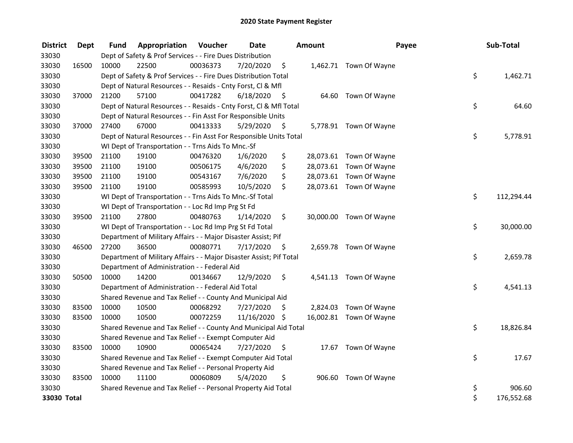| <b>District</b> | Dept  | Fund  | Appropriation                                                       | Voucher  | <b>Date</b>   |      | Amount | Payee                   | Sub-Total        |
|-----------------|-------|-------|---------------------------------------------------------------------|----------|---------------|------|--------|-------------------------|------------------|
| 33030           |       |       | Dept of Safety & Prof Services - - Fire Dues Distribution           |          |               |      |        |                         |                  |
| 33030           | 16500 | 10000 | 22500                                                               | 00036373 | 7/20/2020     | \$   |        | 1,462.71 Town Of Wayne  |                  |
| 33030           |       |       | Dept of Safety & Prof Services - - Fire Dues Distribution Total     |          |               |      |        |                         | \$<br>1,462.71   |
| 33030           |       |       | Dept of Natural Resources - - Resaids - Cnty Forst, Cl & Mfl        |          |               |      |        |                         |                  |
| 33030           | 37000 | 21200 | 57100                                                               | 00417282 | 6/18/2020     | - \$ |        | 64.60 Town Of Wayne     |                  |
| 33030           |       |       | Dept of Natural Resources - - Resaids - Cnty Forst, CI & Mfl Total  |          |               |      |        |                         | \$<br>64.60      |
| 33030           |       |       | Dept of Natural Resources - - Fin Asst For Responsible Units        |          |               |      |        |                         |                  |
| 33030           | 37000 | 27400 | 67000                                                               | 00413333 | 5/29/2020     | - \$ |        | 5,778.91 Town Of Wayne  |                  |
| 33030           |       |       | Dept of Natural Resources - - Fin Asst For Responsible Units Total  |          |               |      |        |                         | \$<br>5,778.91   |
| 33030           |       |       | WI Dept of Transportation - - Trns Aids To Mnc.-Sf                  |          |               |      |        |                         |                  |
| 33030           | 39500 | 21100 | 19100                                                               | 00476320 | 1/6/2020      | \$   |        | 28,073.61 Town Of Wayne |                  |
| 33030           | 39500 | 21100 | 19100                                                               | 00506175 | 4/6/2020      | \$   |        | 28,073.61 Town Of Wayne |                  |
| 33030           | 39500 | 21100 | 19100                                                               | 00543167 | 7/6/2020      | \$   |        | 28,073.61 Town Of Wayne |                  |
| 33030           | 39500 | 21100 | 19100                                                               | 00585993 | 10/5/2020     | \$   |        | 28,073.61 Town Of Wayne |                  |
| 33030           |       |       | WI Dept of Transportation - - Trns Aids To Mnc.-Sf Total            |          |               |      |        |                         | \$<br>112,294.44 |
| 33030           |       |       | WI Dept of Transportation - - Loc Rd Imp Prg St Fd                  |          |               |      |        |                         |                  |
| 33030           | 39500 | 21100 | 27800                                                               | 00480763 | 1/14/2020     | \$   |        | 30,000.00 Town Of Wayne |                  |
| 33030           |       |       | WI Dept of Transportation - - Loc Rd Imp Prg St Fd Total            |          |               |      |        |                         | \$<br>30,000.00  |
| 33030           |       |       | Department of Military Affairs - - Major Disaster Assist; Pif       |          |               |      |        |                         |                  |
| 33030           | 46500 | 27200 | 36500                                                               | 00080771 | 7/17/2020     | \$   |        | 2,659.78 Town Of Wayne  |                  |
| 33030           |       |       | Department of Military Affairs - - Major Disaster Assist; Pif Total |          |               |      |        |                         | \$<br>2,659.78   |
| 33030           |       |       | Department of Administration - - Federal Aid                        |          |               |      |        |                         |                  |
| 33030           | 50500 | 10000 | 14200                                                               | 00134667 | 12/9/2020     | \$   |        | 4,541.13 Town Of Wayne  |                  |
| 33030           |       |       | Department of Administration - - Federal Aid Total                  |          |               |      |        |                         | \$<br>4,541.13   |
| 33030           |       |       | Shared Revenue and Tax Relief - - County And Municipal Aid          |          |               |      |        |                         |                  |
| 33030           | 83500 | 10000 | 10500                                                               | 00068292 | 7/27/2020     | \$.  |        | 2,824.03 Town Of Wayne  |                  |
| 33030           | 83500 | 10000 | 10500                                                               | 00072259 | 11/16/2020 \$ |      |        | 16,002.81 Town Of Wayne |                  |
| 33030           |       |       | Shared Revenue and Tax Relief - - County And Municipal Aid Total    |          |               |      |        |                         | \$<br>18,826.84  |
| 33030           |       |       | Shared Revenue and Tax Relief - - Exempt Computer Aid               |          |               |      |        |                         |                  |
| 33030           | 83500 | 10000 | 10900                                                               | 00065424 | 7/27/2020     | \$.  |        | 17.67 Town Of Wayne     |                  |
| 33030           |       |       | Shared Revenue and Tax Relief - - Exempt Computer Aid Total         |          |               |      |        |                         | \$<br>17.67      |
| 33030           |       |       | Shared Revenue and Tax Relief - - Personal Property Aid             |          |               |      |        |                         |                  |
| 33030           | 83500 | 10000 | 11100                                                               | 00060809 | 5/4/2020      | \$   |        | 906.60 Town Of Wayne    |                  |
| 33030           |       |       | Shared Revenue and Tax Relief - - Personal Property Aid Total       |          |               |      |        |                         | \$<br>906.60     |
| 33030 Total     |       |       |                                                                     |          |               |      |        |                         | \$<br>176,552.68 |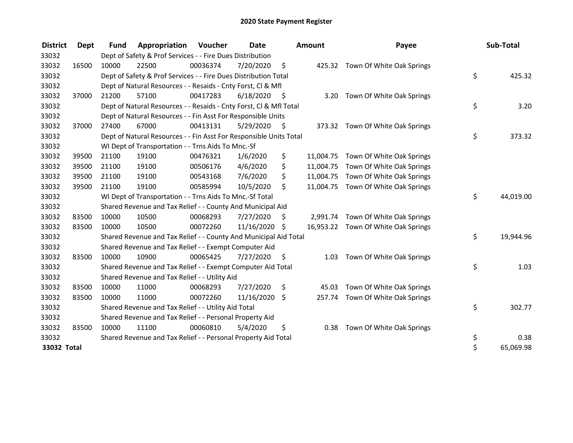| <b>District</b> | Dept  | <b>Fund</b> | Appropriation                                                      | Voucher  | <b>Date</b>   |      | <b>Amount</b> | Payee                               | Sub-Total       |
|-----------------|-------|-------------|--------------------------------------------------------------------|----------|---------------|------|---------------|-------------------------------------|-----------------|
| 33032           |       |             | Dept of Safety & Prof Services - - Fire Dues Distribution          |          |               |      |               |                                     |                 |
| 33032           | 16500 | 10000       | 22500                                                              | 00036374 | 7/20/2020     | \$   |               | 425.32 Town Of White Oak Springs    |                 |
| 33032           |       |             | Dept of Safety & Prof Services - - Fire Dues Distribution Total    |          |               |      |               |                                     | \$<br>425.32    |
| 33032           |       |             | Dept of Natural Resources - - Resaids - Cnty Forst, CI & Mfl       |          |               |      |               |                                     |                 |
| 33032           | 37000 | 21200       | 57100                                                              | 00417283 | 6/18/2020     | - \$ |               | 3.20 Town Of White Oak Springs      |                 |
| 33032           |       |             | Dept of Natural Resources - - Resaids - Cnty Forst, CI & Mfl Total |          |               |      |               |                                     | \$<br>3.20      |
| 33032           |       |             | Dept of Natural Resources - - Fin Asst For Responsible Units       |          |               |      |               |                                     |                 |
| 33032           | 37000 | 27400       | 67000                                                              | 00413131 | 5/29/2020     | - \$ |               | 373.32 Town Of White Oak Springs    |                 |
| 33032           |       |             | Dept of Natural Resources - - Fin Asst For Responsible Units Total |          |               |      |               |                                     | \$<br>373.32    |
| 33032           |       |             | WI Dept of Transportation - - Trns Aids To Mnc.-Sf                 |          |               |      |               |                                     |                 |
| 33032           | 39500 | 21100       | 19100                                                              | 00476321 | 1/6/2020      | \$   |               | 11,004.75 Town Of White Oak Springs |                 |
| 33032           | 39500 | 21100       | 19100                                                              | 00506176 | 4/6/2020      | \$   |               | 11,004.75 Town Of White Oak Springs |                 |
| 33032           | 39500 | 21100       | 19100                                                              | 00543168 | 7/6/2020      | \$   |               | 11,004.75 Town Of White Oak Springs |                 |
| 33032           | 39500 | 21100       | 19100                                                              | 00585994 | 10/5/2020     | \$   |               | 11,004.75 Town Of White Oak Springs |                 |
| 33032           |       |             | WI Dept of Transportation - - Trns Aids To Mnc.-Sf Total           |          |               |      |               |                                     | \$<br>44,019.00 |
| 33032           |       |             | Shared Revenue and Tax Relief - - County And Municipal Aid         |          |               |      |               |                                     |                 |
| 33032           | 83500 | 10000       | 10500                                                              | 00068293 | 7/27/2020     | S    |               | 2,991.74 Town Of White Oak Springs  |                 |
| 33032           | 83500 | 10000       | 10500                                                              | 00072260 | 11/16/2020 \$ |      |               | 16,953.22 Town Of White Oak Springs |                 |
| 33032           |       |             | Shared Revenue and Tax Relief - - County And Municipal Aid Total   |          |               |      |               |                                     | \$<br>19,944.96 |
| 33032           |       |             | Shared Revenue and Tax Relief - - Exempt Computer Aid              |          |               |      |               |                                     |                 |
| 33032           | 83500 | 10000       | 10900                                                              | 00065425 | 7/27/2020     | \$.  | 1.03          | Town Of White Oak Springs           |                 |
| 33032           |       |             | Shared Revenue and Tax Relief - - Exempt Computer Aid Total        |          |               |      |               |                                     | \$<br>1.03      |
| 33032           |       |             | Shared Revenue and Tax Relief - - Utility Aid                      |          |               |      |               |                                     |                 |
| 33032           | 83500 | 10000       | 11000                                                              | 00068293 | 7/27/2020     | \$   | 45.03         | Town Of White Oak Springs           |                 |
| 33032           | 83500 | 10000       | 11000                                                              | 00072260 | 11/16/2020    | \$   |               | 257.74 Town Of White Oak Springs    |                 |
| 33032           |       |             | Shared Revenue and Tax Relief - - Utility Aid Total                |          |               |      |               |                                     | \$<br>302.77    |
| 33032           |       |             | Shared Revenue and Tax Relief - - Personal Property Aid            |          |               |      |               |                                     |                 |
| 33032           | 83500 | 10000       | 11100                                                              | 00060810 | 5/4/2020      | \$   |               | 0.38 Town Of White Oak Springs      |                 |
| 33032           |       |             | Shared Revenue and Tax Relief - - Personal Property Aid Total      |          |               |      |               |                                     | \$<br>0.38      |
| 33032 Total     |       |             |                                                                    |          |               |      |               |                                     | \$<br>65,069.98 |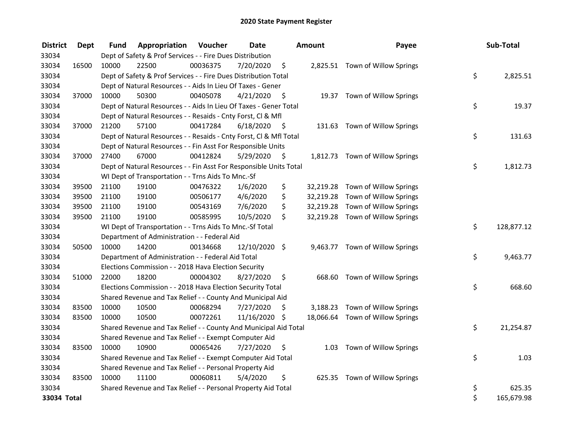| <b>District</b> | <b>Dept</b> | Fund  | Appropriation                                                      | Voucher  | <b>Date</b>   |      | Amount    | Payee                            | Sub-Total        |
|-----------------|-------------|-------|--------------------------------------------------------------------|----------|---------------|------|-----------|----------------------------------|------------------|
| 33034           |             |       | Dept of Safety & Prof Services - - Fire Dues Distribution          |          |               |      |           |                                  |                  |
| 33034           | 16500       | 10000 | 22500                                                              | 00036375 | 7/20/2020     | \$   |           | 2,825.51 Town of Willow Springs  |                  |
| 33034           |             |       | Dept of Safety & Prof Services - - Fire Dues Distribution Total    |          |               |      |           |                                  | \$<br>2,825.51   |
| 33034           |             |       | Dept of Natural Resources - - Aids In Lieu Of Taxes - Gener        |          |               |      |           |                                  |                  |
| 33034           | 37000       | 10000 | 50300                                                              | 00405078 | 4/21/2020     | -\$  |           | 19.37 Town of Willow Springs     |                  |
| 33034           |             |       | Dept of Natural Resources - - Aids In Lieu Of Taxes - Gener Total  |          |               |      |           |                                  | \$<br>19.37      |
| 33034           |             |       | Dept of Natural Resources - - Resaids - Cnty Forst, Cl & Mfl       |          |               |      |           |                                  |                  |
| 33034           | 37000       | 21200 | 57100                                                              | 00417284 | 6/18/2020     | - \$ |           | 131.63 Town of Willow Springs    |                  |
| 33034           |             |       | Dept of Natural Resources - - Resaids - Cnty Forst, Cl & Mfl Total |          |               |      |           |                                  | \$<br>131.63     |
| 33034           |             |       | Dept of Natural Resources - - Fin Asst For Responsible Units       |          |               |      |           |                                  |                  |
| 33034           | 37000       | 27400 | 67000                                                              | 00412824 | 5/29/2020     | \$   |           | 1,812.73 Town of Willow Springs  |                  |
| 33034           |             |       | Dept of Natural Resources - - Fin Asst For Responsible Units Total |          |               |      |           |                                  | \$<br>1,812.73   |
| 33034           |             |       | WI Dept of Transportation - - Trns Aids To Mnc.-Sf                 |          |               |      |           |                                  |                  |
| 33034           | 39500       | 21100 | 19100                                                              | 00476322 | 1/6/2020      | \$   | 32,219.28 | Town of Willow Springs           |                  |
| 33034           | 39500       | 21100 | 19100                                                              | 00506177 | 4/6/2020      | \$   |           | 32,219.28 Town of Willow Springs |                  |
| 33034           | 39500       | 21100 | 19100                                                              | 00543169 | 7/6/2020      | \$   |           | 32,219.28 Town of Willow Springs |                  |
| 33034           | 39500       | 21100 | 19100                                                              | 00585995 | 10/5/2020     | \$   |           | 32,219.28 Town of Willow Springs |                  |
| 33034           |             |       | WI Dept of Transportation - - Trns Aids To Mnc.-Sf Total           |          |               |      |           |                                  | \$<br>128,877.12 |
| 33034           |             |       | Department of Administration - - Federal Aid                       |          |               |      |           |                                  |                  |
| 33034           | 50500       | 10000 | 14200                                                              | 00134668 | 12/10/2020 \$ |      |           | 9,463.77 Town of Willow Springs  |                  |
| 33034           |             |       | Department of Administration - - Federal Aid Total                 |          |               |      |           |                                  | \$<br>9,463.77   |
| 33034           |             |       | Elections Commission - - 2018 Hava Election Security               |          |               |      |           |                                  |                  |
| 33034           | 51000       | 22000 | 18200                                                              | 00004302 | 8/27/2020     | \$   |           | 668.60 Town of Willow Springs    |                  |
| 33034           |             |       | Elections Commission - - 2018 Hava Election Security Total         |          |               |      |           |                                  | \$<br>668.60     |
| 33034           |             |       | Shared Revenue and Tax Relief - - County And Municipal Aid         |          |               |      |           |                                  |                  |
| 33034           | 83500       | 10000 | 10500                                                              | 00068294 | 7/27/2020     | \$   | 3,188.23  | Town of Willow Springs           |                  |
| 33034           | 83500       | 10000 | 10500                                                              | 00072261 | 11/16/2020 \$ |      |           | 18,066.64 Town of Willow Springs |                  |
| 33034           |             |       | Shared Revenue and Tax Relief - - County And Municipal Aid Total   |          |               |      |           |                                  | \$<br>21,254.87  |
| 33034           |             |       | Shared Revenue and Tax Relief - - Exempt Computer Aid              |          |               |      |           |                                  |                  |
| 33034           | 83500       | 10000 | 10900                                                              | 00065426 | 7/27/2020     | \$   | 1.03      | Town of Willow Springs           |                  |
| 33034           |             |       | Shared Revenue and Tax Relief - - Exempt Computer Aid Total        |          |               |      |           |                                  | \$<br>1.03       |
| 33034           |             |       | Shared Revenue and Tax Relief - - Personal Property Aid            |          |               |      |           |                                  |                  |
| 33034           | 83500       | 10000 | 11100                                                              | 00060811 | 5/4/2020      | \$   |           | 625.35 Town of Willow Springs    |                  |
| 33034           |             |       | Shared Revenue and Tax Relief - - Personal Property Aid Total      |          |               |      |           |                                  | \$<br>625.35     |
| 33034 Total     |             |       |                                                                    |          |               |      |           |                                  | \$<br>165,679.98 |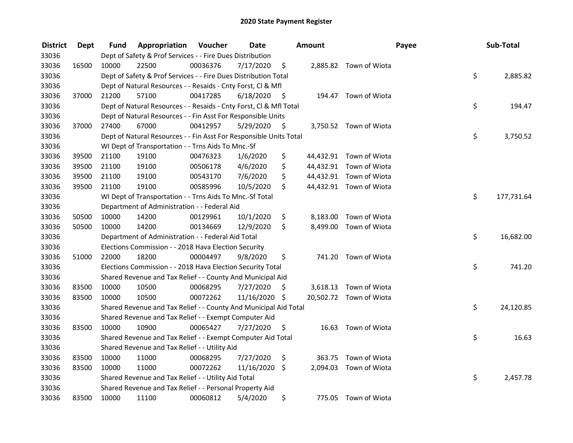| <b>District</b> | <b>Dept</b> | Fund  | Appropriation                                                      | Voucher  | <b>Date</b>   |      | Amount   |                         | Payee | Sub-Total       |  |
|-----------------|-------------|-------|--------------------------------------------------------------------|----------|---------------|------|----------|-------------------------|-------|-----------------|--|
| 33036           |             |       | Dept of Safety & Prof Services - - Fire Dues Distribution          |          |               |      |          |                         |       |                 |  |
| 33036           | 16500       | 10000 | 22500                                                              | 00036376 | 7/17/2020     | \$   |          | 2,885.82 Town of Wiota  |       |                 |  |
| 33036           |             |       | Dept of Safety & Prof Services - - Fire Dues Distribution Total    |          |               |      |          |                         | \$    | 2,885.82        |  |
| 33036           |             |       | Dept of Natural Resources - - Resaids - Cnty Forst, Cl & Mfl       |          |               |      |          |                         |       |                 |  |
| 33036           | 37000       | 21200 | 57100                                                              | 00417285 | 6/18/2020     | - \$ |          | 194.47 Town of Wiota    |       |                 |  |
| 33036           |             |       | Dept of Natural Resources - - Resaids - Cnty Forst, Cl & Mfl Total |          |               |      |          |                         |       | \$<br>194.47    |  |
| 33036           |             |       | Dept of Natural Resources - - Fin Asst For Responsible Units       |          |               |      |          |                         |       |                 |  |
| 33036           | 37000       | 27400 | 67000                                                              | 00412957 | 5/29/2020     | - \$ |          | 3,750.52 Town of Wiota  |       |                 |  |
| 33036           |             |       | Dept of Natural Resources - - Fin Asst For Responsible Units Total |          |               |      |          |                         | \$    | 3,750.52        |  |
| 33036           |             |       | WI Dept of Transportation - - Trns Aids To Mnc.-Sf                 |          |               |      |          |                         |       |                 |  |
| 33036           | 39500       | 21100 | 19100                                                              | 00476323 | 1/6/2020      | \$   |          | 44,432.91 Town of Wiota |       |                 |  |
| 33036           | 39500       | 21100 | 19100                                                              | 00506178 | 4/6/2020      | \$   |          | 44,432.91 Town of Wiota |       |                 |  |
| 33036           | 39500       | 21100 | 19100                                                              | 00543170 | 7/6/2020      | \$   |          | 44,432.91 Town of Wiota |       |                 |  |
| 33036           | 39500       | 21100 | 19100                                                              | 00585996 | 10/5/2020     | \$   |          | 44,432.91 Town of Wiota |       |                 |  |
| 33036           |             |       | WI Dept of Transportation - - Trns Aids To Mnc.-Sf Total           |          |               |      |          |                         | \$    | 177,731.64      |  |
| 33036           |             |       | Department of Administration - - Federal Aid                       |          |               |      |          |                         |       |                 |  |
| 33036           | 50500       | 10000 | 14200                                                              | 00129961 | 10/1/2020     | \$   | 8,183.00 | Town of Wiota           |       |                 |  |
| 33036           | 50500       | 10000 | 14200                                                              | 00134669 | 12/9/2020     | \$   |          | 8,499.00 Town of Wiota  |       |                 |  |
| 33036           |             |       | Department of Administration - - Federal Aid Total                 |          |               |      |          |                         |       | \$<br>16,682.00 |  |
| 33036           |             |       | Elections Commission - - 2018 Hava Election Security               |          |               |      |          |                         |       |                 |  |
| 33036           | 51000       | 22000 | 18200                                                              | 00004497 | 9/8/2020      | \$   |          | 741.20 Town of Wiota    |       |                 |  |
| 33036           |             |       | Elections Commission - - 2018 Hava Election Security Total         |          |               |      |          |                         | \$    | 741.20          |  |
| 33036           |             |       | Shared Revenue and Tax Relief - - County And Municipal Aid         |          |               |      |          |                         |       |                 |  |
| 33036           | 83500       | 10000 | 10500                                                              | 00068295 | 7/27/2020     | S    |          | 3,618.13 Town of Wiota  |       |                 |  |
| 33036           | 83500       | 10000 | 10500                                                              | 00072262 | 11/16/2020 \$ |      |          | 20,502.72 Town of Wiota |       |                 |  |
| 33036           |             |       | Shared Revenue and Tax Relief - - County And Municipal Aid Total   |          |               |      |          |                         | \$    | 24,120.85       |  |
| 33036           |             |       | Shared Revenue and Tax Relief - - Exempt Computer Aid              |          |               |      |          |                         |       |                 |  |
| 33036           | 83500       | 10000 | 10900                                                              | 00065427 | 7/27/2020     | \$.  |          | 16.63 Town of Wiota     |       |                 |  |
| 33036           |             |       | Shared Revenue and Tax Relief - - Exempt Computer Aid Total        |          |               |      |          |                         | \$    | 16.63           |  |
| 33036           |             |       | Shared Revenue and Tax Relief - - Utility Aid                      |          |               |      |          |                         |       |                 |  |
| 33036           | 83500       | 10000 | 11000                                                              | 00068295 | 7/27/2020     | \$   | 363.75   | Town of Wiota           |       |                 |  |
| 33036           | 83500       | 10000 | 11000                                                              | 00072262 | 11/16/2020    | \$   |          | 2,094.03 Town of Wiota  |       |                 |  |
| 33036           |             |       | Shared Revenue and Tax Relief - - Utility Aid Total                |          |               |      |          |                         | \$    | 2,457.78        |  |
| 33036           |             |       | Shared Revenue and Tax Relief - - Personal Property Aid            |          |               |      |          |                         |       |                 |  |
| 33036           | 83500       | 10000 | 11100                                                              | 00060812 | 5/4/2020      | \$   | 775.05   | Town of Wiota           |       |                 |  |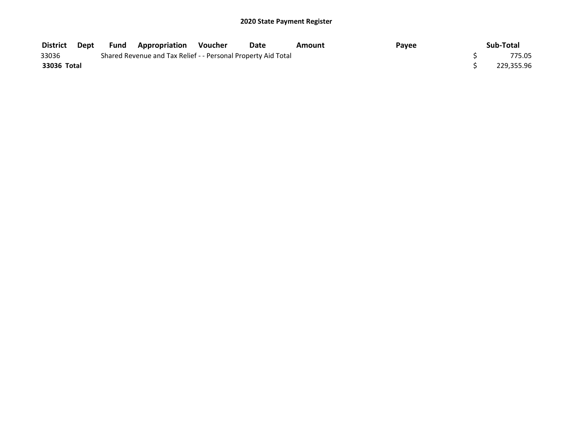| <b>District</b> | Dept | Fund | ' Appropriation                                               | Voucher | Date | Amount | Payee | Sub-Total  |
|-----------------|------|------|---------------------------------------------------------------|---------|------|--------|-------|------------|
| 33036           |      |      | Shared Revenue and Tax Relief - - Personal Property Aid Total |         |      |        |       | 775.05     |
| 33036 Total     |      |      |                                                               |         |      |        |       | 229,355.96 |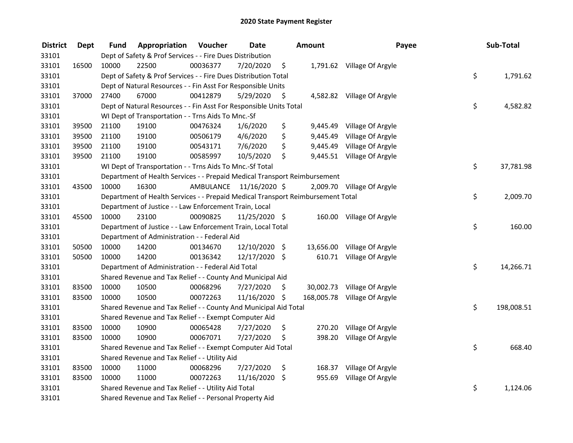| <b>District</b> | <b>Dept</b> | Fund  | Appropriation                                                                   | Voucher   | <b>Date</b>   |      | <b>Amount</b> | Payee                       | Sub-Total        |
|-----------------|-------------|-------|---------------------------------------------------------------------------------|-----------|---------------|------|---------------|-----------------------------|------------------|
| 33101           |             |       | Dept of Safety & Prof Services - - Fire Dues Distribution                       |           |               |      |               |                             |                  |
| 33101           | 16500       | 10000 | 22500                                                                           | 00036377  | 7/20/2020     | \$   |               | 1,791.62 Village Of Argyle  |                  |
| 33101           |             |       | Dept of Safety & Prof Services - - Fire Dues Distribution Total                 |           |               |      |               |                             | \$<br>1,791.62   |
| 33101           |             |       | Dept of Natural Resources - - Fin Asst For Responsible Units                    |           |               |      |               |                             |                  |
| 33101           | 37000       | 27400 | 67000                                                                           | 00412879  | 5/29/2020     | \$   |               | 4,582.82 Village Of Argyle  |                  |
| 33101           |             |       | Dept of Natural Resources - - Fin Asst For Responsible Units Total              |           |               |      |               |                             | \$<br>4,582.82   |
| 33101           |             |       | WI Dept of Transportation - - Trns Aids To Mnc.-Sf                              |           |               |      |               |                             |                  |
| 33101           | 39500       | 21100 | 19100                                                                           | 00476324  | 1/6/2020      | \$   |               | 9,445.49 Village Of Argyle  |                  |
| 33101           | 39500       | 21100 | 19100                                                                           | 00506179  | 4/6/2020      | \$   | 9,445.49      | Village Of Argyle           |                  |
| 33101           | 39500       | 21100 | 19100                                                                           | 00543171  | 7/6/2020      | \$   | 9,445.49      | Village Of Argyle           |                  |
| 33101           | 39500       | 21100 | 19100                                                                           | 00585997  | 10/5/2020     | \$   |               | 9,445.51 Village Of Argyle  |                  |
| 33101           |             |       | WI Dept of Transportation - - Trns Aids To Mnc.-Sf Total                        |           |               |      |               |                             | \$<br>37,781.98  |
| 33101           |             |       | Department of Health Services - - Prepaid Medical Transport Reimbursement       |           |               |      |               |                             |                  |
| 33101           | 43500       | 10000 | 16300                                                                           | AMBULANCE | 11/16/2020 \$ |      |               | 2,009.70 Village Of Argyle  |                  |
| 33101           |             |       | Department of Health Services - - Prepaid Medical Transport Reimbursement Total |           |               |      |               |                             | \$<br>2,009.70   |
| 33101           |             |       | Department of Justice - - Law Enforcement Train, Local                          |           |               |      |               |                             |                  |
| 33101           | 45500       | 10000 | 23100                                                                           | 00090825  | 11/25/2020 \$ |      |               | 160.00 Village Of Argyle    |                  |
| 33101           |             |       | Department of Justice - - Law Enforcement Train, Local Total                    |           |               |      |               |                             | \$<br>160.00     |
| 33101           |             |       | Department of Administration - - Federal Aid                                    |           |               |      |               |                             |                  |
| 33101           | 50500       | 10000 | 14200                                                                           | 00134670  | 12/10/2020 \$ |      |               | 13,656.00 Village Of Argyle |                  |
| 33101           | 50500       | 10000 | 14200                                                                           | 00136342  | 12/17/2020 \$ |      |               | 610.71 Village Of Argyle    |                  |
| 33101           |             |       | Department of Administration - - Federal Aid Total                              |           |               |      |               |                             | \$<br>14,266.71  |
| 33101           |             |       | Shared Revenue and Tax Relief - - County And Municipal Aid                      |           |               |      |               |                             |                  |
| 33101           | 83500       | 10000 | 10500                                                                           | 00068296  | 7/27/2020     | \$.  |               | 30,002.73 Village Of Argyle |                  |
| 33101           | 83500       | 10000 | 10500                                                                           | 00072263  | 11/16/2020    | -\$  | 168,005.78    | Village Of Argyle           |                  |
| 33101           |             |       | Shared Revenue and Tax Relief - - County And Municipal Aid Total                |           |               |      |               |                             | \$<br>198,008.51 |
| 33101           |             |       | Shared Revenue and Tax Relief - - Exempt Computer Aid                           |           |               |      |               |                             |                  |
| 33101           | 83500       | 10000 | 10900                                                                           | 00065428  | 7/27/2020     | \$   | 270.20        | Village Of Argyle           |                  |
| 33101           | 83500       | 10000 | 10900                                                                           | 00067071  | 7/27/2020     | \$   | 398.20        | Village Of Argyle           |                  |
| 33101           |             |       | Shared Revenue and Tax Relief - - Exempt Computer Aid Total                     |           |               |      |               |                             | \$<br>668.40     |
| 33101           |             |       | Shared Revenue and Tax Relief - - Utility Aid                                   |           |               |      |               |                             |                  |
| 33101           | 83500       | 10000 | 11000                                                                           | 00068296  | 7/27/2020     | \$   |               | 168.37 Village Of Argyle    |                  |
| 33101           | 83500       | 10000 | 11000                                                                           | 00072263  | 11/16/2020    | - \$ | 955.69        | Village Of Argyle           |                  |
| 33101           |             |       | Shared Revenue and Tax Relief - - Utility Aid Total                             |           |               |      |               |                             | \$<br>1,124.06   |
| 33101           |             |       | Shared Revenue and Tax Relief - - Personal Property Aid                         |           |               |      |               |                             |                  |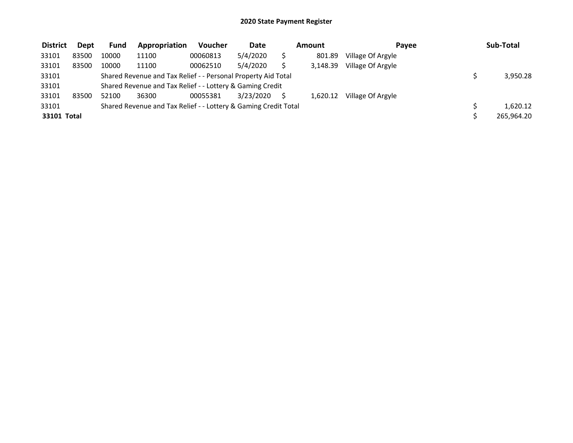| <b>District</b> | <b>Dept</b> | <b>Fund</b> | Appropriation                                                   | Voucher  | <b>Date</b> | Amount   | Pavee             | Sub-Total  |
|-----------------|-------------|-------------|-----------------------------------------------------------------|----------|-------------|----------|-------------------|------------|
| 33101           | 83500       | 10000       | 11100                                                           | 00060813 | 5/4/2020    | 801.89   | Village Of Argyle |            |
| 33101           | 83500       | 10000       | 11100                                                           | 00062510 | 5/4/2020    | 3,148.39 | Village Of Argyle |            |
| 33101           |             |             | Shared Revenue and Tax Relief - - Personal Property Aid Total   |          |             |          |                   | 3,950.28   |
| 33101           |             |             | Shared Revenue and Tax Relief - - Lottery & Gaming Credit       |          |             |          |                   |            |
| 33101           | 83500       | 52100       | 36300                                                           | 00055381 | 3/23/2020   | 1.620.12 | Village Of Argyle |            |
| 33101           |             |             | Shared Revenue and Tax Relief - - Lottery & Gaming Credit Total |          |             |          |                   | 1,620.12   |
| 33101 Total     |             |             |                                                                 |          |             |          |                   | 265,964.20 |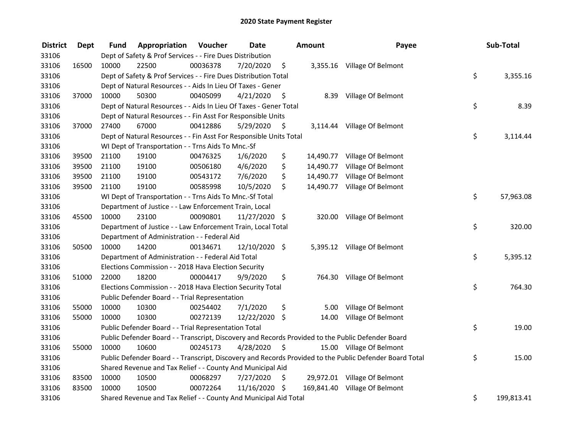| <b>District</b> | Dept  | Fund  | Appropriation                                                      | Voucher  | <b>Date</b>   |      | Amount    | Payee                                                                                                   | Sub-Total        |
|-----------------|-------|-------|--------------------------------------------------------------------|----------|---------------|------|-----------|---------------------------------------------------------------------------------------------------------|------------------|
| 33106           |       |       | Dept of Safety & Prof Services - - Fire Dues Distribution          |          |               |      |           |                                                                                                         |                  |
| 33106           | 16500 | 10000 | 22500                                                              | 00036378 | 7/20/2020     | \$   |           | 3,355.16 Village Of Belmont                                                                             |                  |
| 33106           |       |       | Dept of Safety & Prof Services - - Fire Dues Distribution Total    |          |               |      |           |                                                                                                         | \$<br>3,355.16   |
| 33106           |       |       | Dept of Natural Resources - - Aids In Lieu Of Taxes - Gener        |          |               |      |           |                                                                                                         |                  |
| 33106           | 37000 | 10000 | 50300                                                              | 00405099 | 4/21/2020     | -\$  |           | 8.39 Village Of Belmont                                                                                 |                  |
| 33106           |       |       | Dept of Natural Resources - - Aids In Lieu Of Taxes - Gener Total  |          |               |      |           |                                                                                                         | \$<br>8.39       |
| 33106           |       |       | Dept of Natural Resources - - Fin Asst For Responsible Units       |          |               |      |           |                                                                                                         |                  |
| 33106           | 37000 | 27400 | 67000                                                              | 00412886 | 5/29/2020     | - \$ |           | 3,114.44 Village Of Belmont                                                                             |                  |
| 33106           |       |       | Dept of Natural Resources - - Fin Asst For Responsible Units Total |          |               |      |           |                                                                                                         | \$<br>3,114.44   |
| 33106           |       |       | WI Dept of Transportation - - Trns Aids To Mnc.-Sf                 |          |               |      |           |                                                                                                         |                  |
| 33106           | 39500 | 21100 | 19100                                                              | 00476325 | 1/6/2020      | \$   |           | 14,490.77 Village Of Belmont                                                                            |                  |
| 33106           | 39500 | 21100 | 19100                                                              | 00506180 | 4/6/2020      | \$   |           | 14,490.77 Village Of Belmont                                                                            |                  |
| 33106           | 39500 | 21100 | 19100                                                              | 00543172 | 7/6/2020      | \$   | 14,490.77 | Village Of Belmont                                                                                      |                  |
| 33106           | 39500 | 21100 | 19100                                                              | 00585998 | 10/5/2020     | \$   |           | 14,490.77 Village Of Belmont                                                                            |                  |
| 33106           |       |       | WI Dept of Transportation - - Trns Aids To Mnc.-Sf Total           |          |               |      |           |                                                                                                         | \$<br>57,963.08  |
| 33106           |       |       | Department of Justice - - Law Enforcement Train, Local             |          |               |      |           |                                                                                                         |                  |
| 33106           | 45500 | 10000 | 23100                                                              | 00090801 | 11/27/2020 \$ |      | 320.00    | Village Of Belmont                                                                                      |                  |
| 33106           |       |       | Department of Justice - - Law Enforcement Train, Local Total       |          |               |      |           |                                                                                                         | \$<br>320.00     |
| 33106           |       |       | Department of Administration - - Federal Aid                       |          |               |      |           |                                                                                                         |                  |
| 33106           | 50500 | 10000 | 14200                                                              | 00134671 | 12/10/2020 \$ |      |           | 5,395.12 Village Of Belmont                                                                             |                  |
| 33106           |       |       | Department of Administration - - Federal Aid Total                 |          |               |      |           |                                                                                                         | \$<br>5,395.12   |
| 33106           |       |       | Elections Commission - - 2018 Hava Election Security               |          |               |      |           |                                                                                                         |                  |
| 33106           | 51000 | 22000 | 18200                                                              | 00004417 | 9/9/2020      | \$   |           | 764.30 Village Of Belmont                                                                               |                  |
| 33106           |       |       | Elections Commission - - 2018 Hava Election Security Total         |          |               |      |           |                                                                                                         | \$<br>764.30     |
| 33106           |       |       | Public Defender Board - - Trial Representation                     |          |               |      |           |                                                                                                         |                  |
| 33106           | 55000 | 10000 | 10300                                                              | 00254402 | 7/1/2020      | \$   | 5.00      | Village Of Belmont                                                                                      |                  |
| 33106           | 55000 | 10000 | 10300                                                              | 00272139 | 12/22/2020    | \$   | 14.00     | Village Of Belmont                                                                                      |                  |
| 33106           |       |       | Public Defender Board - - Trial Representation Total               |          |               |      |           |                                                                                                         | \$<br>19.00      |
| 33106           |       |       |                                                                    |          |               |      |           | Public Defender Board - - Transcript, Discovery and Records Provided to the Public Defender Board       |                  |
| 33106           | 55000 | 10000 | 10600                                                              | 00245173 | 4/28/2020     | \$   |           | 15.00 Village Of Belmont                                                                                |                  |
| 33106           |       |       |                                                                    |          |               |      |           | Public Defender Board - - Transcript, Discovery and Records Provided to the Public Defender Board Total | \$<br>15.00      |
| 33106           |       |       | Shared Revenue and Tax Relief - - County And Municipal Aid         |          |               |      |           |                                                                                                         |                  |
| 33106           | 83500 | 10000 | 10500                                                              | 00068297 | 7/27/2020     | \$   |           | 29,972.01 Village Of Belmont                                                                            |                  |
| 33106           | 83500 | 10000 | 10500                                                              | 00072264 | 11/16/2020 \$ |      |           | 169,841.40 Village Of Belmont                                                                           |                  |
| 33106           |       |       | Shared Revenue and Tax Relief - - County And Municipal Aid Total   |          |               |      |           |                                                                                                         | \$<br>199,813.41 |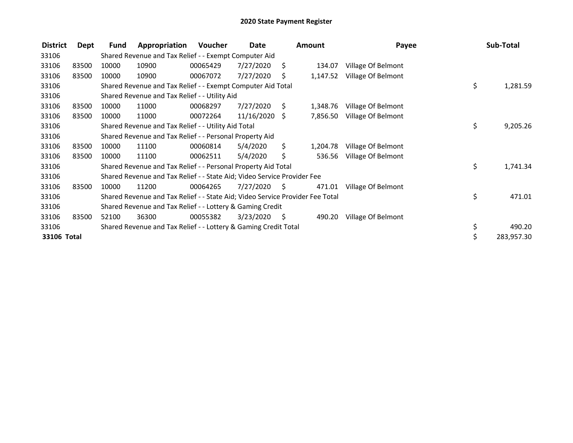| <b>District</b> | Dept  | Fund  | Appropriation                                                                 | Voucher  | Date       |      | <b>Amount</b> | Payee              | Sub-Total        |
|-----------------|-------|-------|-------------------------------------------------------------------------------|----------|------------|------|---------------|--------------------|------------------|
| 33106           |       |       | Shared Revenue and Tax Relief - - Exempt Computer Aid                         |          |            |      |               |                    |                  |
| 33106           | 83500 | 10000 | 10900                                                                         | 00065429 | 7/27/2020  | - \$ | 134.07        | Village Of Belmont |                  |
| 33106           | 83500 | 10000 | 10900                                                                         | 00067072 | 7/27/2020  | \$   | 1,147.52      | Village Of Belmont |                  |
| 33106           |       |       | Shared Revenue and Tax Relief - - Exempt Computer Aid Total                   |          |            |      |               |                    | \$<br>1,281.59   |
| 33106           |       |       | Shared Revenue and Tax Relief - - Utility Aid                                 |          |            |      |               |                    |                  |
| 33106           | 83500 | 10000 | 11000                                                                         | 00068297 | 7/27/2020  | S.   | 1,348.76      | Village Of Belmont |                  |
| 33106           | 83500 | 10000 | 11000                                                                         | 00072264 | 11/16/2020 | Ŝ.   | 7,856.50      | Village Of Belmont |                  |
| 33106           |       |       | Shared Revenue and Tax Relief - - Utility Aid Total                           |          |            |      |               |                    | \$<br>9,205.26   |
| 33106           |       |       | Shared Revenue and Tax Relief - - Personal Property Aid                       |          |            |      |               |                    |                  |
| 33106           | 83500 | 10000 | 11100                                                                         | 00060814 | 5/4/2020   | \$.  | 1,204.78      | Village Of Belmont |                  |
| 33106           | 83500 | 10000 | 11100                                                                         | 00062511 | 5/4/2020   | \$   | 536.56        | Village Of Belmont |                  |
| 33106           |       |       | Shared Revenue and Tax Relief - - Personal Property Aid Total                 |          |            |      |               |                    | \$<br>1,741.34   |
| 33106           |       |       | Shared Revenue and Tax Relief - - State Aid; Video Service Provider Fee       |          |            |      |               |                    |                  |
| 33106           | 83500 | 10000 | 11200                                                                         | 00064265 | 7/27/2020  | S    | 471.01        | Village Of Belmont |                  |
| 33106           |       |       | Shared Revenue and Tax Relief - - State Aid; Video Service Provider Fee Total |          |            |      |               |                    | \$<br>471.01     |
| 33106           |       |       | Shared Revenue and Tax Relief - - Lottery & Gaming Credit                     |          |            |      |               |                    |                  |
| 33106           | 83500 | 52100 | 36300                                                                         | 00055382 | 3/23/2020  | - \$ | 490.20        | Village Of Belmont |                  |
| 33106           |       |       | Shared Revenue and Tax Relief - - Lottery & Gaming Credit Total               |          |            |      |               |                    | \$<br>490.20     |
| 33106 Total     |       |       |                                                                               |          |            |      |               |                    | \$<br>283,957.30 |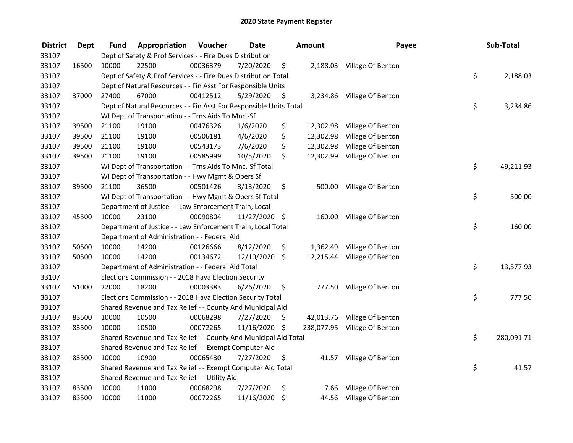| <b>District</b> | <b>Dept</b> | Fund  | Appropriation                                                      | Voucher  | <b>Date</b>   |         | <b>Amount</b> | Payee                        | Sub-Total        |
|-----------------|-------------|-------|--------------------------------------------------------------------|----------|---------------|---------|---------------|------------------------------|------------------|
| 33107           |             |       | Dept of Safety & Prof Services - - Fire Dues Distribution          |          |               |         |               |                              |                  |
| 33107           | 16500       | 10000 | 22500                                                              | 00036379 | 7/20/2020     | \$      |               | 2,188.03 Village Of Benton   |                  |
| 33107           |             |       | Dept of Safety & Prof Services - - Fire Dues Distribution Total    |          |               |         |               |                              | \$<br>2,188.03   |
| 33107           |             |       | Dept of Natural Resources - - Fin Asst For Responsible Units       |          |               |         |               |                              |                  |
| 33107           | 37000       | 27400 | 67000                                                              | 00412512 | 5/29/2020     | \$      |               | 3,234.86 Village Of Benton   |                  |
| 33107           |             |       | Dept of Natural Resources - - Fin Asst For Responsible Units Total |          |               |         |               |                              | \$<br>3,234.86   |
| 33107           |             |       | WI Dept of Transportation - - Trns Aids To Mnc.-Sf                 |          |               |         |               |                              |                  |
| 33107           | 39500       | 21100 | 19100                                                              | 00476326 | 1/6/2020      | \$      |               | 12,302.98 Village Of Benton  |                  |
| 33107           | 39500       | 21100 | 19100                                                              | 00506181 | 4/6/2020      | \$      | 12,302.98     | Village Of Benton            |                  |
| 33107           | 39500       | 21100 | 19100                                                              | 00543173 | 7/6/2020      | \$      | 12,302.98     | Village Of Benton            |                  |
| 33107           | 39500       | 21100 | 19100                                                              | 00585999 | 10/5/2020     | \$      |               | 12,302.99 Village Of Benton  |                  |
| 33107           |             |       | WI Dept of Transportation - - Trns Aids To Mnc.-Sf Total           |          |               |         |               |                              | \$<br>49,211.93  |
| 33107           |             |       | WI Dept of Transportation - - Hwy Mgmt & Opers Sf                  |          |               |         |               |                              |                  |
| 33107           | 39500       | 21100 | 36500                                                              | 00501426 | 3/13/2020     | \$      | 500.00        | Village Of Benton            |                  |
| 33107           |             |       | WI Dept of Transportation - - Hwy Mgmt & Opers Sf Total            |          |               |         |               |                              | \$<br>500.00     |
| 33107           |             |       | Department of Justice - - Law Enforcement Train, Local             |          |               |         |               |                              |                  |
| 33107           | 45500       | 10000 | 23100                                                              | 00090804 | 11/27/2020 \$ |         | 160.00        | Village Of Benton            |                  |
| 33107           |             |       | Department of Justice - - Law Enforcement Train, Local Total       |          |               |         |               |                              | \$<br>160.00     |
| 33107           |             |       | Department of Administration - - Federal Aid                       |          |               |         |               |                              |                  |
| 33107           | 50500       | 10000 | 14200                                                              | 00126666 | 8/12/2020     | \$      |               | 1,362.49 Village Of Benton   |                  |
| 33107           | 50500       | 10000 | 14200                                                              | 00134672 | 12/10/2020    | $\zeta$ |               | 12,215.44 Village Of Benton  |                  |
| 33107           |             |       | Department of Administration - - Federal Aid Total                 |          |               |         |               |                              | \$<br>13,577.93  |
| 33107           |             |       | Elections Commission - - 2018 Hava Election Security               |          |               |         |               |                              |                  |
| 33107           | 51000       | 22000 | 18200                                                              | 00003383 | 6/26/2020     | \$      |               | 777.50 Village Of Benton     |                  |
| 33107           |             |       | Elections Commission - - 2018 Hava Election Security Total         |          |               |         |               |                              | \$<br>777.50     |
| 33107           |             |       | Shared Revenue and Tax Relief - - County And Municipal Aid         |          |               |         |               |                              |                  |
| 33107           | 83500       | 10000 | 10500                                                              | 00068298 | 7/27/2020     | \$.     |               | 42,013.76 Village Of Benton  |                  |
| 33107           | 83500       | 10000 | 10500                                                              | 00072265 | 11/16/2020 \$ |         |               | 238,077.95 Village Of Benton |                  |
| 33107           |             |       | Shared Revenue and Tax Relief - - County And Municipal Aid Total   |          |               |         |               |                              | \$<br>280,091.71 |
| 33107           |             |       | Shared Revenue and Tax Relief - - Exempt Computer Aid              |          |               |         |               |                              |                  |
| 33107           | 83500       | 10000 | 10900                                                              | 00065430 | 7/27/2020     | \$      | 41.57         | Village Of Benton            |                  |
| 33107           |             |       | Shared Revenue and Tax Relief - - Exempt Computer Aid Total        |          |               |         |               |                              | \$<br>41.57      |
| 33107           |             |       | Shared Revenue and Tax Relief - - Utility Aid                      |          |               |         |               |                              |                  |
| 33107           | 83500       | 10000 | 11000                                                              | 00068298 | 7/27/2020     | \$      | 7.66          | Village Of Benton            |                  |
| 33107           | 83500       | 10000 | 11000                                                              | 00072265 | 11/16/2020    | \$      |               | 44.56 Village Of Benton      |                  |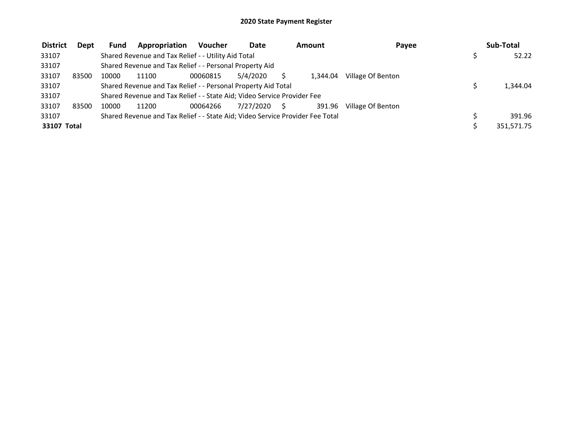| <b>District</b> | <b>Dept</b> | <b>Fund</b> | Appropriation                                                                 | <b>Voucher</b> | Date         | Amount   | Payee             | Sub-Total  |
|-----------------|-------------|-------------|-------------------------------------------------------------------------------|----------------|--------------|----------|-------------------|------------|
| 33107           |             |             | Shared Revenue and Tax Relief - - Utility Aid Total                           |                |              |          |                   | 52.22      |
| 33107           |             |             | Shared Revenue and Tax Relief - - Personal Property Aid                       |                |              |          |                   |            |
| 33107           | 83500       | 10000       | 11100                                                                         | 00060815       | 5/4/2020     | 1.344.04 | Village Of Benton |            |
| 33107           |             |             | Shared Revenue and Tax Relief - - Personal Property Aid Total                 |                |              |          |                   | 1,344.04   |
| 33107           |             |             | Shared Revenue and Tax Relief - - State Aid; Video Service Provider Fee       |                |              |          |                   |            |
| 33107           | 83500       | 10000       | 11200                                                                         | 00064266       | 7/27/2020 \$ | 391.96   | Village Of Benton |            |
| 33107           |             |             | Shared Revenue and Tax Relief - - State Aid; Video Service Provider Fee Total |                |              |          |                   | 391.96     |
| 33107 Total     |             |             |                                                                               |                |              |          |                   | 351,571.75 |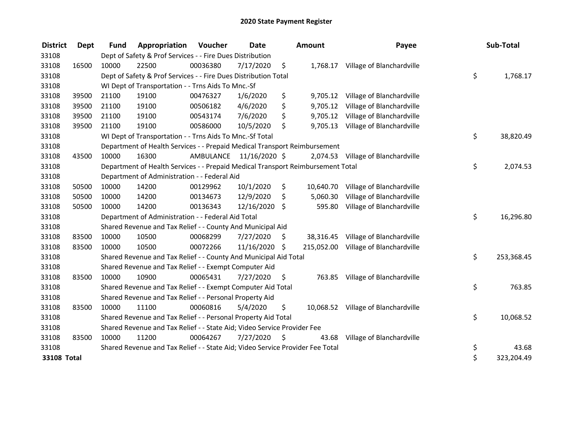| <b>District</b> | Dept  | <b>Fund</b> | Appropriation                                                                   | Voucher                 | Date          |      | <b>Amount</b> | Payee                                | Sub-Total        |
|-----------------|-------|-------------|---------------------------------------------------------------------------------|-------------------------|---------------|------|---------------|--------------------------------------|------------------|
| 33108           |       |             | Dept of Safety & Prof Services - - Fire Dues Distribution                       |                         |               |      |               |                                      |                  |
| 33108           | 16500 | 10000       | 22500                                                                           | 00036380                | 7/17/2020     | \$   |               | 1,768.17 Village of Blanchardville   |                  |
| 33108           |       |             | Dept of Safety & Prof Services - - Fire Dues Distribution Total                 |                         |               |      |               |                                      | \$<br>1,768.17   |
| 33108           |       |             | WI Dept of Transportation - - Trns Aids To Mnc.-Sf                              |                         |               |      |               |                                      |                  |
| 33108           | 39500 | 21100       | 19100                                                                           | 00476327                | 1/6/2020      | \$   | 9,705.12      | Village of Blanchardville            |                  |
| 33108           | 39500 | 21100       | 19100                                                                           | 00506182                | 4/6/2020      | \$   | 9,705.12      | Village of Blanchardville            |                  |
| 33108           | 39500 | 21100       | 19100                                                                           | 00543174                | 7/6/2020      | \$   | 9,705.12      | Village of Blanchardville            |                  |
| 33108           | 39500 | 21100       | 19100                                                                           | 00586000                | 10/5/2020     | \$   | 9,705.13      | Village of Blanchardville            |                  |
| 33108           |       |             | WI Dept of Transportation - - Trns Aids To Mnc.-Sf Total                        |                         |               |      |               |                                      | \$<br>38,820.49  |
| 33108           |       |             | Department of Health Services - - Prepaid Medical Transport Reimbursement       |                         |               |      |               |                                      |                  |
| 33108           | 43500 | 10000       | 16300                                                                           | AMBULANCE 11/16/2020 \$ |               |      |               | 2,074.53 Village of Blanchardville   |                  |
| 33108           |       |             | Department of Health Services - - Prepaid Medical Transport Reimbursement Total |                         |               |      |               |                                      | \$<br>2,074.53   |
| 33108           |       |             | Department of Administration - - Federal Aid                                    |                         |               |      |               |                                      |                  |
| 33108           | 50500 | 10000       | 14200                                                                           | 00129962                | 10/1/2020     | \$   | 10,640.70     | Village of Blanchardville            |                  |
| 33108           | 50500 | 10000       | 14200                                                                           | 00134673                | 12/9/2020     | \$   | 5,060.30      | Village of Blanchardville            |                  |
| 33108           | 50500 | 10000       | 14200                                                                           | 00136343                | 12/16/2020    | \$   | 595.80        | Village of Blanchardville            |                  |
| 33108           |       |             | Department of Administration - - Federal Aid Total                              |                         |               |      |               |                                      | \$<br>16,296.80  |
| 33108           |       |             | Shared Revenue and Tax Relief - - County And Municipal Aid                      |                         |               |      |               |                                      |                  |
| 33108           | 83500 | 10000       | 10500                                                                           | 00068299                | 7/27/2020     | \$   |               | 38,316.45 Village of Blanchardville  |                  |
| 33108           | 83500 | 10000       | 10500                                                                           | 00072266                | 11/16/2020 \$ |      |               | 215,052.00 Village of Blanchardville |                  |
| 33108           |       |             | Shared Revenue and Tax Relief - - County And Municipal Aid Total                |                         |               |      |               |                                      | \$<br>253,368.45 |
| 33108           |       |             | Shared Revenue and Tax Relief - - Exempt Computer Aid                           |                         |               |      |               |                                      |                  |
| 33108           | 83500 | 10000       | 10900                                                                           | 00065431                | 7/27/2020     | \$   |               | 763.85 Village of Blanchardville     |                  |
| 33108           |       |             | Shared Revenue and Tax Relief - - Exempt Computer Aid Total                     |                         |               |      |               |                                      | \$<br>763.85     |
| 33108           |       |             | Shared Revenue and Tax Relief - - Personal Property Aid                         |                         |               |      |               |                                      |                  |
| 33108           | 83500 | 10000       | 11100                                                                           | 00060816                | 5/4/2020      | \$   |               | 10,068.52 Village of Blanchardville  |                  |
| 33108           |       |             | Shared Revenue and Tax Relief - - Personal Property Aid Total                   |                         |               |      |               |                                      | \$<br>10,068.52  |
| 33108           |       |             | Shared Revenue and Tax Relief - - State Aid; Video Service Provider Fee         |                         |               |      |               |                                      |                  |
| 33108           | 83500 | 10000       | 11200                                                                           | 00064267                | 7/27/2020     | - \$ | 43.68         | Village of Blanchardville            |                  |
| 33108           |       |             | Shared Revenue and Tax Relief - - State Aid; Video Service Provider Fee Total   |                         |               |      |               |                                      | \$<br>43.68      |
| 33108 Total     |       |             |                                                                                 |                         |               |      |               |                                      | \$<br>323,204.49 |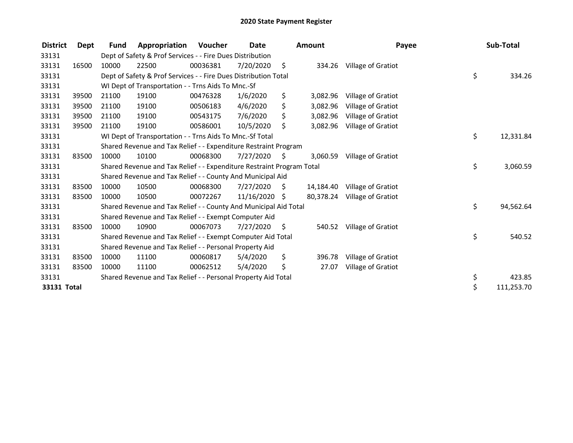| <b>District</b> | Dept  | <b>Fund</b> | Appropriation                                                         | <b>Voucher</b> | Date            |      | <b>Amount</b> | Payee                        | Sub-Total        |
|-----------------|-------|-------------|-----------------------------------------------------------------------|----------------|-----------------|------|---------------|------------------------------|------------------|
| 33131           |       |             | Dept of Safety & Prof Services - - Fire Dues Distribution             |                |                 |      |               |                              |                  |
| 33131           | 16500 | 10000       | 22500                                                                 | 00036381       | 7/20/2020       | - \$ | 334.26        | Village of Gratiot           |                  |
| 33131           |       |             | Dept of Safety & Prof Services - - Fire Dues Distribution Total       |                |                 |      |               |                              | \$<br>334.26     |
| 33131           |       |             | WI Dept of Transportation - - Trns Aids To Mnc.-Sf                    |                |                 |      |               |                              |                  |
| 33131           | 39500 | 21100       | 19100                                                                 | 00476328       | 1/6/2020        | \$   | 3,082.96      | Village of Gratiot           |                  |
| 33131           | 39500 | 21100       | 19100                                                                 | 00506183       | 4/6/2020        | \$   | 3,082.96      | Village of Gratiot           |                  |
| 33131           | 39500 | 21100       | 19100                                                                 | 00543175       | 7/6/2020        | \$   | 3,082.96      | Village of Gratiot           |                  |
| 33131           | 39500 | 21100       | 19100                                                                 | 00586001       | 10/5/2020       | \$   | 3,082.96      | Village of Gratiot           |                  |
| 33131           |       |             | WI Dept of Transportation - - Trns Aids To Mnc.-Sf Total              |                |                 |      |               |                              | \$<br>12,331.84  |
| 33131           |       |             | Shared Revenue and Tax Relief - - Expenditure Restraint Program       |                |                 |      |               |                              |                  |
| 33131           | 83500 | 10000       | 10100                                                                 | 00068300       | 7/27/2020       | - \$ | 3,060.59      | Village of Gratiot           |                  |
| 33131           |       |             | Shared Revenue and Tax Relief - - Expenditure Restraint Program Total |                |                 |      |               |                              | \$<br>3,060.59   |
| 33131           |       |             | Shared Revenue and Tax Relief - - County And Municipal Aid            |                |                 |      |               |                              |                  |
| 33131           | 83500 | 10000       | 10500                                                                 | 00068300       | 7/27/2020       | \$   | 14,184.40     | Village of Gratiot           |                  |
| 33131           | 83500 | 10000       | 10500                                                                 | 00072267       | $11/16/2020$ \$ |      |               | 80,378.24 Village of Gratiot |                  |
| 33131           |       |             | Shared Revenue and Tax Relief - - County And Municipal Aid Total      |                |                 |      |               |                              | \$<br>94,562.64  |
| 33131           |       |             | Shared Revenue and Tax Relief - - Exempt Computer Aid                 |                |                 |      |               |                              |                  |
| 33131           | 83500 | 10000       | 10900                                                                 | 00067073       | 7/27/2020       | -\$  | 540.52        | Village of Gratiot           |                  |
| 33131           |       |             | Shared Revenue and Tax Relief - - Exempt Computer Aid Total           |                |                 |      |               |                              | \$<br>540.52     |
| 33131           |       |             | Shared Revenue and Tax Relief - - Personal Property Aid               |                |                 |      |               |                              |                  |
| 33131           | 83500 | 10000       | 11100                                                                 | 00060817       | 5/4/2020        | \$   | 396.78        | Village of Gratiot           |                  |
| 33131           | 83500 | 10000       | 11100                                                                 | 00062512       | 5/4/2020        | \$   | 27.07         | Village of Gratiot           |                  |
| 33131           |       |             | Shared Revenue and Tax Relief - - Personal Property Aid Total         |                |                 |      |               |                              | \$<br>423.85     |
| 33131 Total     |       |             |                                                                       |                |                 |      |               |                              | \$<br>111,253.70 |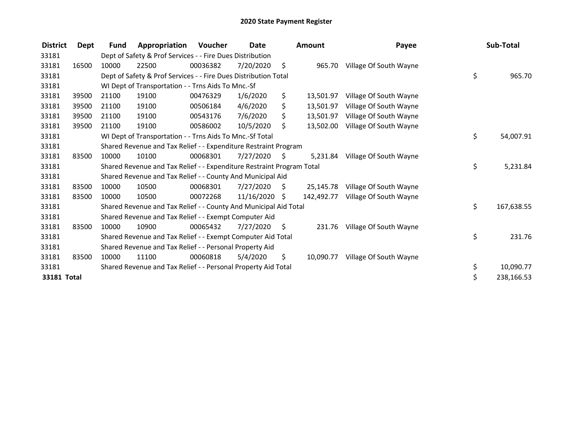| <b>District</b>    | <b>Dept</b> | <b>Fund</b> | Appropriation                                                         | Voucher  | Date            |     | <b>Amount</b> | Payee                  | Sub-Total        |
|--------------------|-------------|-------------|-----------------------------------------------------------------------|----------|-----------------|-----|---------------|------------------------|------------------|
| 33181              |             |             | Dept of Safety & Prof Services - - Fire Dues Distribution             |          |                 |     |               |                        |                  |
| 33181              | 16500       | 10000       | 22500                                                                 | 00036382 | 7/20/2020       | \$  | 965.70        | Village Of South Wayne |                  |
| 33181              |             |             | Dept of Safety & Prof Services - - Fire Dues Distribution Total       |          |                 |     |               |                        | \$<br>965.70     |
| 33181              |             |             | WI Dept of Transportation - - Trns Aids To Mnc.-Sf                    |          |                 |     |               |                        |                  |
| 33181              | 39500       | 21100       | 19100                                                                 | 00476329 | 1/6/2020        | \$  | 13,501.97     | Village Of South Wayne |                  |
| 33181              | 39500       | 21100       | 19100                                                                 | 00506184 | 4/6/2020        | \$  | 13,501.97     | Village Of South Wayne |                  |
| 33181              | 39500       | 21100       | 19100                                                                 | 00543176 | 7/6/2020        | \$  | 13,501.97     | Village Of South Wayne |                  |
| 33181              | 39500       | 21100       | 19100                                                                 | 00586002 | 10/5/2020       | \$. | 13,502.00     | Village Of South Wayne |                  |
| 33181              |             |             | WI Dept of Transportation - - Trns Aids To Mnc.-Sf Total              |          |                 |     |               |                        | \$<br>54,007.91  |
| 33181              |             |             | Shared Revenue and Tax Relief - - Expenditure Restraint Program       |          |                 |     |               |                        |                  |
| 33181              | 83500       | 10000       | 10100                                                                 | 00068301 | 7/27/2020       | S   | 5,231.84      | Village Of South Wayne |                  |
| 33181              |             |             | Shared Revenue and Tax Relief - - Expenditure Restraint Program Total |          |                 |     |               |                        | \$<br>5,231.84   |
| 33181              |             |             | Shared Revenue and Tax Relief - - County And Municipal Aid            |          |                 |     |               |                        |                  |
| 33181              | 83500       | 10000       | 10500                                                                 | 00068301 | 7/27/2020       | S   | 25.145.78     | Village Of South Wayne |                  |
| 33181              | 83500       | 10000       | 10500                                                                 | 00072268 | $11/16/2020$ \$ |     | 142,492.77    | Village Of South Wayne |                  |
| 33181              |             |             | Shared Revenue and Tax Relief - - County And Municipal Aid Total      |          |                 |     |               |                        | \$<br>167,638.55 |
| 33181              |             |             | Shared Revenue and Tax Relief - - Exempt Computer Aid                 |          |                 |     |               |                        |                  |
| 33181              | 83500       | 10000       | 10900                                                                 | 00065432 | 7/27/2020       | \$  | 231.76        | Village Of South Wayne |                  |
| 33181              |             |             | Shared Revenue and Tax Relief - - Exempt Computer Aid Total           |          |                 |     |               |                        | \$<br>231.76     |
| 33181              |             |             | Shared Revenue and Tax Relief - - Personal Property Aid               |          |                 |     |               |                        |                  |
| 33181              | 83500       | 10000       | 11100                                                                 | 00060818 | 5/4/2020        | \$  | 10,090.77     | Village Of South Wayne |                  |
| 33181              |             |             | Shared Revenue and Tax Relief - - Personal Property Aid Total         |          |                 |     |               |                        | \$<br>10,090.77  |
| <b>33181 Total</b> |             |             |                                                                       |          |                 |     |               |                        | \$<br>238,166.53 |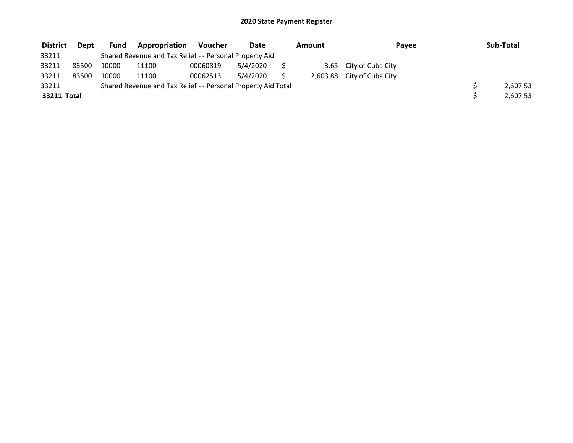| <b>District</b> | Dept  | Fund  | <b>Appropriation</b>                                          | Voucher  | Date     | Amount | Payee                      | Sub-Total |
|-----------------|-------|-------|---------------------------------------------------------------|----------|----------|--------|----------------------------|-----------|
| 33211           |       |       | Shared Revenue and Tax Relief - - Personal Property Aid       |          |          |        |                            |           |
| 33211           | 83500 | 10000 | 11100                                                         | 00060819 | 5/4/2020 |        | 3.65 City of Cuba City     |           |
| 33211           | 83500 | 10000 | 11100                                                         | 00062513 | 5/4/2020 |        | 2,603.88 City of Cuba City |           |
| 33211           |       |       | Shared Revenue and Tax Relief - - Personal Property Aid Total |          |          |        |                            | 2,607.53  |
| 33211 Total     |       |       |                                                               |          |          |        |                            | 2,607.53  |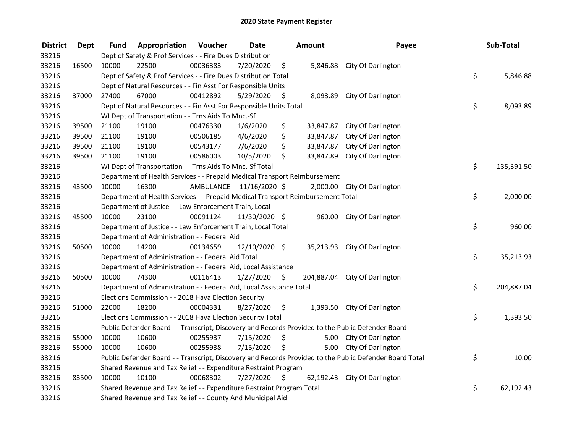| <b>District</b> | <b>Dept</b> | Fund                                                                  | Appropriation                                                                   | Voucher  | <b>Date</b>             |                     | <b>Amount</b> | Payee                                                                                                   |    | Sub-Total  |
|-----------------|-------------|-----------------------------------------------------------------------|---------------------------------------------------------------------------------|----------|-------------------------|---------------------|---------------|---------------------------------------------------------------------------------------------------------|----|------------|
| 33216           |             | Dept of Safety & Prof Services - - Fire Dues Distribution             |                                                                                 |          |                         |                     |               |                                                                                                         |    |            |
| 33216           | 16500       | 10000                                                                 | 22500                                                                           | 00036383 | 7/20/2020               | \$                  |               | 5,846.88 City Of Darlington                                                                             |    |            |
| 33216           |             | Dept of Safety & Prof Services - - Fire Dues Distribution Total       |                                                                                 |          |                         |                     |               |                                                                                                         |    | 5,846.88   |
| 33216           |             | Dept of Natural Resources - - Fin Asst For Responsible Units          |                                                                                 |          |                         |                     |               |                                                                                                         |    |            |
| 33216           | 37000       | 27400                                                                 | 67000                                                                           | 00412892 | 5/29/2020               | \$                  | 8,093.89      | City Of Darlington                                                                                      |    |            |
| 33216           |             |                                                                       | Dept of Natural Resources - - Fin Asst For Responsible Units Total              |          |                         |                     |               |                                                                                                         | \$ | 8,093.89   |
| 33216           |             |                                                                       | WI Dept of Transportation - - Trns Aids To Mnc.-Sf                              |          |                         |                     |               |                                                                                                         |    |            |
| 33216           | 39500       | 21100                                                                 | 19100                                                                           | 00476330 | 1/6/2020                | \$                  |               | 33,847.87 City Of Darlington                                                                            |    |            |
| 33216           | 39500       | 21100                                                                 | 19100                                                                           | 00506185 | 4/6/2020                | \$                  | 33,847.87     | City Of Darlington                                                                                      |    |            |
| 33216           | 39500       | 21100                                                                 | 19100                                                                           | 00543177 | 7/6/2020                | \$                  | 33,847.87     | City Of Darlington                                                                                      |    |            |
| 33216           | 39500       | 21100                                                                 | 19100                                                                           | 00586003 | 10/5/2020               | \$                  | 33,847.89     | City Of Darlington                                                                                      |    |            |
| 33216           |             |                                                                       | WI Dept of Transportation - - Trns Aids To Mnc.-Sf Total                        |          |                         |                     |               |                                                                                                         | \$ | 135,391.50 |
| 33216           |             |                                                                       | Department of Health Services - - Prepaid Medical Transport Reimbursement       |          |                         |                     |               |                                                                                                         |    |            |
| 33216           | 43500       | 10000                                                                 | 16300                                                                           |          | AMBULANCE 11/16/2020 \$ |                     |               | 2,000.00 City Of Darlington                                                                             |    |            |
| 33216           |             |                                                                       | Department of Health Services - - Prepaid Medical Transport Reimbursement Total |          |                         |                     |               |                                                                                                         | \$ | 2,000.00   |
| 33216           |             |                                                                       | Department of Justice - - Law Enforcement Train, Local                          |          |                         |                     |               |                                                                                                         |    |            |
| 33216           | 45500       | 10000                                                                 | 23100                                                                           | 00091124 | 11/30/2020 \$           |                     |               | 960.00 City Of Darlington                                                                               |    |            |
| 33216           |             |                                                                       | Department of Justice - - Law Enforcement Train, Local Total                    |          |                         |                     |               |                                                                                                         | \$ | 960.00     |
| 33216           |             |                                                                       | Department of Administration - - Federal Aid                                    |          |                         |                     |               |                                                                                                         |    |            |
| 33216           | 50500       | 10000                                                                 | 14200                                                                           | 00134659 | 12/10/2020 \$           |                     |               | 35,213.93 City Of Darlington                                                                            |    |            |
| 33216           |             |                                                                       | Department of Administration - - Federal Aid Total                              |          |                         |                     |               |                                                                                                         | \$ | 35,213.93  |
| 33216           |             |                                                                       | Department of Administration - - Federal Aid, Local Assistance                  |          |                         |                     |               |                                                                                                         |    |            |
| 33216           | 50500       | 10000                                                                 | 74300                                                                           | 00116413 | 1/27/2020               | - \$                |               | 204,887.04 City Of Darlington                                                                           |    |            |
| 33216           |             |                                                                       | Department of Administration - - Federal Aid, Local Assistance Total            |          |                         |                     |               |                                                                                                         | \$ | 204,887.04 |
| 33216           |             | Elections Commission - - 2018 Hava Election Security                  |                                                                                 |          |                         |                     |               |                                                                                                         |    |            |
| 33216           | 51000       | 22000                                                                 | 18200                                                                           | 00004331 | 8/27/2020               | \$                  |               | 1,393.50 City Of Darlington                                                                             |    |            |
| 33216           |             |                                                                       | Elections Commission - - 2018 Hava Election Security Total                      |          |                         |                     |               |                                                                                                         | \$ | 1,393.50   |
| 33216           |             |                                                                       |                                                                                 |          |                         |                     |               | Public Defender Board - - Transcript, Discovery and Records Provided to the Public Defender Board       |    |            |
| 33216           | 55000       | 10000                                                                 | 10600                                                                           | 00255937 | 7/15/2020               | \$                  |               | 5.00 City Of Darlington                                                                                 |    |            |
| 33216           | 55000       | 10000                                                                 | 10600                                                                           | 00255938 | 7/15/2020               | \$                  | 5.00          | City Of Darlington                                                                                      |    |            |
| 33216           |             |                                                                       |                                                                                 |          |                         |                     |               | Public Defender Board - - Transcript, Discovery and Records Provided to the Public Defender Board Total | \$ | 10.00      |
| 33216           |             | Shared Revenue and Tax Relief - - Expenditure Restraint Program       |                                                                                 |          |                         |                     |               |                                                                                                         |    |            |
| 33216           | 83500       | 10000                                                                 | 10100                                                                           | 00068302 | 7/27/2020               | $\ddot{\mathsf{s}}$ |               | 62,192.43 City Of Darlington                                                                            |    |            |
| 33216           |             | Shared Revenue and Tax Relief - - Expenditure Restraint Program Total |                                                                                 |          |                         |                     |               |                                                                                                         |    | 62,192.43  |
| 33216           |             | Shared Revenue and Tax Relief - - County And Municipal Aid            |                                                                                 |          |                         |                     |               |                                                                                                         |    |            |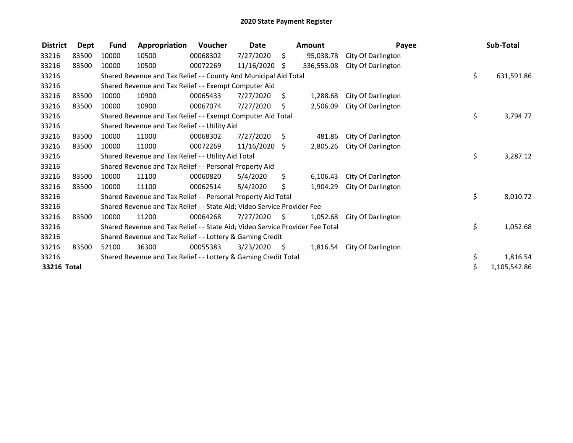| <b>District</b> | Dept  | <b>Fund</b>                                                             | Appropriation                                                                 | Voucher  | Date            |      | Amount     | Payee              |    | Sub-Total    |
|-----------------|-------|-------------------------------------------------------------------------|-------------------------------------------------------------------------------|----------|-----------------|------|------------|--------------------|----|--------------|
| 33216           | 83500 | 10000                                                                   | 10500                                                                         | 00068302 | 7/27/2020       | \$   | 95,038.78  | City Of Darlington |    |              |
| 33216           | 83500 | 10000                                                                   | 10500                                                                         | 00072269 | $11/16/2020$ \$ |      | 536,553.08 | City Of Darlington |    |              |
| 33216           |       |                                                                         | Shared Revenue and Tax Relief - - County And Municipal Aid Total              |          |                 |      |            |                    | \$ | 631,591.86   |
| 33216           |       | Shared Revenue and Tax Relief - - Exempt Computer Aid                   |                                                                               |          |                 |      |            |                    |    |              |
| 33216           | 83500 | 10000                                                                   | 10900                                                                         | 00065433 | 7/27/2020       | S.   | 1,288.68   | City Of Darlington |    |              |
| 33216           | 83500 | 10000                                                                   | 10900                                                                         | 00067074 | 7/27/2020       | Ś.   | 2,506.09   | City Of Darlington |    |              |
| 33216           |       |                                                                         | Shared Revenue and Tax Relief - - Exempt Computer Aid Total                   |          |                 |      |            |                    | \$ | 3,794.77     |
| 33216           |       |                                                                         | Shared Revenue and Tax Relief - - Utility Aid                                 |          |                 |      |            |                    |    |              |
| 33216           | 83500 | 10000                                                                   | 11000                                                                         | 00068302 | 7/27/2020       | S.   | 481.86     | City Of Darlington |    |              |
| 33216           | 83500 | 10000                                                                   | 11000                                                                         | 00072269 | $11/16/2020$ \$ |      | 2,805.26   | City Of Darlington |    |              |
| 33216           |       | Shared Revenue and Tax Relief - - Utility Aid Total                     |                                                                               |          |                 |      |            |                    |    | 3,287.12     |
| 33216           |       | Shared Revenue and Tax Relief - - Personal Property Aid                 |                                                                               |          |                 |      |            |                    |    |              |
| 33216           | 83500 | 10000                                                                   | 11100                                                                         | 00060820 | 5/4/2020        | \$.  | 6,106.43   | City Of Darlington |    |              |
| 33216           | 83500 | 10000                                                                   | 11100                                                                         | 00062514 | 5/4/2020        | \$   | 1,904.29   | City Of Darlington |    |              |
| 33216           |       | Shared Revenue and Tax Relief - - Personal Property Aid Total           |                                                                               |          |                 |      |            |                    |    | 8,010.72     |
| 33216           |       | Shared Revenue and Tax Relief - - State Aid; Video Service Provider Fee |                                                                               |          |                 |      |            |                    |    |              |
| 33216           | 83500 | 10000                                                                   | 11200                                                                         | 00064268 | 7/27/2020       | S.   | 1,052.68   | City Of Darlington |    |              |
| 33216           |       |                                                                         | Shared Revenue and Tax Relief - - State Aid; Video Service Provider Fee Total |          |                 |      |            |                    | \$ | 1,052.68     |
| 33216           |       | Shared Revenue and Tax Relief - - Lottery & Gaming Credit               |                                                                               |          |                 |      |            |                    |    |              |
| 33216           | 83500 | 52100                                                                   | 36300                                                                         | 00055383 | 3/23/2020       | - \$ | 1,816.54   | City Of Darlington |    |              |
| 33216           |       |                                                                         | Shared Revenue and Tax Relief - - Lottery & Gaming Credit Total               |          |                 |      |            |                    | \$ | 1,816.54     |
| 33216 Total     |       |                                                                         |                                                                               |          |                 |      |            |                    | \$ | 1,105,542.86 |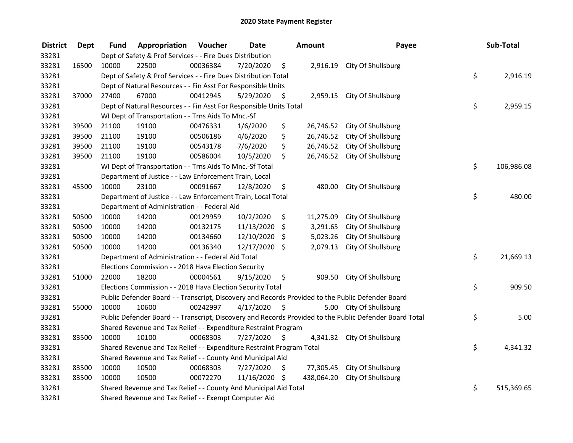| <b>District</b> | <b>Dept</b> | Fund                                                                                              | Appropriation                                                         | Voucher  | <b>Date</b>   |         | Amount     | Payee                                                                                                   |    | Sub-Total  |
|-----------------|-------------|---------------------------------------------------------------------------------------------------|-----------------------------------------------------------------------|----------|---------------|---------|------------|---------------------------------------------------------------------------------------------------------|----|------------|
| 33281           |             | Dept of Safety & Prof Services - - Fire Dues Distribution                                         |                                                                       |          |               |         |            |                                                                                                         |    |            |
| 33281           | 16500       | 10000                                                                                             | 22500                                                                 | 00036384 | 7/20/2020     | \$      |            | 2,916.19 City Of Shullsburg                                                                             |    |            |
| 33281           |             | Dept of Safety & Prof Services - - Fire Dues Distribution Total                                   |                                                                       |          |               |         |            |                                                                                                         |    | 2,916.19   |
| 33281           |             | Dept of Natural Resources - - Fin Asst For Responsible Units                                      |                                                                       |          |               |         |            |                                                                                                         |    |            |
| 33281           | 37000       | 27400                                                                                             | 67000                                                                 | 00412945 | 5/29/2020     | \$      |            | 2,959.15 City Of Shullsburg                                                                             |    |            |
| 33281           |             |                                                                                                   | Dept of Natural Resources - - Fin Asst For Responsible Units Total    |          |               |         |            |                                                                                                         | \$ | 2,959.15   |
| 33281           |             |                                                                                                   | WI Dept of Transportation - - Trns Aids To Mnc.-Sf                    |          |               |         |            |                                                                                                         |    |            |
| 33281           | 39500       | 21100                                                                                             | 19100                                                                 | 00476331 | 1/6/2020      | \$      |            | 26,746.52 City Of Shullsburg                                                                            |    |            |
| 33281           | 39500       | 21100                                                                                             | 19100                                                                 | 00506186 | 4/6/2020      | \$      |            | 26,746.52 City Of Shullsburg                                                                            |    |            |
| 33281           | 39500       | 21100                                                                                             | 19100                                                                 | 00543178 | 7/6/2020      | \$      |            | 26,746.52 City Of Shullsburg                                                                            |    |            |
| 33281           | 39500       | 21100                                                                                             | 19100                                                                 | 00586004 | 10/5/2020     | \$      | 26,746.52  | City Of Shullsburg                                                                                      |    |            |
| 33281           |             |                                                                                                   | WI Dept of Transportation - - Trns Aids To Mnc.-Sf Total              |          |               |         |            |                                                                                                         | \$ | 106,986.08 |
| 33281           |             |                                                                                                   | Department of Justice - - Law Enforcement Train, Local                |          |               |         |            |                                                                                                         |    |            |
| 33281           | 45500       | 10000                                                                                             | 23100                                                                 | 00091667 | 12/8/2020     | \$      | 480.00     | City Of Shullsburg                                                                                      |    |            |
| 33281           |             |                                                                                                   | Department of Justice - - Law Enforcement Train, Local Total          |          |               |         |            |                                                                                                         | \$ | 480.00     |
| 33281           |             |                                                                                                   | Department of Administration - - Federal Aid                          |          |               |         |            |                                                                                                         |    |            |
| 33281           | 50500       | 10000                                                                                             | 14200                                                                 | 00129959 | 10/2/2020     | \$      | 11,275.09  | City Of Shullsburg                                                                                      |    |            |
| 33281           | 50500       | 10000                                                                                             | 14200                                                                 | 00132175 | 11/13/2020    | $\zeta$ | 3,291.65   | City Of Shullsburg                                                                                      |    |            |
| 33281           | 50500       | 10000                                                                                             | 14200                                                                 | 00134660 | 12/10/2020    | \$      | 5,023.26   | City Of Shullsburg                                                                                      |    |            |
| 33281           | 50500       | 10000                                                                                             | 14200                                                                 | 00136340 | 12/17/2020 \$ |         | 2,079.13   | City Of Shullsburg                                                                                      |    |            |
| 33281           |             |                                                                                                   | Department of Administration - - Federal Aid Total                    |          |               |         |            |                                                                                                         | \$ | 21,669.13  |
| 33281           |             | Elections Commission - - 2018 Hava Election Security                                              |                                                                       |          |               |         |            |                                                                                                         |    |            |
| 33281           | 51000       | 22000                                                                                             | 18200                                                                 | 00004561 | 9/15/2020     | \$      | 909.50     | City Of Shullsburg                                                                                      |    |            |
| 33281           |             |                                                                                                   | Elections Commission - - 2018 Hava Election Security Total            |          |               |         |            |                                                                                                         | \$ | 909.50     |
| 33281           |             | Public Defender Board - - Transcript, Discovery and Records Provided to the Public Defender Board |                                                                       |          |               |         |            |                                                                                                         |    |            |
| 33281           | 55000       | 10000                                                                                             | 10600                                                                 | 00242997 | 4/17/2020     | - \$    |            | 5.00 City Of Shullsburg                                                                                 |    |            |
| 33281           |             |                                                                                                   |                                                                       |          |               |         |            | Public Defender Board - - Transcript, Discovery and Records Provided to the Public Defender Board Total | \$ | 5.00       |
| 33281           |             | Shared Revenue and Tax Relief - - Expenditure Restraint Program                                   |                                                                       |          |               |         |            |                                                                                                         |    |            |
| 33281           | 83500       | 10000                                                                                             | 10100                                                                 | 00068303 | 7/27/2020     | \$      |            | 4,341.32 City Of Shullsburg                                                                             |    |            |
| 33281           |             |                                                                                                   | Shared Revenue and Tax Relief - - Expenditure Restraint Program Total |          |               |         |            |                                                                                                         | \$ | 4,341.32   |
| 33281           |             | Shared Revenue and Tax Relief - - County And Municipal Aid                                        |                                                                       |          |               |         |            |                                                                                                         |    |            |
| 33281           | 83500       | 10000                                                                                             | 10500                                                                 | 00068303 | 7/27/2020     | \$      | 77,305.45  | City Of Shullsburg                                                                                      |    |            |
| 33281           | 83500       | 10000                                                                                             | 10500                                                                 | 00072270 | 11/16/2020 \$ |         | 438,064.20 | City Of Shullsburg                                                                                      |    |            |
| 33281           |             | Shared Revenue and Tax Relief - - County And Municipal Aid Total                                  |                                                                       |          |               |         |            |                                                                                                         |    | 515,369.65 |
| 33281           |             | Shared Revenue and Tax Relief - - Exempt Computer Aid                                             |                                                                       |          |               |         |            |                                                                                                         |    |            |